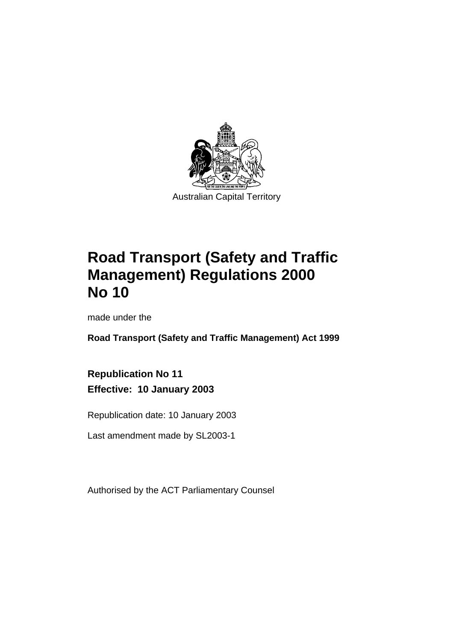

# **Road Transport (Safety and Traffic Management) Regulations 2000 No 10**

made under the

**Road Transport (Safety and Traffic Management) Act 1999** 

**Republication No 11 Effective: 10 January 2003** 

Republication date: 10 January 2003

Last amendment made by SL2003-1

Authorised by the ACT Parliamentary Counsel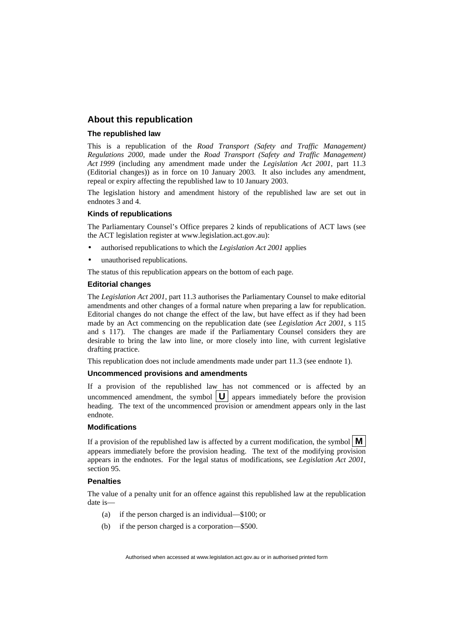#### **About this republication**

#### **The republished law**

This is a republication of the *Road Transport (Safety and Traffic Management) Regulations 2000,* made under the *Road Transport (Safety and Traffic Management) Act 1999* (including any amendment made under the *Legislation Act 2001*, part 11.3 (Editorial changes)) as in force on 10 January 2003*.* It also includes any amendment, repeal or expiry affecting the republished law to 10 January 2003.

The legislation history and amendment history of the republished law are set out in endnotes 3 and 4.

#### **Kinds of republications**

The Parliamentary Counsel's Office prepares 2 kinds of republications of ACT laws (see the ACT legislation register at www.legislation.act.gov.au):

- authorised republications to which the *Legislation Act 2001* applies
- unauthorised republications.

The status of this republication appears on the bottom of each page.

#### **Editorial changes**

The *Legislation Act 2001*, part 11.3 authorises the Parliamentary Counsel to make editorial amendments and other changes of a formal nature when preparing a law for republication. Editorial changes do not change the effect of the law, but have effect as if they had been made by an Act commencing on the republication date (see *Legislation Act 2001*, s 115 and s 117). The changes are made if the Parliamentary Counsel considers they are desirable to bring the law into line, or more closely into line, with current legislative drafting practice.

This republication does not include amendments made under part 11.3 (see endnote 1).

#### **Uncommenced provisions and amendments**

If a provision of the republished law has not commenced or is affected by an uncommenced amendment, the symbol  $|\mathbf{U}|$  appears immediately before the provision heading. The text of the uncommenced provision or amendment appears only in the last endnote.

#### **Modifications**

If a provision of the republished law is affected by a current modification, the symbol  $\mathbf{M}$ appears immediately before the provision heading. The text of the modifying provision appears in the endnotes. For the legal status of modifications, see *Legislation Act 2001*, section 95.

#### **Penalties**

The value of a penalty unit for an offence against this republished law at the republication date is—

- (a) if the person charged is an individual—\$100; or
- (b) if the person charged is a corporation—\$500.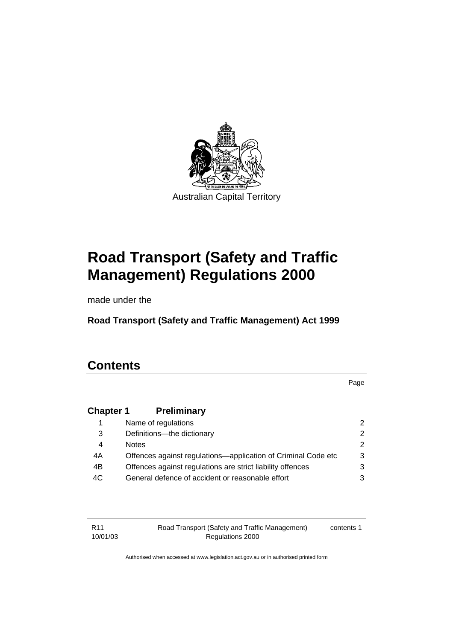

# **Road Transport (Safety and Traffic Management) Regulations 2000**

made under the

**Road Transport (Safety and Traffic Management) Act 1999** 

# **Contents**

Page

# **Chapter 1 Preliminary**

|    | Name of regulations                                           |  |
|----|---------------------------------------------------------------|--|
| 3  | Definitions-the dictionary                                    |  |
| 4  | <b>Notes</b>                                                  |  |
| 4A | Offences against regulations—application of Criminal Code etc |  |
| 4B | Offences against regulations are strict liability offences    |  |
| 4C | General defence of accident or reasonable effort              |  |
|    |                                                               |  |

| R11      | Road Transport (Safety and Traffic Management) | contents 1 |
|----------|------------------------------------------------|------------|
| 10/01/03 | Regulations 2000                               |            |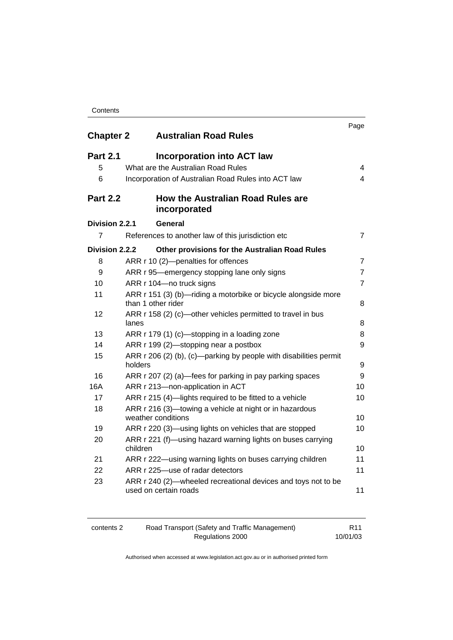| <b>Chapter 2</b> | <b>Australian Road Rules</b>                                                           | Page           |
|------------------|----------------------------------------------------------------------------------------|----------------|
| <b>Part 2.1</b>  | <b>Incorporation into ACT law</b>                                                      |                |
| 5                | What are the Australian Road Rules                                                     | 4              |
| 6                | Incorporation of Australian Road Rules into ACT law                                    | 4              |
| <b>Part 2.2</b>  | <b>How the Australian Road Rules are</b><br>incorporated                               |                |
| Division 2.2.1   | General                                                                                |                |
| 7                | References to another law of this jurisdiction etc                                     | 7              |
| Division 2.2.2   | Other provisions for the Australian Road Rules                                         |                |
| 8                | ARR r 10 (2)-penalties for offences                                                    | 7              |
| 9                | ARR r 95—emergency stopping lane only signs                                            | $\overline{7}$ |
| 10               | ARR r 104-no truck signs                                                               | 7              |
| 11               | ARR r 151 (3) (b)-riding a motorbike or bicycle alongside more<br>than 1 other rider   | 8              |
| 12               | ARR r 158 (2) (c)-other vehicles permitted to travel in bus<br>lanes                   | 8              |
| 13               | ARR r 179 (1) (c)—stopping in a loading zone                                           | 8              |
| 14               | ARR r 199 (2)-stopping near a postbox                                                  | 9              |
| 15               | ARR r 206 (2) (b), (c)-parking by people with disabilities permit<br>holders           | 9              |
| 16               | ARR r 207 (2) (a)—fees for parking in pay parking spaces                               | 9              |
| 16A              | ARR r 213-non-application in ACT                                                       | 10             |
| 17               | ARR r 215 (4)-lights required to be fitted to a vehicle                                | 10             |
| 18               | ARR r 216 (3)—towing a vehicle at night or in hazardous<br>weather conditions          | 10             |
| 19               | ARR r 220 (3)—using lights on vehicles that are stopped                                | 10             |
| 20               | ARR r 221 (f)—using hazard warning lights on buses carrying<br>children                | 10             |
| 21               | ARR r 222—using warning lights on buses carrying children                              | 11             |
| 22               | ARR r 225—use of radar detectors                                                       | 11             |
| 23               | ARR r 240 (2)—wheeled recreational devices and toys not to be<br>used on certain roads | 11             |

| contents 2 | Road Transport (Safety and Traffic Management) | R11      |
|------------|------------------------------------------------|----------|
|            | Regulations 2000                               | 10/01/03 |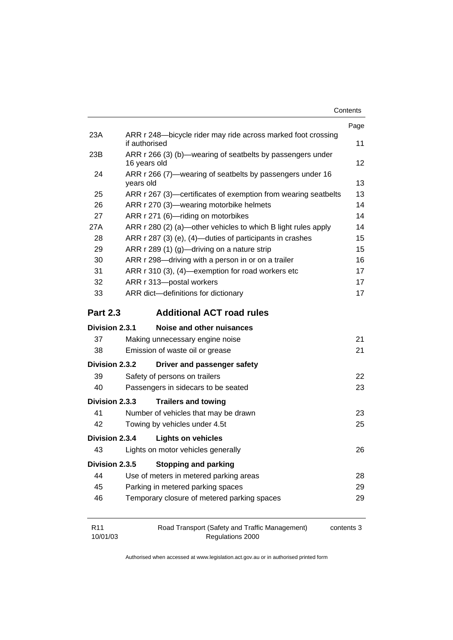| Contents |
|----------|
|          |

|                             |                                                                               | Page       |
|-----------------------------|-------------------------------------------------------------------------------|------------|
| 23A                         | ARR r 248-bicycle rider may ride across marked foot crossing<br>if authorised | 11         |
| 23B                         | ARR r 266 (3) (b)—wearing of seatbelts by passengers under<br>16 years old    | 12         |
| 24                          | ARR r 266 (7)—wearing of seatbelts by passengers under 16<br>years old        | 13         |
| 25                          | ARR r 267 (3)—certificates of exemption from wearing seatbelts                | 13         |
| 26                          | ARR r 270 (3)-wearing motorbike helmets                                       | 14         |
| 27                          | ARR r 271 (6)-riding on motorbikes                                            | 14         |
| 27A                         | ARR r 280 (2) (a)—other vehicles to which B light rules apply                 | 14         |
| 28                          | ARR r 287 (3) (e), (4)—duties of participants in crashes                      | 15         |
| 29                          | ARR r 289 (1) (g)—driving on a nature strip                                   | 15         |
| 30                          | ARR r 298-driving with a person in or on a trailer                            | 16         |
| 31                          | ARR r 310 (3), (4)—exemption for road workers etc                             | 17         |
| 32                          | ARR r 313-postal workers                                                      | 17         |
| 33                          | ARR dict-definitions for dictionary                                           | 17         |
| <b>Part 2.3</b>             | <b>Additional ACT road rules</b>                                              |            |
| Division 2.3.1              | Noise and other nuisances                                                     |            |
| 37                          | Making unnecessary engine noise                                               | 21         |
| 38                          | Emission of waste oil or grease                                               | 21         |
| Division 2.3.2              | Driver and passenger safety                                                   |            |
| 39                          | Safety of persons on trailers                                                 | 22         |
| 40                          | Passengers in sidecars to be seated                                           | 23         |
| Division 2.3.3              | <b>Trailers and towing</b>                                                    |            |
| 41                          | Number of vehicles that may be drawn                                          | 23         |
| 42                          | Towing by vehicles under 4.5t                                                 | 25         |
| Division 2.3.4              | <b>Lights on vehicles</b>                                                     |            |
| 43                          | Lights on motor vehicles generally                                            | 26         |
| Division 2.3.5              | <b>Stopping and parking</b>                                                   |            |
| 44                          | Use of meters in metered parking areas                                        | 28         |
| 45                          | Parking in metered parking spaces                                             | 29         |
| 46                          | Temporary closure of metered parking spaces                                   | 29         |
| R <sub>11</sub><br>10/01/03 | Road Transport (Safety and Traffic Management)<br>Regulations 2000            | contents 3 |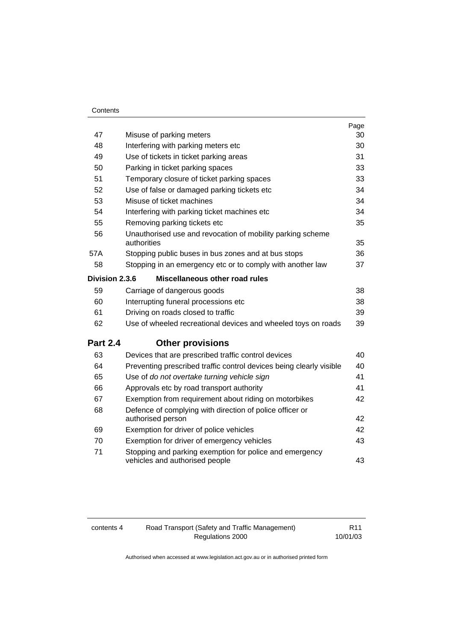|                 |                                                                                           | Page |
|-----------------|-------------------------------------------------------------------------------------------|------|
| 47              | Misuse of parking meters                                                                  | 30   |
| 48              | Interfering with parking meters etc                                                       | 30   |
| 49              | Use of tickets in ticket parking areas                                                    | 31   |
| 50              | Parking in ticket parking spaces                                                          | 33   |
| 51              | Temporary closure of ticket parking spaces                                                | 33   |
| 52              | Use of false or damaged parking tickets etc                                               | 34   |
| 53              | Misuse of ticket machines                                                                 | 34   |
| 54              | Interfering with parking ticket machines etc                                              | 34   |
| 55              | Removing parking tickets etc                                                              | 35   |
| 56              | Unauthorised use and revocation of mobility parking scheme<br>authorities                 | 35   |
| 57A             | Stopping public buses in bus zones and at bus stops                                       | 36   |
| 58              | Stopping in an emergency etc or to comply with another law                                | 37   |
|                 | <b>Division 2.3.6</b><br>Miscellaneous other road rules                                   |      |
| 59              | Carriage of dangerous goods                                                               | 38   |
| 60              | Interrupting funeral processions etc                                                      | 38   |
| 61              | Driving on roads closed to traffic                                                        | 39   |
| 62              | Use of wheeled recreational devices and wheeled toys on roads                             | 39   |
| <b>Part 2.4</b> | <b>Other provisions</b>                                                                   |      |
| 63              | Devices that are prescribed traffic control devices                                       | 40   |
| 64              | Preventing prescribed traffic control devices being clearly visible                       | 40   |
| 65              | Use of do not overtake turning vehicle sign                                               | 41   |
| 66              | Approvals etc by road transport authority                                                 | 41   |
| 67              | Exemption from requirement about riding on motorbikes                                     | 42   |
| 68              | Defence of complying with direction of police officer or<br>authorised person             | 42   |
| 69              | Exemption for driver of police vehicles                                                   | 42   |
| 70              | Exemption for driver of emergency vehicles                                                | 43   |
| 71              | Stopping and parking exemption for police and emergency<br>vehicles and authorised people | 43   |

contents 4 Road Transport (Safety and Traffic Management) Regulations 2000

R11 10/01/03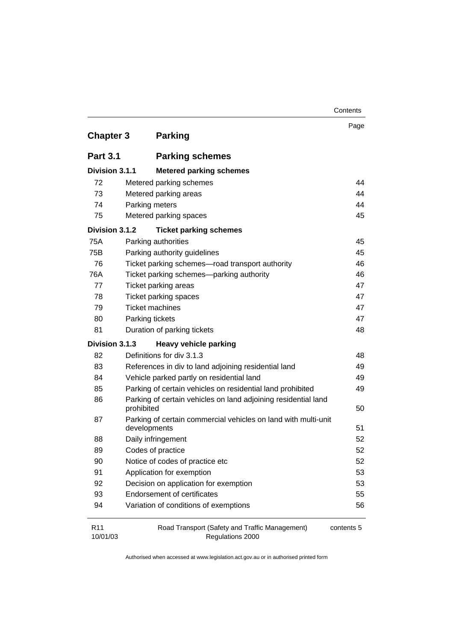|                             |                                                                              | Contents   |
|-----------------------------|------------------------------------------------------------------------------|------------|
| <b>Chapter 3</b>            | <b>Parking</b>                                                               | Page       |
| <b>Part 3.1</b>             | <b>Parking schemes</b>                                                       |            |
|                             |                                                                              |            |
| Division 3.1.1              | <b>Metered parking schemes</b>                                               |            |
| 72                          | Metered parking schemes                                                      | 44         |
| 73                          | Metered parking areas                                                        | 44         |
| 74                          | Parking meters                                                               | 44         |
| 75                          | Metered parking spaces                                                       | 45         |
| Division 3.1.2              | <b>Ticket parking schemes</b>                                                |            |
| 75A                         | Parking authorities                                                          | 45         |
| 75B                         | Parking authority guidelines                                                 | 45         |
| 76                          | Ticket parking schemes-road transport authority                              | 46         |
| 76A                         | Ticket parking schemes-parking authority                                     | 46         |
| 77                          | Ticket parking areas                                                         | 47         |
| 78                          | <b>Ticket parking spaces</b>                                                 | 47         |
| 79                          | <b>Ticket machines</b>                                                       | 47         |
| 80                          | Parking tickets                                                              | 47         |
| 81                          | Duration of parking tickets                                                  | 48         |
| Division 3.1.3              | <b>Heavy vehicle parking</b>                                                 |            |
| 82                          | Definitions for div 3.1.3                                                    | 48         |
| 83                          | References in div to land adjoining residential land                         | 49         |
| 84                          | Vehicle parked partly on residential land                                    | 49         |
| 85                          | Parking of certain vehicles on residential land prohibited                   | 49         |
| 86                          | Parking of certain vehicles on land adjoining residential land<br>prohibited | 50         |
| 87                          | Parking of certain commercial vehicles on land with multi-unit               |            |
|                             | developments                                                                 | 51         |
| 88                          | Daily infringement                                                           | 52         |
| 89                          | Codes of practice                                                            | 52         |
| 90                          | Notice of codes of practice etc                                              | 52         |
| 91                          | Application for exemption                                                    | 53         |
| 92                          | Decision on application for exemption                                        | 53         |
| 93                          | <b>Endorsement of certificates</b>                                           | 55         |
| 94                          | Variation of conditions of exemptions                                        | 56         |
| R <sub>11</sub><br>10/01/03 | Road Transport (Safety and Traffic Management)<br>Regulations 2000           | contents 5 |

Regulations 2000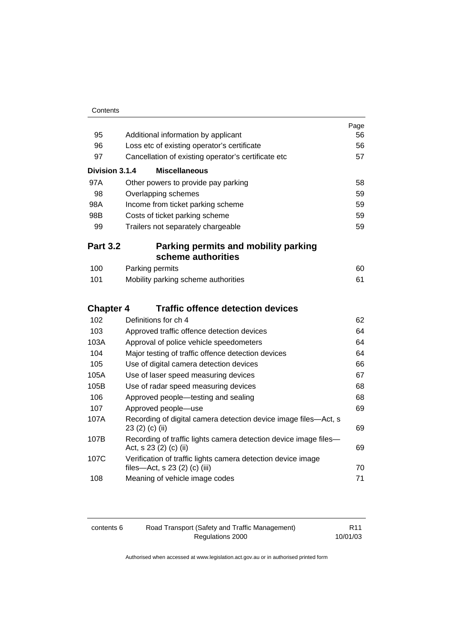| 95               | Additional information by applicant                                                           | Page<br>56 |
|------------------|-----------------------------------------------------------------------------------------------|------------|
| 96               | Loss etc of existing operator's certificate                                                   | 56         |
| 97               | Cancellation of existing operator's certificate etc                                           | 57         |
| Division 3.1.4   | <b>Miscellaneous</b>                                                                          |            |
|                  |                                                                                               |            |
| 97A<br>98        | Other powers to provide pay parking                                                           | 58<br>59   |
| 98A              | Overlapping schemes                                                                           |            |
| 98B              | Income from ticket parking scheme                                                             | 59<br>59   |
| 99               | Costs of ticket parking scheme                                                                | 59         |
|                  | Trailers not separately chargeable                                                            |            |
| <b>Part 3.2</b>  | Parking permits and mobility parking                                                          |            |
|                  | scheme authorities                                                                            |            |
| 100              | Parking permits                                                                               | 60         |
| 101              | Mobility parking scheme authorities                                                           | 61         |
| <b>Chapter 4</b> | <b>Traffic offence detection devices</b>                                                      |            |
| 102              | Definitions for ch 4                                                                          | 62         |
| 103              | Approved traffic offence detection devices                                                    | 64         |
| 103A             | Approval of police vehicle speedometers                                                       | 64         |
| 104              | Major testing of traffic offence detection devices                                            | 64         |
| 105              | Use of digital camera detection devices                                                       | 66         |
| 105A             | Use of laser speed measuring devices                                                          | 67         |
| 105B             | Use of radar speed measuring devices                                                          | 68         |
| 106              | Approved people-testing and sealing                                                           | 68         |
| 107              | Approved people-use                                                                           | 69         |
| 107A             | Recording of digital camera detection device image files-Act, s<br>23 (2) (c) (ii)            | 69         |
| 107B             | Recording of traffic lights camera detection device image files-<br>Act, s 23 (2) (c) (ii)    | 69         |
| 107C             | Verification of traffic lights camera detection device image<br>files-Act, s 23 (2) (c) (iii) | 70         |
| 108              | Meaning of vehicle image codes                                                                | 71         |

| contents 6 | Road Transport (Safety and Traffic Management) | R <sub>11</sub> |
|------------|------------------------------------------------|-----------------|
|            | Regulations 2000                               | 10/01/03        |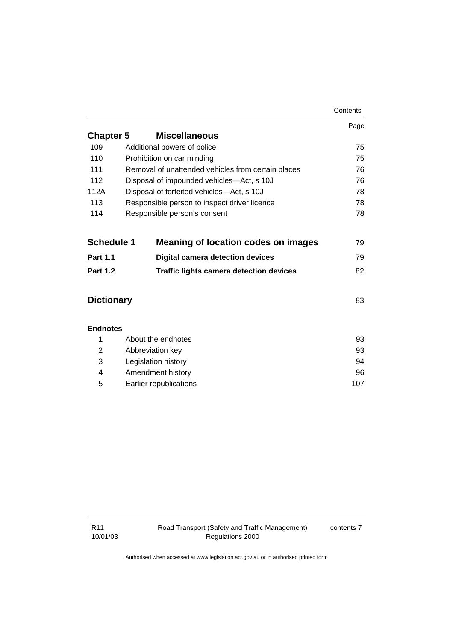|                   |                                                    | Contents |
|-------------------|----------------------------------------------------|----------|
|                   |                                                    | Page     |
| <b>Chapter 5</b>  | <b>Miscellaneous</b>                               |          |
| 109               | Additional powers of police                        | 75       |
| 110               | Prohibition on car minding                         | 75       |
| 111               | Removal of unattended vehicles from certain places | 76       |
| 112               | Disposal of impounded vehicles-Act, s 10J          | 76       |
| 112A              | Disposal of forfeited vehicles-Act, s 10J          | 78       |
| 113               | Responsible person to inspect driver licence       | 78       |
| 114               | Responsible person's consent                       | 78       |
| <b>Schedule 1</b> | <b>Meaning of location codes on images</b>         | 79       |
| <b>Part 1.1</b>   | <b>Digital camera detection devices</b>            | 79       |
| <b>Part 1.2</b>   | <b>Traffic lights camera detection devices</b>     | 82       |
| <b>Dictionary</b> |                                                    | 83       |
| <b>Endnotes</b>   |                                                    |          |
| 1                 | About the endnotes                                 | 93       |
| $\overline{2}$    | Abbreviation key                                   | 93       |
| 3                 | Legislation history                                | 94       |
| 4                 | Amendment history                                  | 96       |
| 5                 | Earlier republications                             | 107      |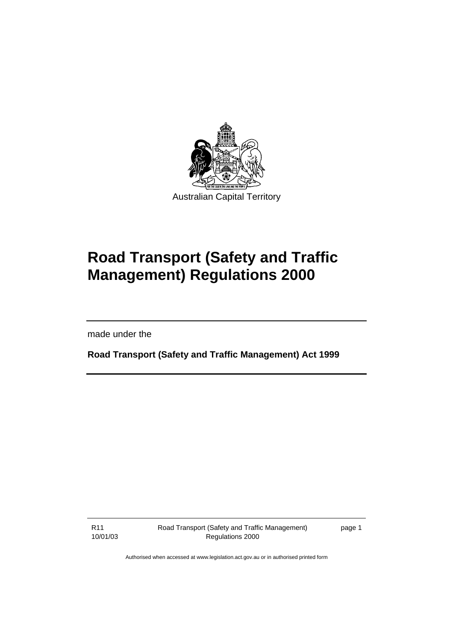

# **Road Transport (Safety and Traffic Management) Regulations 2000**

made under the

**Road Transport (Safety and Traffic Management) Act 1999** 

R11 10/01/03 Road Transport (Safety and Traffic Management) Regulations 2000

page 1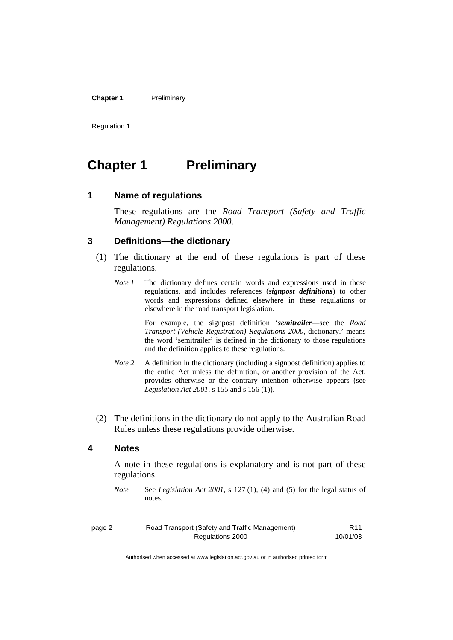#### **Chapter 1** Preliminary

Regulation 1

# **Chapter 1** Preliminary

#### **1 Name of regulations**

These regulations are the *Road Transport (Safety and Traffic Management) Regulations 2000*.

#### **3 Definitions—the dictionary**

- (1) The dictionary at the end of these regulations is part of these regulations.
	- *Note 1* The dictionary defines certain words and expressions used in these regulations, and includes references (*signpost definitions*) to other words and expressions defined elsewhere in these regulations or elsewhere in the road transport legislation.

 For example, the signpost definition '*semitrailer*—see the *Road Transport (Vehicle Registration) Regulations 2000*, dictionary.' means the word 'semitrailer' is defined in the dictionary to those regulations and the definition applies to these regulations.

- *Note 2* A definition in the dictionary (including a signpost definition) applies to the entire Act unless the definition, or another provision of the Act, provides otherwise or the contrary intention otherwise appears (see *Legislation Act 2001*, s 155 and s 156 (1)).
- (2) The definitions in the dictionary do not apply to the Australian Road Rules unless these regulations provide otherwise.

#### **4 Notes**

A note in these regulations is explanatory and is not part of these regulations.

*Note* See *Legislation Act 2001*, s 127 (1), (4) and (5) for the legal status of notes.

| page 2 | Road Transport (Safety and Traffic Management) | R <sub>11</sub> |
|--------|------------------------------------------------|-----------------|
|        | Regulations 2000                               | 10/01/03        |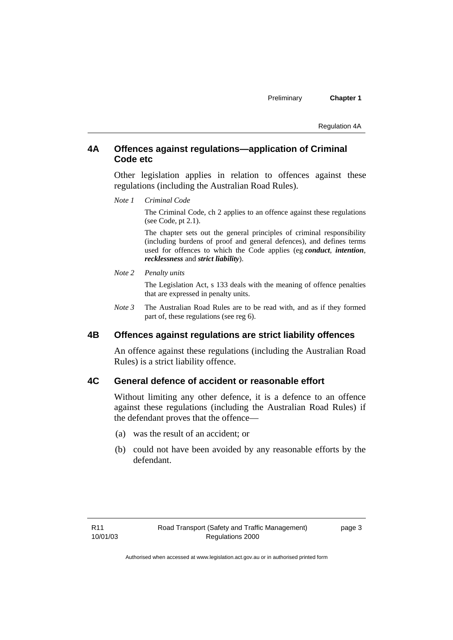Regulation 4A

#### **4A Offences against regulations—application of Criminal Code etc**

Other legislation applies in relation to offences against these regulations (including the Australian Road Rules).

*Note 1 Criminal Code*

The Criminal Code, ch 2 applies to an offence against these regulations (see Code, pt 2.1).

The chapter sets out the general principles of criminal responsibility (including burdens of proof and general defences), and defines terms used for offences to which the Code applies (eg *conduct*, *intention*, *recklessness* and *strict liability*).

*Note 2 Penalty units* 

The Legislation Act, s 133 deals with the meaning of offence penalties that are expressed in penalty units.

*Note 3* The Australian Road Rules are to be read with, and as if they formed part of, these regulations (see reg 6).

#### **4B Offences against regulations are strict liability offences**

An offence against these regulations (including the Australian Road Rules) is a strict liability offence.

### **4C General defence of accident or reasonable effort**

Without limiting any other defence, it is a defence to an offence against these regulations (including the Australian Road Rules) if the defendant proves that the offence—

- (a) was the result of an accident; or
- (b) could not have been avoided by any reasonable efforts by the defendant.

page 3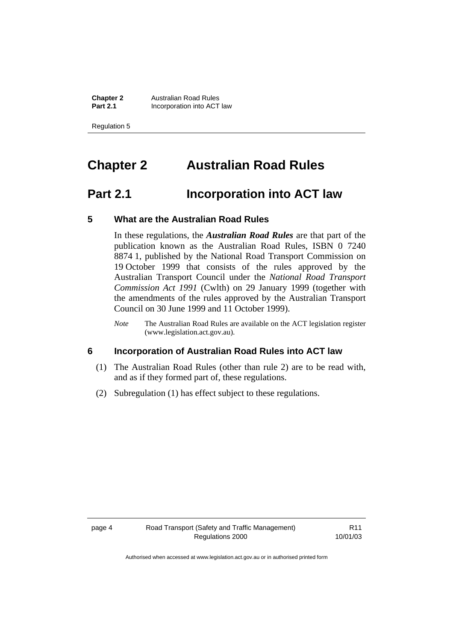**Chapter 2 Australian Road Rules**<br>**Part 2.1 Incorporation into ACT Incorporation into ACT law** 

Regulation 5

# **Chapter 2 Australian Road Rules**

# **Part 2.1 Incorporation into ACT law**

#### **5 What are the Australian Road Rules**

In these regulations, the *Australian Road Rules* are that part of the publication known as the Australian Road Rules, ISBN 0 7240 8874 1, published by the National Road Transport Commission on 19 October 1999 that consists of the rules approved by the Australian Transport Council under the *National Road Transport Commission Act 1991* (Cwlth) on 29 January 1999 (together with the amendments of the rules approved by the Australian Transport Council on 30 June 1999 and 11 October 1999).

*Note* The Australian Road Rules are available on the ACT legislation register (www.legislation.act.gov.au).

#### **6 Incorporation of Australian Road Rules into ACT law**

- (1) The Australian Road Rules (other than rule 2) are to be read with, and as if they formed part of, these regulations.
- (2) Subregulation (1) has effect subject to these regulations.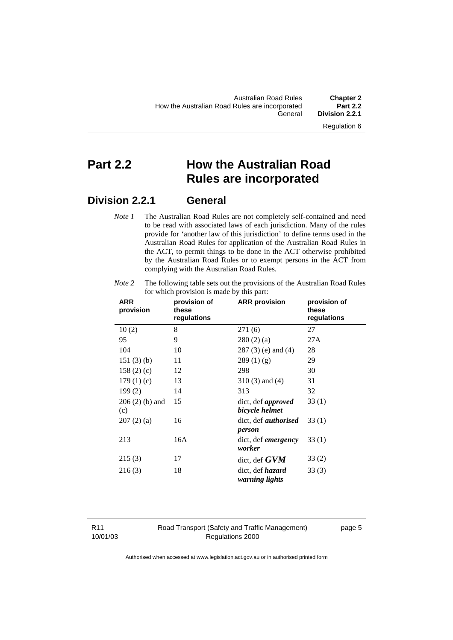Regulation 6

# **Part 2.2 How the Australian Road Rules are incorporated**

## **Division 2.2.1 General**

*Note 1* The Australian Road Rules are not completely self-contained and need to be read with associated laws of each jurisdiction. Many of the rules provide for 'another law of this jurisdiction' to define terms used in the Australian Road Rules for application of the Australian Road Rules in the ACT, to permit things to be done in the ACT otherwise prohibited by the Australian Road Rules or to exempt persons in the ACT from complying with the Australian Road Rules.

| <b>ARR</b><br>provision | provision of<br>these<br>regulations | <b>ARR</b> provision                        | provision of<br>these<br>regulations |
|-------------------------|--------------------------------------|---------------------------------------------|--------------------------------------|
| 10(2)                   | 8                                    | 271 (6)                                     | 27                                   |
| 95                      | 9                                    | 280(2)(a)                                   | 27A                                  |
| 104                     | 10                                   | $287(3)$ (e) and (4)                        | 28                                   |
| 151(3)(b)               | 11                                   | 289(1)(g)                                   | 29                                   |
| 158 $(2)$ $(c)$         | 12                                   | 298                                         | 30                                   |
| 179(1)(c)               | 13                                   | $310(3)$ and $(4)$                          | 31                                   |
| 199(2)                  | 14                                   | 313                                         | 32                                   |
| $206(2)$ (b) and<br>(c) | 15                                   | dict, def <i>approved</i><br>bicycle helmet | 33(1)                                |
| 207(2)(a)               | 16                                   | dict, def <i>authorised</i><br>person       | 33(1)                                |
| 213                     | 16A                                  | dict, def <i>emergency</i><br>worker        | 33(1)                                |
| 215(3)                  | 17                                   | dict, def $GVM$                             | 33(2)                                |
| 216(3)                  | 18                                   | dict, def <i>hazard</i><br>warning lights   | 33(3)                                |

*Note 2* The following table sets out the provisions of the Australian Road Rules for which provision is made by this part:

R11 10/01/03 Road Transport (Safety and Traffic Management) Regulations 2000

page 5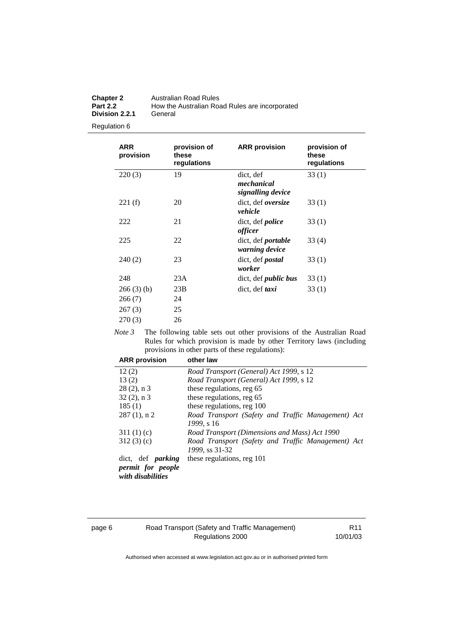| <b>Chapter 2</b> | Australian Road Rules                          |
|------------------|------------------------------------------------|
| <b>Part 2.2</b>  | How the Australian Road Rules are incorporated |
| Division 2.2.1   | General                                        |

Regulation 6

| <b>ARR</b><br>provision | provision of<br>these<br>regulations | <b>ARR</b> provision                         | provision of<br>these<br>regulations |
|-------------------------|--------------------------------------|----------------------------------------------|--------------------------------------|
| 220(3)                  | 19                                   | dict, def<br>mechanical<br>signalling device | 33(1)                                |
| 221(f)                  | 20                                   | dict, def <i>oversize</i><br>vehicle         | 33 (1)                               |
| 222                     | 21                                   | dict, def <i>police</i><br>officer           | 33(1)                                |
| 225                     | 22                                   | dict, def <i>portable</i><br>warning device  | 33(4)                                |
| 240(2)                  | 23                                   | dict, def <i>postal</i><br>worker            | 33(1)                                |
| 248                     | 23A                                  | dict, def <i>public bus</i>                  | 33 (1)                               |
| 266(3)(b)               | 23B                                  | dict, def <i>taxi</i>                        | 33(1)                                |
| 266(7)                  | 24                                   |                                              |                                      |
| 267(3)                  | 25                                   |                                              |                                      |
| 270(3)                  | 26                                   |                                              |                                      |

*Note 3* The following table sets out other provisions of the Australian Road Rules for which provision is made by other Territory laws (including provisions in other parts of these regulations):

| <b>ARR</b> provision                          | other law                                          |
|-----------------------------------------------|----------------------------------------------------|
| 12(2)                                         | Road Transport (General) Act 1999, s 12            |
| 13(2)                                         | Road Transport (General) Act 1999, s 12            |
| $28(2)$ , n 3                                 | these regulations, reg 65                          |
| $32(2)$ , n 3                                 | these regulations, reg 65                          |
| 185(1)                                        | these regulations, reg 100                         |
| $287(1)$ , n 2                                | Road Transport (Safety and Traffic Management) Act |
|                                               | 1999. s 16                                         |
| 311(1)(c)                                     | Road Transport (Dimensions and Mass) Act 1990      |
| 312(3)(c)                                     | Road Transport (Safety and Traffic Management) Act |
|                                               | 1999, ss 31-32                                     |
| dict, def <i>parking</i>                      | these regulations, reg 101                         |
| <i>permit for people</i><br>with disabilities |                                                    |

#### page 6 Road Transport (Safety and Traffic Management) Regulations 2000

R11 10/01/03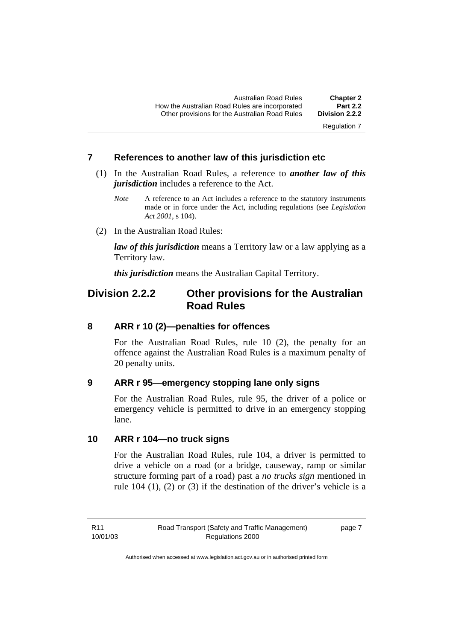Regulation 7

#### **7 References to another law of this jurisdiction etc**

- (1) In the Australian Road Rules, a reference to *another law of this jurisdiction* includes a reference to the Act.
	- *Note* A reference to an Act includes a reference to the statutory instruments made or in force under the Act, including regulations (see *Legislation Act 2001*, s 104).
- (2) In the Australian Road Rules:

*law of this jurisdiction* means a Territory law or a law applying as a Territory law.

*this jurisdiction* means the Australian Capital Territory.

## **Division 2.2.2 Other provisions for the Australian Road Rules**

#### **8 ARR r 10 (2)—penalties for offences**

For the Australian Road Rules, rule 10 (2), the penalty for an offence against the Australian Road Rules is a maximum penalty of 20 penalty units.

#### **9 ARR r 95—emergency stopping lane only signs**

For the Australian Road Rules, rule 95, the driver of a police or emergency vehicle is permitted to drive in an emergency stopping lane.

#### **10 ARR r 104—no truck signs**

For the Australian Road Rules, rule 104, a driver is permitted to drive a vehicle on a road (or a bridge, causeway, ramp or similar structure forming part of a road) past a *no trucks sign* mentioned in rule 104 (1), (2) or (3) if the destination of the driver's vehicle is a

page 7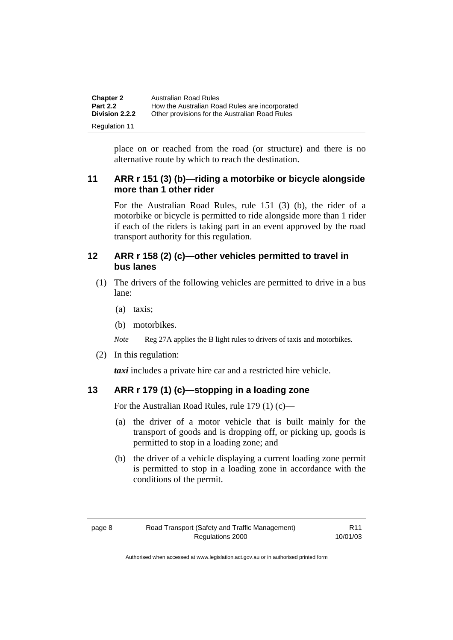| <b>Chapter 2</b><br><b>Part 2.2</b> | Australian Road Rules<br>How the Australian Road Rules are incorporated |
|-------------------------------------|-------------------------------------------------------------------------|
| Division 2.2.2                      | Other provisions for the Australian Road Rules                          |
| <b>Regulation 11</b>                |                                                                         |

place on or reached from the road (or structure) and there is no alternative route by which to reach the destination.

## **11 ARR r 151 (3) (b)—riding a motorbike or bicycle alongside more than 1 other rider**

For the Australian Road Rules, rule 151 (3) (b), the rider of a motorbike or bicycle is permitted to ride alongside more than 1 rider if each of the riders is taking part in an event approved by the road transport authority for this regulation.

### **12 ARR r 158 (2) (c)—other vehicles permitted to travel in bus lanes**

- (1) The drivers of the following vehicles are permitted to drive in a bus lane:
	- (a) taxis;
	- (b) motorbikes.

*Note* Reg 27A applies the B light rules to drivers of taxis and motorbikes.

(2) In this regulation:

*taxi* includes a private hire car and a restricted hire vehicle.

## **13 ARR r 179 (1) (c)—stopping in a loading zone**

For the Australian Road Rules, rule 179 (1) (c)—

- (a) the driver of a motor vehicle that is built mainly for the transport of goods and is dropping off, or picking up, goods is permitted to stop in a loading zone; and
- (b) the driver of a vehicle displaying a current loading zone permit is permitted to stop in a loading zone in accordance with the conditions of the permit.

R11 10/01/03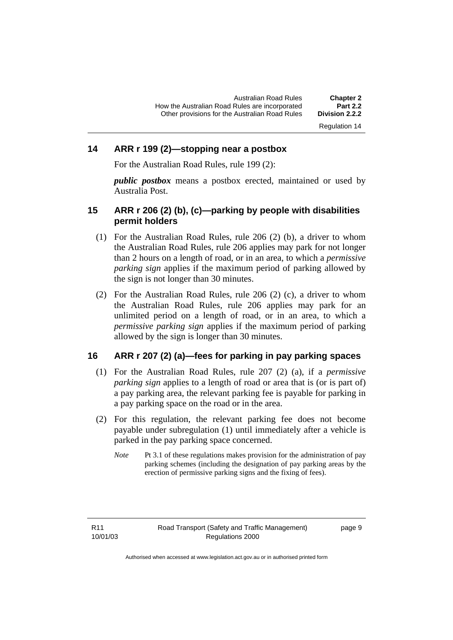#### **14 ARR r 199 (2)—stopping near a postbox**

For the Australian Road Rules, rule 199 (2):

*public postbox* means a postbox erected, maintained or used by Australia Post.

#### **15 ARR r 206 (2) (b), (c)—parking by people with disabilities permit holders**

- (1) For the Australian Road Rules, rule 206 (2) (b), a driver to whom the Australian Road Rules, rule 206 applies may park for not longer than 2 hours on a length of road, or in an area, to which a *permissive parking sign* applies if the maximum period of parking allowed by the sign is not longer than 30 minutes.
- (2) For the Australian Road Rules, rule 206 (2) (c), a driver to whom the Australian Road Rules, rule 206 applies may park for an unlimited period on a length of road, or in an area, to which a *permissive parking sign* applies if the maximum period of parking allowed by the sign is longer than 30 minutes.

#### **16 ARR r 207 (2) (a)—fees for parking in pay parking spaces**

- (1) For the Australian Road Rules, rule 207 (2) (a), if a *permissive parking sign* applies to a length of road or area that is (or is part of) a pay parking area, the relevant parking fee is payable for parking in a pay parking space on the road or in the area.
- (2) For this regulation, the relevant parking fee does not become payable under subregulation (1) until immediately after a vehicle is parked in the pay parking space concerned.
	- *Note* Pt 3.1 of these regulations makes provision for the administration of pay parking schemes (including the designation of pay parking areas by the erection of permissive parking signs and the fixing of fees).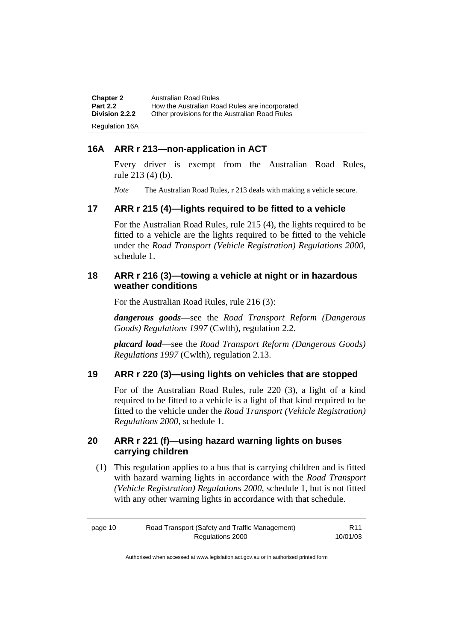| <b>Chapter 2</b>      | Australian Road Rules                          |
|-----------------------|------------------------------------------------|
| <b>Part 2.2</b>       | How the Australian Road Rules are incorporated |
| Division 2.2.2        | Other provisions for the Australian Road Rules |
| <b>Regulation 16A</b> |                                                |

### **16A ARR r 213—non-application in ACT**

Every driver is exempt from the Australian Road Rules, rule 213 (4) (b).

*Note* The Australian Road Rules, r 213 deals with making a vehicle secure.

#### **17 ARR r 215 (4)—lights required to be fitted to a vehicle**

For the Australian Road Rules, rule 215 (4), the lights required to be fitted to a vehicle are the lights required to be fitted to the vehicle under the *Road Transport (Vehicle Registration) Regulations 2000,*  schedule 1.

#### **18 ARR r 216 (3)—towing a vehicle at night or in hazardous weather conditions**

For the Australian Road Rules, rule 216 (3):

*dangerous goods*—see the *Road Transport Reform (Dangerous Goods) Regulations 1997* (Cwlth), regulation 2.2.

*placard load*—see the *Road Transport Reform (Dangerous Goods) Regulations 1997* (Cwlth), regulation 2.13.

#### **19 ARR r 220 (3)—using lights on vehicles that are stopped**

For of the Australian Road Rules, rule 220 (3), a light of a kind required to be fitted to a vehicle is a light of that kind required to be fitted to the vehicle under the *Road Transport (Vehicle Registration) Regulations 2000*, schedule 1.

#### **20 ARR r 221 (f)—using hazard warning lights on buses carrying children**

 (1) This regulation applies to a bus that is carrying children and is fitted with hazard warning lights in accordance with the *Road Transport (Vehicle Registration) Regulations 2000*, schedule 1, but is not fitted with any other warning lights in accordance with that schedule.

| page 10 | Road Transport (Safety and Traffic Management) | R11      |
|---------|------------------------------------------------|----------|
|         | Regulations 2000                               | 10/01/03 |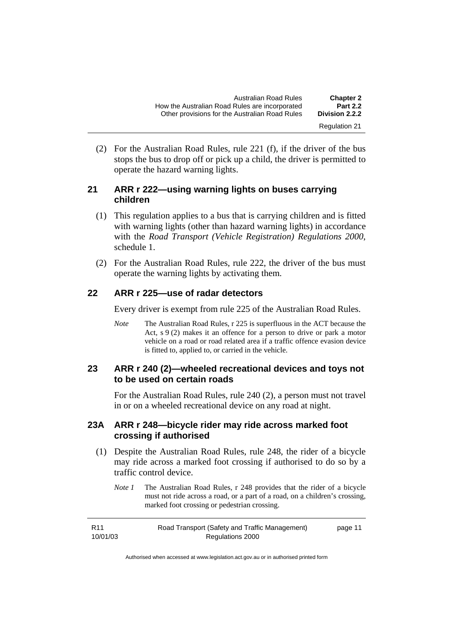| <b>Chapter 2</b>     | Australian Road Rules                          |
|----------------------|------------------------------------------------|
| <b>Part 2.2</b>      | How the Australian Road Rules are incorporated |
| Division 2.2.2       | Other provisions for the Australian Road Rules |
| <b>Regulation 21</b> |                                                |

 (2) For the Australian Road Rules, rule 221 (f), if the driver of the bus stops the bus to drop off or pick up a child, the driver is permitted to operate the hazard warning lights.

#### **21 ARR r 222—using warning lights on buses carrying children**

- (1) This regulation applies to a bus that is carrying children and is fitted with warning lights (other than hazard warning lights) in accordance with the *Road Transport (Vehicle Registration) Regulations 2000*, schedule 1.
- (2) For the Australian Road Rules, rule 222, the driver of the bus must operate the warning lights by activating them.

## **22 ARR r 225—use of radar detectors**

Every driver is exempt from rule 225 of the Australian Road Rules.

*Note* The Australian Road Rules, r 225 is superfluous in the ACT because the Act, s 9 (2) makes it an offence for a person to drive or park a motor vehicle on a road or road related area if a traffic offence evasion device is fitted to, applied to, or carried in the vehicle.

### **23 ARR r 240 (2)—wheeled recreational devices and toys not to be used on certain roads**

For the Australian Road Rules, rule 240 (2), a person must not travel in or on a wheeled recreational device on any road at night.

### **23A ARR r 248—bicycle rider may ride across marked foot crossing if authorised**

- (1) Despite the Australian Road Rules, rule 248, the rider of a bicycle may ride across a marked foot crossing if authorised to do so by a traffic control device.
	- *Note 1* The Australian Road Rules, r 248 provides that the rider of a bicycle must not ride across a road, or a part of a road, on a children's crossing, marked foot crossing or pedestrian crossing.

| R11      | Road Transport (Safety and Traffic Management) | page 11 |
|----------|------------------------------------------------|---------|
| 10/01/03 | Regulations 2000                               |         |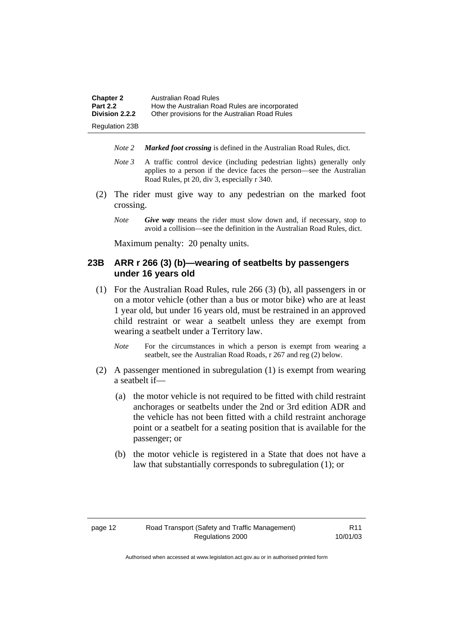| <b>Chapter 2</b>      | Australian Road Rules                          |
|-----------------------|------------------------------------------------|
| <b>Part 2.2</b>       | How the Australian Road Rules are incorporated |
| <b>Division 2.2.2</b> | Other provisions for the Australian Road Rules |
| <b>Regulation 23B</b> |                                                |

- *Note 2 Marked foot crossing* is defined in the Australian Road Rules, dict.
- *Note 3* A traffic control device (including pedestrian lights) generally only applies to a person if the device faces the person—see the Australian Road Rules, pt 20, div 3, especially r 340.
- (2) The rider must give way to any pedestrian on the marked foot crossing.
	- *Note Give way* means the rider must slow down and, if necessary, stop to avoid a collision—see the definition in the Australian Road Rules, dict.

Maximum penalty: 20 penalty units.

#### **23B ARR r 266 (3) (b)—wearing of seatbelts by passengers under 16 years old**

- (1) For the Australian Road Rules, rule 266 (3) (b), all passengers in or on a motor vehicle (other than a bus or motor bike) who are at least 1 year old, but under 16 years old, must be restrained in an approved child restraint or wear a seatbelt unless they are exempt from wearing a seatbelt under a Territory law.
	- *Note* For the circumstances in which a person is exempt from wearing a seatbelt, see the Australian Road Roads, r 267 and reg (2) below.
- (2) A passenger mentioned in subregulation (1) is exempt from wearing a seatbelt if—
	- (a) the motor vehicle is not required to be fitted with child restraint anchorages or seatbelts under the 2nd or 3rd edition ADR and the vehicle has not been fitted with a child restraint anchorage point or a seatbelt for a seating position that is available for the passenger; or
	- (b) the motor vehicle is registered in a State that does not have a law that substantially corresponds to subregulation (1); or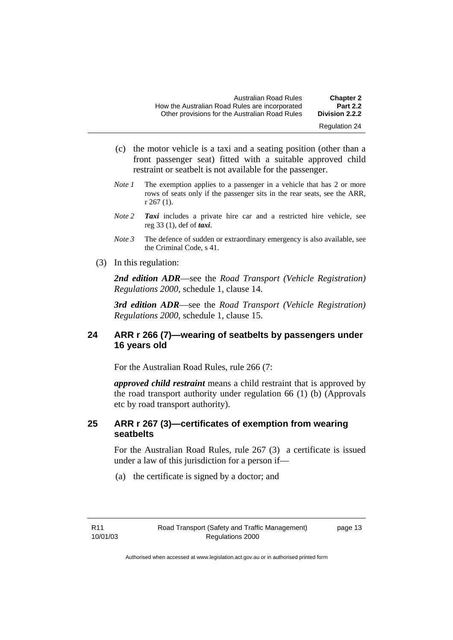| <b>Chapter 2</b><br><b>Part 2.2</b> | Australian Road Rules<br>How the Australian Road Rules are incorporated |
|-------------------------------------|-------------------------------------------------------------------------|
| Division 2.2.2                      | Other provisions for the Australian Road Rules                          |
| <b>Regulation 24</b>                |                                                                         |

- (c) the motor vehicle is a taxi and a seating position (other than a front passenger seat) fitted with a suitable approved child restraint or seatbelt is not available for the passenger.
- *Note 1* The exemption applies to a passenger in a vehicle that has 2 or more rows of seats only if the passenger sits in the rear seats, see the ARR, r 267 (1).
- *Note 2 Taxi* includes a private hire car and a restricted hire vehicle, see reg 33 (1), def of *taxi*.
- *Note 3* The defence of sudden or extraordinary emergency is also available, see the Criminal Code, s 41.
- (3) In this regulation:

*2nd edition ADR*—see the *Road Transport (Vehicle Registration) Regulations 2000*, schedule 1, clause 14.

*3rd edition ADR*—see the *Road Transport (Vehicle Registration) Regulations 2000*, schedule 1, clause 15.

## **24 ARR r 266 (7)—wearing of seatbelts by passengers under 16 years old**

For the Australian Road Rules, rule 266 (7:

*approved child restraint* means a child restraint that is approved by the road transport authority under regulation 66 (1) (b) (Approvals etc by road transport authority).

### **25 ARR r 267 (3)—certificates of exemption from wearing seatbelts**

For the Australian Road Rules, rule 267 (3) a certificate is issued under a law of this jurisdiction for a person if—

(a) the certificate is signed by a doctor; and

page 13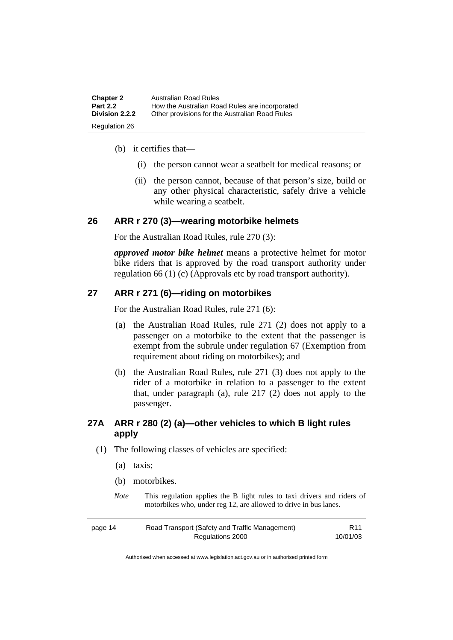| <b>Chapter 2</b>     | Australian Road Rules                          |
|----------------------|------------------------------------------------|
| <b>Part 2.2</b>      | How the Australian Road Rules are incorporated |
| Division 2.2.2       | Other provisions for the Australian Road Rules |
| <b>Regulation 26</b> |                                                |

- (b) it certifies that—
	- (i) the person cannot wear a seatbelt for medical reasons; or
	- (ii) the person cannot, because of that person's size, build or any other physical characteristic, safely drive a vehicle while wearing a seatbelt.

#### **26 ARR r 270 (3)—wearing motorbike helmets**

For the Australian Road Rules, rule 270 (3):

*approved motor bike helmet* means a protective helmet for motor bike riders that is approved by the road transport authority under regulation 66 (1) (c) (Approvals etc by road transport authority).

#### **27 ARR r 271 (6)—riding on motorbikes**

For the Australian Road Rules, rule 271 (6):

- (a) the Australian Road Rules, rule 271 (2) does not apply to a passenger on a motorbike to the extent that the passenger is exempt from the subrule under regulation 67 (Exemption from requirement about riding on motorbikes); and
- (b) the Australian Road Rules, rule 271 (3) does not apply to the rider of a motorbike in relation to a passenger to the extent that, under paragraph (a), rule 217 (2) does not apply to the passenger.

## **27A ARR r 280 (2) (a)—other vehicles to which B light rules apply**

- (1) The following classes of vehicles are specified:
	- (a) taxis;
	- (b) motorbikes.
	- *Note* This regulation applies the B light rules to taxi drivers and riders of motorbikes who, under reg 12, are allowed to drive in bus lanes.

| page 14 | Road Transport (Safety and Traffic Management) | R <sub>11</sub> |
|---------|------------------------------------------------|-----------------|
|         | Regulations 2000                               | 10/01/03        |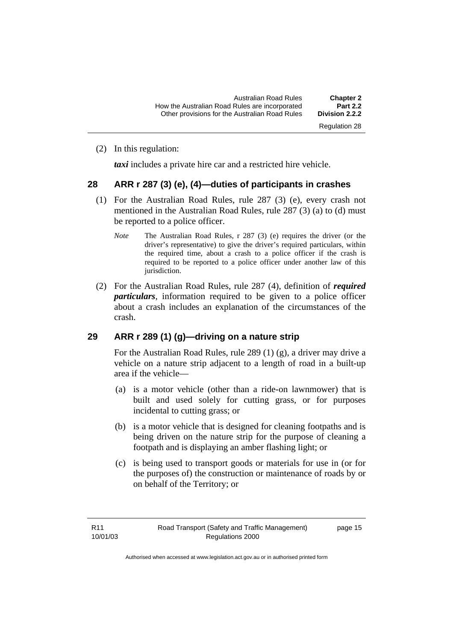(2) In this regulation:

*taxi* includes a private hire car and a restricted hire vehicle.

#### **28 ARR r 287 (3) (e), (4)—duties of participants in crashes**

- (1) For the Australian Road Rules, rule 287 (3) (e), every crash not mentioned in the Australian Road Rules, rule 287 (3) (a) to (d) must be reported to a police officer.
	- *Note* The Australian Road Rules, r 287 (3) (e) requires the driver (or the driver's representative) to give the driver's required particulars, within the required time, about a crash to a police officer if the crash is required to be reported to a police officer under another law of this jurisdiction.
- (2) For the Australian Road Rules, rule 287 (4), definition of *required particulars*, information required to be given to a police officer about a crash includes an explanation of the circumstances of the crash.

#### **29 ARR r 289 (1) (g)—driving on a nature strip**

For the Australian Road Rules, rule 289 (1) (g), a driver may drive a vehicle on a nature strip adjacent to a length of road in a built-up area if the vehicle—

- (a) is a motor vehicle (other than a ride-on lawnmower) that is built and used solely for cutting grass, or for purposes incidental to cutting grass; or
- (b) is a motor vehicle that is designed for cleaning footpaths and is being driven on the nature strip for the purpose of cleaning a footpath and is displaying an amber flashing light; or
- (c) is being used to transport goods or materials for use in (or for the purposes of) the construction or maintenance of roads by or on behalf of the Territory; or

page 15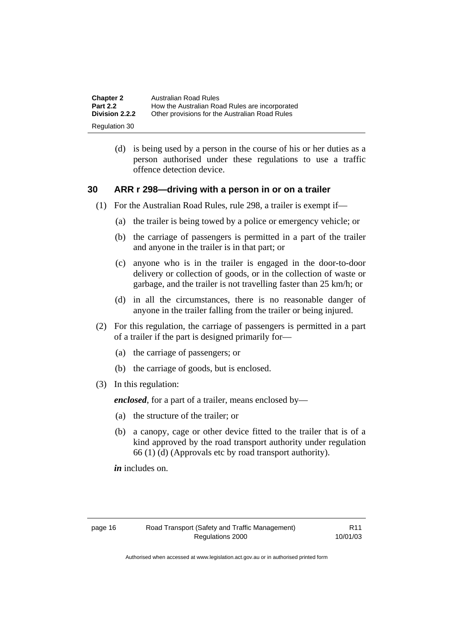| <b>Chapter 2</b><br><b>Part 2.2</b> | Australian Road Rules<br>How the Australian Road Rules are incorporated |
|-------------------------------------|-------------------------------------------------------------------------|
| Division 2.2.2                      | Other provisions for the Australian Road Rules                          |
| Regulation 30                       |                                                                         |

 (d) is being used by a person in the course of his or her duties as a person authorised under these regulations to use a traffic offence detection device.

#### **30 ARR r 298—driving with a person in or on a trailer**

- (1) For the Australian Road Rules, rule 298, a trailer is exempt if—
	- (a) the trailer is being towed by a police or emergency vehicle; or
	- (b) the carriage of passengers is permitted in a part of the trailer and anyone in the trailer is in that part; or
	- (c) anyone who is in the trailer is engaged in the door-to-door delivery or collection of goods, or in the collection of waste or garbage, and the trailer is not travelling faster than 25 km/h; or
	- (d) in all the circumstances, there is no reasonable danger of anyone in the trailer falling from the trailer or being injured.
- (2) For this regulation, the carriage of passengers is permitted in a part of a trailer if the part is designed primarily for—
	- (a) the carriage of passengers; or
	- (b) the carriage of goods, but is enclosed.
- (3) In this regulation:

*enclosed*, for a part of a trailer, means enclosed by—

- (a) the structure of the trailer; or
- (b) a canopy, cage or other device fitted to the trailer that is of a kind approved by the road transport authority under regulation 66 (1) (d) (Approvals etc by road transport authority).

*in* includes on.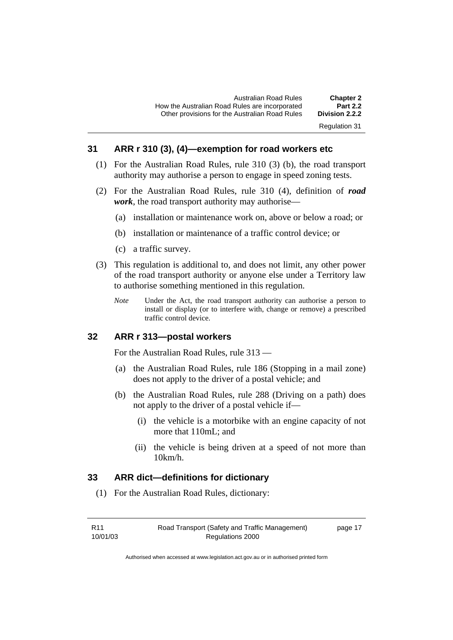### **31 ARR r 310 (3), (4)—exemption for road workers etc**

- (1) For the Australian Road Rules, rule 310 (3) (b), the road transport authority may authorise a person to engage in speed zoning tests.
- (2) For the Australian Road Rules, rule 310 (4), definition of *road work*, the road transport authority may authorise—
	- (a) installation or maintenance work on, above or below a road; or
	- (b) installation or maintenance of a traffic control device; or
	- (c) a traffic survey.
- (3) This regulation is additional to, and does not limit, any other power of the road transport authority or anyone else under a Territory law to authorise something mentioned in this regulation.
	- *Note* Under the Act, the road transport authority can authorise a person to install or display (or to interfere with, change or remove) a prescribed traffic control device.

#### **32 ARR r 313—postal workers**

For the Australian Road Rules, rule 313 —

- (a) the Australian Road Rules, rule 186 (Stopping in a mail zone) does not apply to the driver of a postal vehicle; and
- (b) the Australian Road Rules, rule 288 (Driving on a path) does not apply to the driver of a postal vehicle if—
	- (i) the vehicle is a motorbike with an engine capacity of not more that 110mL; and
	- (ii) the vehicle is being driven at a speed of not more than 10km/h.

#### **33 ARR dict—definitions for dictionary**

(1) For the Australian Road Rules, dictionary:

| R <sub>11</sub> |  |
|-----------------|--|
| 10/01/03        |  |

page 17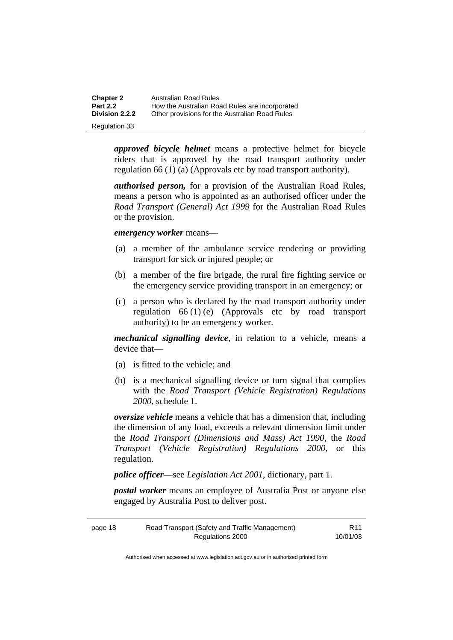| <b>Chapter 2</b>     | Australian Road Rules                          |
|----------------------|------------------------------------------------|
| <b>Part 2.2</b>      | How the Australian Road Rules are incorporated |
| Division 2.2.2       | Other provisions for the Australian Road Rules |
| <b>Regulation 33</b> |                                                |

*approved bicycle helmet* means a protective helmet for bicycle riders that is approved by the road transport authority under regulation 66 (1) (a) (Approvals etc by road transport authority).

*authorised person,* for a provision of the Australian Road Rules, means a person who is appointed as an authorised officer under the *Road Transport (General) Act 1999* for the Australian Road Rules or the provision.

*emergency worker* means—

- (a) a member of the ambulance service rendering or providing transport for sick or injured people; or
- (b) a member of the fire brigade, the rural fire fighting service or the emergency service providing transport in an emergency; or
- (c) a person who is declared by the road transport authority under regulation  $66 (1) (e)$  (Approvals etc by road transport authority) to be an emergency worker.

*mechanical signalling device*, in relation to a vehicle, means a device that—

- (a) is fitted to the vehicle; and
- (b) is a mechanical signalling device or turn signal that complies with the *Road Transport (Vehicle Registration) Regulations 2000*, schedule 1.

*oversize vehicle* means a vehicle that has a dimension that, including the dimension of any load, exceeds a relevant dimension limit under the *Road Transport (Dimensions and Mass) Act 1990*, the *Road Transport (Vehicle Registration) Regulations 2000*, or this regulation.

*police officer*—see *Legislation Act 2001*, dictionary, part 1.

*postal worker* means an employee of Australia Post or anyone else engaged by Australia Post to deliver post.

| page 18 | Road Transport (Safety and Traffic Management) | R <sub>11</sub> |
|---------|------------------------------------------------|-----------------|
|         | Regulations 2000                               | 10/01/03        |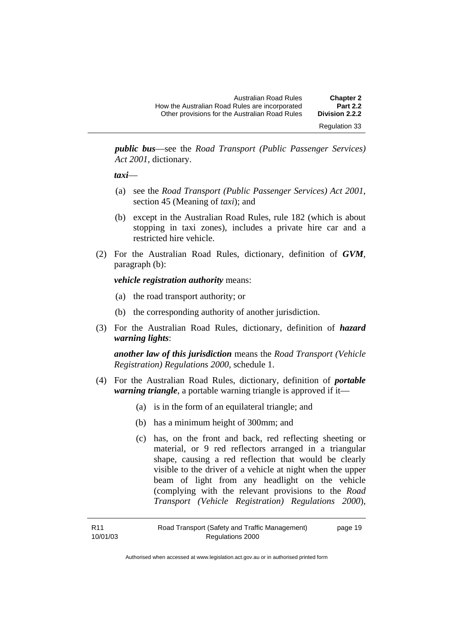| Australian Road Rules                          | <b>Chapter 2</b>                       |
|------------------------------------------------|----------------------------------------|
| How the Australian Road Rules are incorporated | <b>Part 2.2</b>                        |
| Other provisions for the Australian Road Rules | Division 2.2.2<br><b>Regulation 33</b> |

*public bus*—see the *Road Transport (Public Passenger Services) Act 2001*, dictionary.

*taxi*—

- (a) see the *Road Transport (Public Passenger Services) Act 2001*, section 45 (Meaning of *taxi*); and
- (b) except in the Australian Road Rules, rule 182 (which is about stopping in taxi zones), includes a private hire car and a restricted hire vehicle.
- (2) For the Australian Road Rules, dictionary, definition of *GVM*, paragraph (b):

*vehicle registration authority* means:

- (a) the road transport authority; or
- (b) the corresponding authority of another jurisdiction.
- (3) For the Australian Road Rules, dictionary, definition of *hazard warning lights*:

*another law of this jurisdiction* means the *Road Transport (Vehicle Registration) Regulations 2000*, schedule 1.

- (4) For the Australian Road Rules, dictionary, definition of *portable warning triangle*, a portable warning triangle is approved if it—
	- (a) is in the form of an equilateral triangle; and
	- (b) has a minimum height of 300mm; and
	- (c) has, on the front and back, red reflecting sheeting or material, or 9 red reflectors arranged in a triangular shape, causing a red reflection that would be clearly visible to the driver of a vehicle at night when the upper beam of light from any headlight on the vehicle (complying with the relevant provisions to the *Road Transport (Vehicle Registration) Regulations 2000*),

| R11      | Road Transport (Safety and Traffic Management) | page 19 |
|----------|------------------------------------------------|---------|
| 10/01/03 | Regulations 2000                               |         |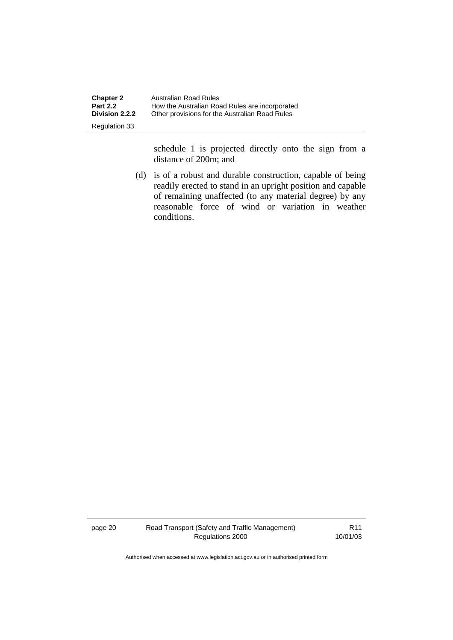| <b>Chapter 2</b>      | Australian Road Rules                          |
|-----------------------|------------------------------------------------|
| <b>Part 2.2</b>       | How the Australian Road Rules are incorporated |
| <b>Division 2.2.2</b> | Other provisions for the Australian Road Rules |
| <b>Regulation 33</b>  |                                                |

schedule 1 is projected directly onto the sign from a distance of 200m; and

 (d) is of a robust and durable construction, capable of being readily erected to stand in an upright position and capable of remaining unaffected (to any material degree) by any reasonable force of wind or variation in weather conditions.

page 20 Road Transport (Safety and Traffic Management) Regulations 2000

R11 10/01/03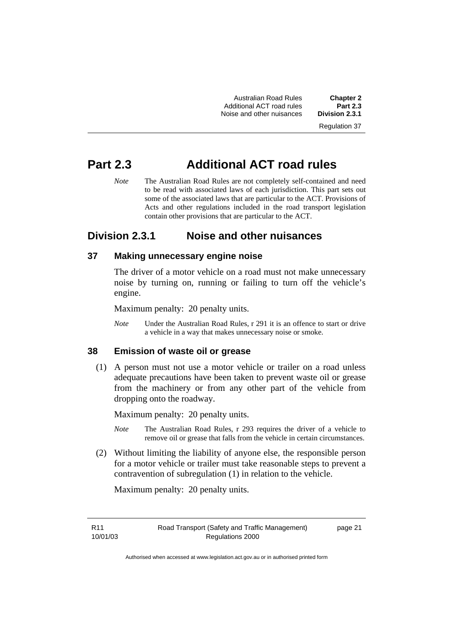Australian Road Rules **Chapter 2**  Additional ACT road rules **Part 2.3**  Noise and other nuisances

Regulation 37

# **Part 2.3 Additional ACT road rules**

*Note* The Australian Road Rules are not completely self-contained and need to be read with associated laws of each jurisdiction. This part sets out some of the associated laws that are particular to the ACT. Provisions of Acts and other regulations included in the road transport legislation contain other provisions that are particular to the ACT.

## **Division 2.3.1 Noise and other nuisances**

## **37 Making unnecessary engine noise**

The driver of a motor vehicle on a road must not make unnecessary noise by turning on, running or failing to turn off the vehicle's engine.

Maximum penalty: 20 penalty units.

*Note* Under the Australian Road Rules, r 291 it is an offence to start or drive a vehicle in a way that makes unnecessary noise or smoke.

#### **38 Emission of waste oil or grease**

 (1) A person must not use a motor vehicle or trailer on a road unless adequate precautions have been taken to prevent waste oil or grease from the machinery or from any other part of the vehicle from dropping onto the roadway.

Maximum penalty: 20 penalty units.

- *Note* The Australian Road Rules, r 293 requires the driver of a vehicle to remove oil or grease that falls from the vehicle in certain circumstances.
- (2) Without limiting the liability of anyone else, the responsible person for a motor vehicle or trailer must take reasonable steps to prevent a contravention of subregulation (1) in relation to the vehicle.

Maximum penalty: 20 penalty units.

R11 10/01/03 page 21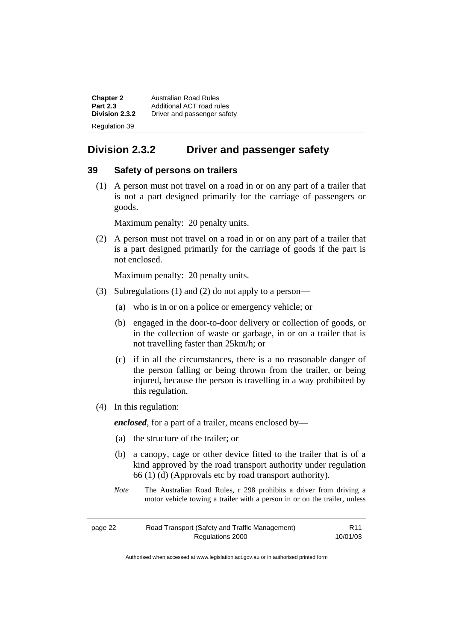**Chapter 2 Australian Road Rules**<br>**Part 2.3 Additional ACT road rules Part 2.3** Additional ACT road rules<br>**Division 2.3.2** Driver and passenger safe **Division 2.3.2** Driver and passenger safety Regulation 39

## **Division 2.3.2 Driver and passenger safety**

#### **39 Safety of persons on trailers**

 (1) A person must not travel on a road in or on any part of a trailer that is not a part designed primarily for the carriage of passengers or goods.

Maximum penalty: 20 penalty units.

 (2) A person must not travel on a road in or on any part of a trailer that is a part designed primarily for the carriage of goods if the part is not enclosed.

Maximum penalty: 20 penalty units.

- (3) Subregulations (1) and (2) do not apply to a person—
	- (a) who is in or on a police or emergency vehicle; or
	- (b) engaged in the door-to-door delivery or collection of goods, or in the collection of waste or garbage, in or on a trailer that is not travelling faster than 25km/h; or
	- (c) if in all the circumstances, there is a no reasonable danger of the person falling or being thrown from the trailer, or being injured, because the person is travelling in a way prohibited by this regulation.
- (4) In this regulation:

*enclosed*, for a part of a trailer, means enclosed by—

- (a) the structure of the trailer; or
- (b) a canopy, cage or other device fitted to the trailer that is of a kind approved by the road transport authority under regulation 66 (1) (d) (Approvals etc by road transport authority).
- *Note* The Australian Road Rules, r 298 prohibits a driver from driving a motor vehicle towing a trailer with a person in or on the trailer, unless

| page 22 | Road Transport (Safety and Traffic Management) | R <sub>11</sub> |
|---------|------------------------------------------------|-----------------|
|         | Regulations 2000                               | 10/01/03        |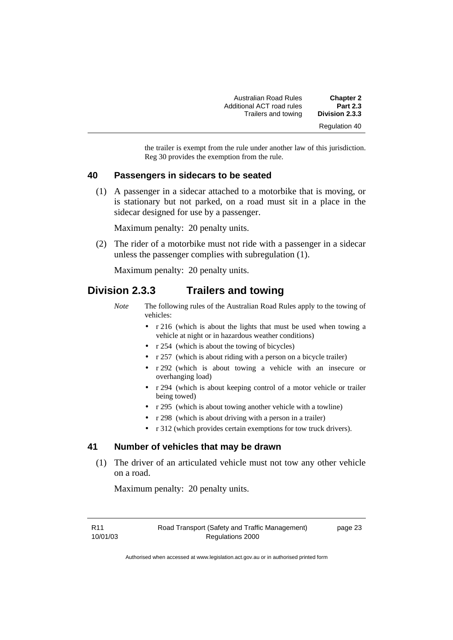| <b>Chapter 2</b>     | Australian Road Rules     |
|----------------------|---------------------------|
| <b>Part 2.3</b>      | Additional ACT road rules |
| Division 2.3.3       | Trailers and towing       |
| <b>Regulation 40</b> |                           |

the trailer is exempt from the rule under another law of this jurisdiction. Reg 30 provides the exemption from the rule.

#### **40 Passengers in sidecars to be seated**

 (1) A passenger in a sidecar attached to a motorbike that is moving, or is stationary but not parked, on a road must sit in a place in the sidecar designed for use by a passenger.

Maximum penalty: 20 penalty units.

 (2) The rider of a motorbike must not ride with a passenger in a sidecar unless the passenger complies with subregulation (1).

Maximum penalty: 20 penalty units.

## **Division 2.3.3 Trailers and towing**

- *Note* The following rules of the Australian Road Rules apply to the towing of vehicles:
	- r 216 (which is about the lights that must be used when towing a vehicle at night or in hazardous weather conditions)
	- r 254 (which is about the towing of bicycles)
	- r 257 (which is about riding with a person on a bicycle trailer)
	- r 292 (which is about towing a vehicle with an insecure or overhanging load)
	- r 294 (which is about keeping control of a motor vehicle or trailer being towed)
	- r 295 (which is about towing another vehicle with a towline)
	- r 298 (which is about driving with a person in a trailer)
	- r 312 (which provides certain exemptions for tow truck drivers).

#### **41 Number of vehicles that may be drawn**

 (1) The driver of an articulated vehicle must not tow any other vehicle on a road.

Maximum penalty: 20 penalty units.

R11 10/01/03 Road Transport (Safety and Traffic Management) Regulations 2000

page 23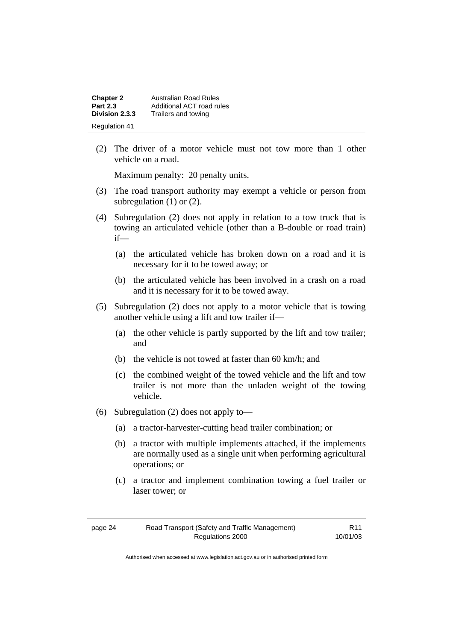| <b>Chapter 2</b>     | Australian Road Rules     |
|----------------------|---------------------------|
| <b>Part 2.3</b>      | Additional ACT road rules |
| Division 2.3.3       | Trailers and towing       |
| <b>Regulation 41</b> |                           |

 (2) The driver of a motor vehicle must not tow more than 1 other vehicle on a road.

Maximum penalty: 20 penalty units.

- (3) The road transport authority may exempt a vehicle or person from subregulation (1) or (2).
- (4) Subregulation (2) does not apply in relation to a tow truck that is towing an articulated vehicle (other than a B-double or road train) if—
	- (a) the articulated vehicle has broken down on a road and it is necessary for it to be towed away; or
	- (b) the articulated vehicle has been involved in a crash on a road and it is necessary for it to be towed away.
- (5) Subregulation (2) does not apply to a motor vehicle that is towing another vehicle using a lift and tow trailer if—
	- (a) the other vehicle is partly supported by the lift and tow trailer; and
	- (b) the vehicle is not towed at faster than 60 km/h; and
	- (c) the combined weight of the towed vehicle and the lift and tow trailer is not more than the unladen weight of the towing vehicle.
- (6) Subregulation (2) does not apply to—
	- (a) a tractor-harvester-cutting head trailer combination; or
	- (b) a tractor with multiple implements attached, if the implements are normally used as a single unit when performing agricultural operations; or
	- (c) a tractor and implement combination towing a fuel trailer or laser tower; or

| page 24 | Road Transport (Safety and Traffic Management) | R <sub>11</sub> |
|---------|------------------------------------------------|-----------------|
|         | Regulations 2000                               | 10/01/03        |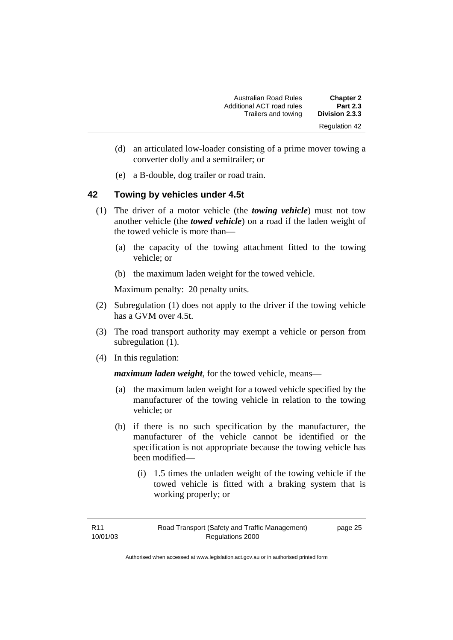| <b>Chapter 2</b>     | <b>Australian Road Rules</b> |
|----------------------|------------------------------|
| <b>Part 2.3</b>      | Additional ACT road rules    |
| Division 2.3.3       | Trailers and towing          |
| <b>Regulation 42</b> |                              |

- (d) an articulated low-loader consisting of a prime mover towing a converter dolly and a semitrailer; or
- (e) a B-double, dog trailer or road train.

#### **42 Towing by vehicles under 4.5t**

- (1) The driver of a motor vehicle (the *towing vehicle*) must not tow another vehicle (the *towed vehicle*) on a road if the laden weight of the towed vehicle is more than—
	- (a) the capacity of the towing attachment fitted to the towing vehicle; or
	- (b) the maximum laden weight for the towed vehicle.

Maximum penalty: 20 penalty units.

- (2) Subregulation (1) does not apply to the driver if the towing vehicle has a GVM over 4.5t.
- (3) The road transport authority may exempt a vehicle or person from subregulation (1).
- (4) In this regulation:

*maximum laden weight*, for the towed vehicle, means—

- (a) the maximum laden weight for a towed vehicle specified by the manufacturer of the towing vehicle in relation to the towing vehicle; or
- (b) if there is no such specification by the manufacturer, the manufacturer of the vehicle cannot be identified or the specification is not appropriate because the towing vehicle has been modified—
	- (i) 1.5 times the unladen weight of the towing vehicle if the towed vehicle is fitted with a braking system that is working properly; or

page 25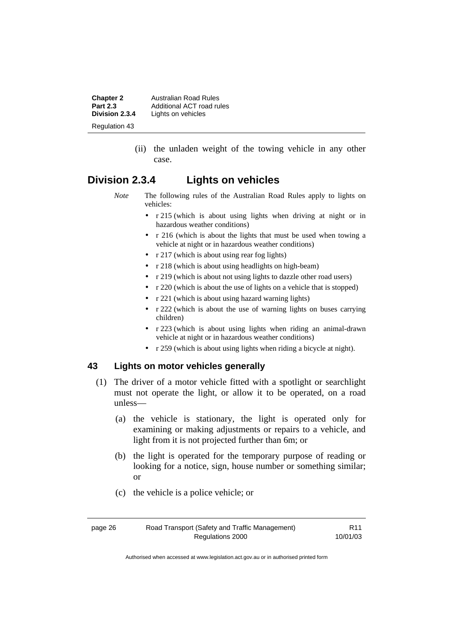**Chapter 2** Australian Road Rules<br>**Part 2.3** Additional ACT road rules **Part 2.3** Additional ACT road rules<br>**Division 2.3.4** Lights on vehicles Lights on vehicles Regulation 43

> (ii) the unladen weight of the towing vehicle in any other case.

## **Division 2.3.4 Lights on vehicles**

- *Note* The following rules of the Australian Road Rules apply to lights on vehicles:
	- r 215 (which is about using lights when driving at night or in hazardous weather conditions)
	- r 216 (which is about the lights that must be used when towing a vehicle at night or in hazardous weather conditions)
	- r 217 (which is about using rear fog lights)
	- r 218 (which is about using headlights on high-beam)
	- r 219 (which is about not using lights to dazzle other road users)
	- r 220 (which is about the use of lights on a vehicle that is stopped)
	- r 221 (which is about using hazard warning lights)
	- r 222 (which is about the use of warning lights on buses carrying children)
	- r 223 (which is about using lights when riding an animal-drawn vehicle at night or in hazardous weather conditions)
	- r 259 (which is about using lights when riding a bicycle at night).

#### **43 Lights on motor vehicles generally**

- (1) The driver of a motor vehicle fitted with a spotlight or searchlight must not operate the light, or allow it to be operated, on a road unless—
	- (a) the vehicle is stationary, the light is operated only for examining or making adjustments or repairs to a vehicle, and light from it is not projected further than 6m; or
	- (b) the light is operated for the temporary purpose of reading or looking for a notice, sign, house number or something similar; or
	- (c) the vehicle is a police vehicle; or

R11 10/01/03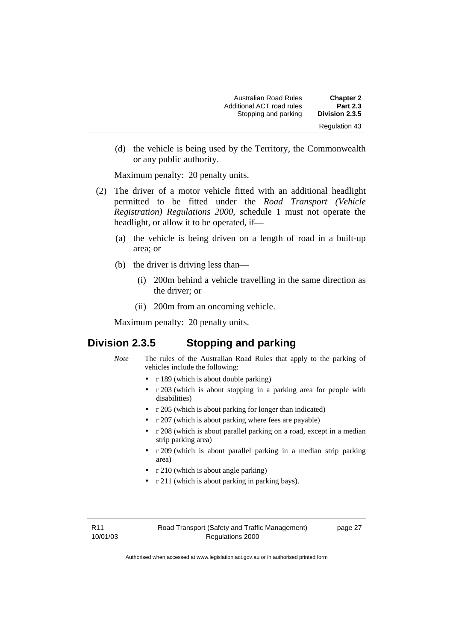| <b>Chapter 2</b>     | <b>Australian Road Rules</b> |
|----------------------|------------------------------|
| <b>Part 2.3</b>      | Additional ACT road rules    |
| Division 2.3.5       | Stopping and parking         |
| <b>Regulation 43</b> |                              |

 (d) the vehicle is being used by the Territory, the Commonwealth or any public authority.

Maximum penalty: 20 penalty units.

- (2) The driver of a motor vehicle fitted with an additional headlight permitted to be fitted under the *Road Transport (Vehicle Registration) Regulations 2000*, schedule 1 must not operate the headlight, or allow it to be operated, if—
	- (a) the vehicle is being driven on a length of road in a built-up area; or
	- (b) the driver is driving less than—
		- (i) 200m behind a vehicle travelling in the same direction as the driver; or
		- (ii) 200m from an oncoming vehicle.

Maximum penalty: 20 penalty units.

## **Division 2.3.5 Stopping and parking**

- *Note* The rules of the Australian Road Rules that apply to the parking of vehicles include the following:
	- r 189 (which is about double parking)
	- r 203 (which is about stopping in a parking area for people with disabilities)
	- r 205 (which is about parking for longer than indicated)
	- r 207 (which is about parking where fees are payable)
	- r 208 (which is about parallel parking on a road, except in a median strip parking area)
	- r 209 (which is about parallel parking in a median strip parking area)
	- r 210 (which is about angle parking)
	- r 211 (which is about parking in parking bays).

R11 10/01/03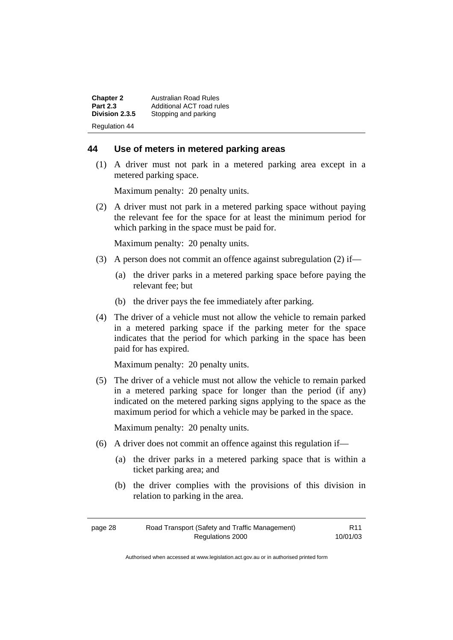| <b>Chapter 2</b>     | Australian Road Rules     |
|----------------------|---------------------------|
| <b>Part 2.3</b>      | Additional ACT road rules |
| Division 2.3.5       | Stopping and parking      |
| <b>Regulation 44</b> |                           |

#### **44 Use of meters in metered parking areas**

 (1) A driver must not park in a metered parking area except in a metered parking space.

Maximum penalty: 20 penalty units.

 (2) A driver must not park in a metered parking space without paying the relevant fee for the space for at least the minimum period for which parking in the space must be paid for.

Maximum penalty: 20 penalty units.

- (3) A person does not commit an offence against subregulation (2) if—
	- (a) the driver parks in a metered parking space before paying the relevant fee; but
	- (b) the driver pays the fee immediately after parking.
- (4) The driver of a vehicle must not allow the vehicle to remain parked in a metered parking space if the parking meter for the space indicates that the period for which parking in the space has been paid for has expired.

Maximum penalty: 20 penalty units.

 (5) The driver of a vehicle must not allow the vehicle to remain parked in a metered parking space for longer than the period (if any) indicated on the metered parking signs applying to the space as the maximum period for which a vehicle may be parked in the space.

Maximum penalty: 20 penalty units.

- (6) A driver does not commit an offence against this regulation if—
	- (a) the driver parks in a metered parking space that is within a ticket parking area; and
	- (b) the driver complies with the provisions of this division in relation to parking in the area.

| page 28 | Road Transport (Safety and Traffic Management) | R <sub>11</sub> |
|---------|------------------------------------------------|-----------------|
|         | Regulations 2000                               | 10/01/03        |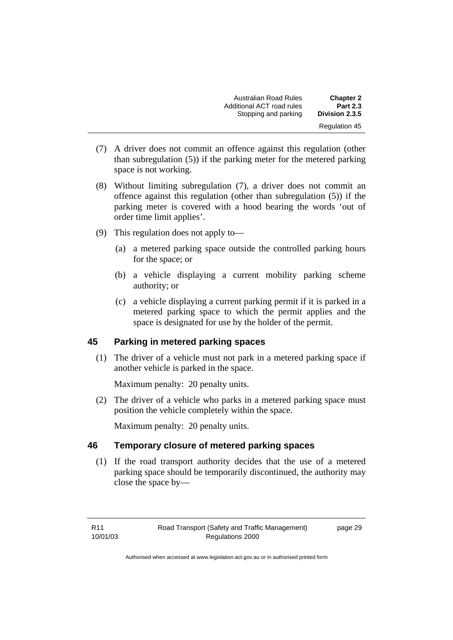| <b>Chapter 2</b>     | <b>Australian Road Rules</b> |
|----------------------|------------------------------|
| <b>Part 2.3</b>      | Additional ACT road rules    |
| Division 2.3.5       | Stopping and parking         |
| <b>Regulation 45</b> |                              |

- (7) A driver does not commit an offence against this regulation (other than subregulation (5)) if the parking meter for the metered parking space is not working.
- (8) Without limiting subregulation (7), a driver does not commit an offence against this regulation (other than subregulation (5)) if the parking meter is covered with a hood bearing the words 'out of order time limit applies'.
- (9) This regulation does not apply to—
	- (a) a metered parking space outside the controlled parking hours for the space; or
	- (b) a vehicle displaying a current mobility parking scheme authority; or
	- (c) a vehicle displaying a current parking permit if it is parked in a metered parking space to which the permit applies and the space is designated for use by the holder of the permit.

## **45 Parking in metered parking spaces**

 (1) The driver of a vehicle must not park in a metered parking space if another vehicle is parked in the space.

Maximum penalty: 20 penalty units.

 (2) The driver of a vehicle who parks in a metered parking space must position the vehicle completely within the space.

Maximum penalty: 20 penalty units.

#### **46 Temporary closure of metered parking spaces**

 (1) If the road transport authority decides that the use of a metered parking space should be temporarily discontinued, the authority may close the space by—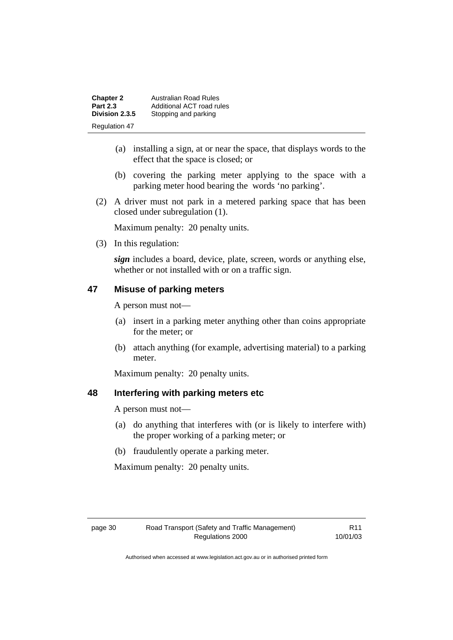**Chapter 2 Australian Road Rules**<br>**Part 2.3 Additional ACT road rules Part 2.3** Additional ACT road rules<br>**Division 2.3.5** Stopping and parking Stopping and parking Regulation 47

- (a) installing a sign, at or near the space, that displays words to the effect that the space is closed; or
- (b) covering the parking meter applying to the space with a parking meter hood bearing the words 'no parking'.
- (2) A driver must not park in a metered parking space that has been closed under subregulation (1).

Maximum penalty: 20 penalty units.

(3) In this regulation:

*sign* includes a board, device, plate, screen, words or anything else, whether or not installed with or on a traffic sign.

#### **47 Misuse of parking meters**

A person must not—

- (a) insert in a parking meter anything other than coins appropriate for the meter; or
- (b) attach anything (for example, advertising material) to a parking meter.

Maximum penalty: 20 penalty units.

#### **48 Interfering with parking meters etc**

A person must not—

- (a) do anything that interferes with (or is likely to interfere with) the proper working of a parking meter; or
- (b) fraudulently operate a parking meter.

Maximum penalty: 20 penalty units.

R11 10/01/03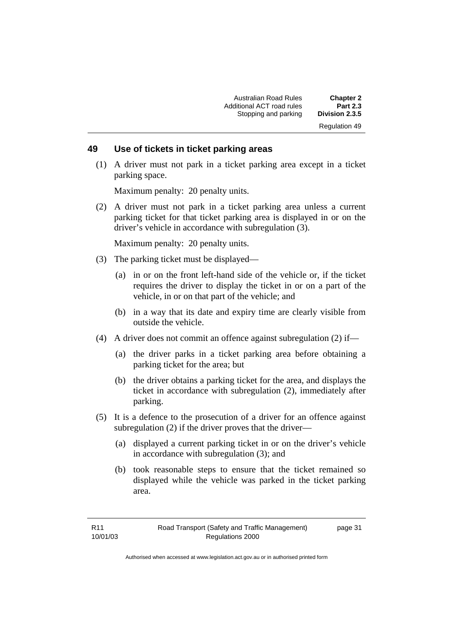#### **49 Use of tickets in ticket parking areas**

 (1) A driver must not park in a ticket parking area except in a ticket parking space.

Maximum penalty: 20 penalty units.

 (2) A driver must not park in a ticket parking area unless a current parking ticket for that ticket parking area is displayed in or on the driver's vehicle in accordance with subregulation (3).

Maximum penalty: 20 penalty units.

- (3) The parking ticket must be displayed—
	- (a) in or on the front left-hand side of the vehicle or, if the ticket requires the driver to display the ticket in or on a part of the vehicle, in or on that part of the vehicle; and
	- (b) in a way that its date and expiry time are clearly visible from outside the vehicle.
- (4) A driver does not commit an offence against subregulation (2) if—
	- (a) the driver parks in a ticket parking area before obtaining a parking ticket for the area; but
	- (b) the driver obtains a parking ticket for the area, and displays the ticket in accordance with subregulation (2), immediately after parking.
- (5) It is a defence to the prosecution of a driver for an offence against subregulation (2) if the driver proves that the driver—
	- (a) displayed a current parking ticket in or on the driver's vehicle in accordance with subregulation (3); and
	- (b) took reasonable steps to ensure that the ticket remained so displayed while the vehicle was parked in the ticket parking area.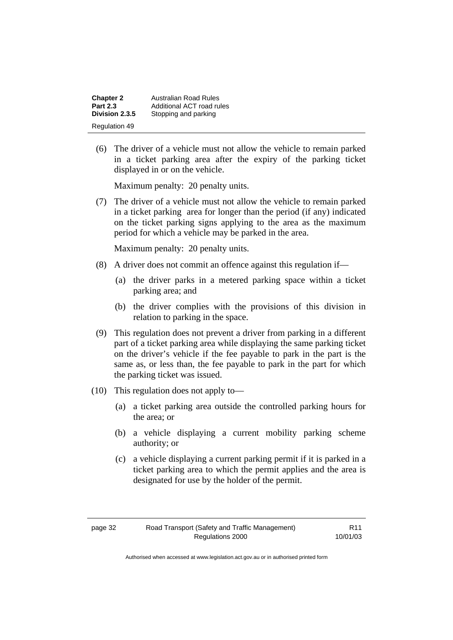| <b>Chapter 2</b>     | Australian Road Rules     |
|----------------------|---------------------------|
| <b>Part 2.3</b>      | Additional ACT road rules |
| Division 2.3.5       | Stopping and parking      |
| <b>Regulation 49</b> |                           |

 (6) The driver of a vehicle must not allow the vehicle to remain parked in a ticket parking area after the expiry of the parking ticket displayed in or on the vehicle.

Maximum penalty: 20 penalty units.

 (7) The driver of a vehicle must not allow the vehicle to remain parked in a ticket parking area for longer than the period (if any) indicated on the ticket parking signs applying to the area as the maximum period for which a vehicle may be parked in the area.

Maximum penalty: 20 penalty units.

- (8) A driver does not commit an offence against this regulation if—
	- (a) the driver parks in a metered parking space within a ticket parking area; and
	- (b) the driver complies with the provisions of this division in relation to parking in the space.
- (9) This regulation does not prevent a driver from parking in a different part of a ticket parking area while displaying the same parking ticket on the driver's vehicle if the fee payable to park in the part is the same as, or less than, the fee payable to park in the part for which the parking ticket was issued.
- (10) This regulation does not apply to—
	- (a) a ticket parking area outside the controlled parking hours for the area; or
	- (b) a vehicle displaying a current mobility parking scheme authority; or
	- (c) a vehicle displaying a current parking permit if it is parked in a ticket parking area to which the permit applies and the area is designated for use by the holder of the permit.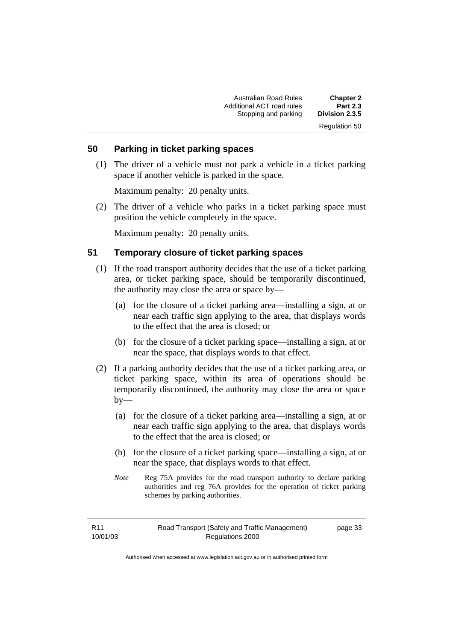| <b>Chapter 2</b>     | <b>Australian Road Rules</b> |
|----------------------|------------------------------|
| <b>Part 2.3</b>      | Additional ACT road rules    |
| Division 2.3.5       | Stopping and parking         |
| <b>Regulation 50</b> |                              |

#### **50 Parking in ticket parking spaces**

 (1) The driver of a vehicle must not park a vehicle in a ticket parking space if another vehicle is parked in the space.

Maximum penalty: 20 penalty units.

 (2) The driver of a vehicle who parks in a ticket parking space must position the vehicle completely in the space.

Maximum penalty: 20 penalty units.

#### **51 Temporary closure of ticket parking spaces**

- (1) If the road transport authority decides that the use of a ticket parking area, or ticket parking space, should be temporarily discontinued, the authority may close the area or space by—
	- (a) for the closure of a ticket parking area—installing a sign, at or near each traffic sign applying to the area, that displays words to the effect that the area is closed; or
	- (b) for the closure of a ticket parking space—installing a sign, at or near the space, that displays words to that effect.
- (2) If a parking authority decides that the use of a ticket parking area, or ticket parking space, within its area of operations should be temporarily discontinued, the authority may close the area or space  $by-$ 
	- (a) for the closure of a ticket parking area—installing a sign, at or near each traffic sign applying to the area, that displays words to the effect that the area is closed; or
	- (b) for the closure of a ticket parking space—installing a sign, at or near the space, that displays words to that effect.
	- *Note* Reg 75A provides for the road transport authority to declare parking authorities and reg 76A provides for the operation of ticket parking schemes by parking authorities.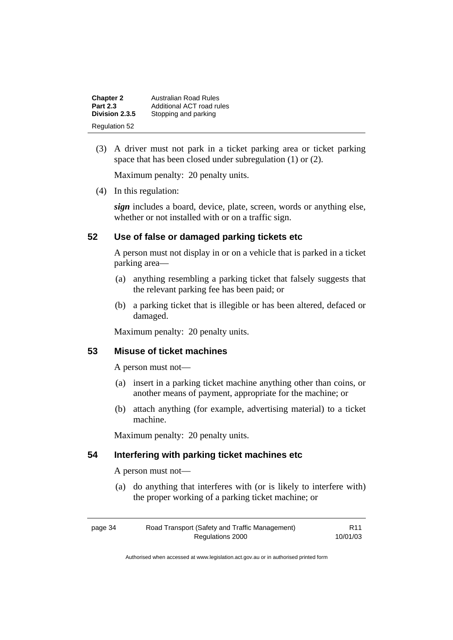| <b>Chapter 2</b>     | <b>Australian Road Rules</b> |
|----------------------|------------------------------|
| <b>Part 2.3</b>      | Additional ACT road rules    |
| Division 2.3.5       | Stopping and parking         |
| <b>Regulation 52</b> |                              |

 (3) A driver must not park in a ticket parking area or ticket parking space that has been closed under subregulation (1) or (2).

Maximum penalty: 20 penalty units.

(4) In this regulation:

*sign* includes a board, device, plate, screen, words or anything else, whether or not installed with or on a traffic sign.

#### **52 Use of false or damaged parking tickets etc**

A person must not display in or on a vehicle that is parked in a ticket parking area—

- (a) anything resembling a parking ticket that falsely suggests that the relevant parking fee has been paid; or
- (b) a parking ticket that is illegible or has been altered, defaced or damaged.

Maximum penalty: 20 penalty units.

#### **53 Misuse of ticket machines**

A person must not—

- (a) insert in a parking ticket machine anything other than coins, or another means of payment, appropriate for the machine; or
- (b) attach anything (for example, advertising material) to a ticket machine.

Maximum penalty: 20 penalty units.

## **54 Interfering with parking ticket machines etc**

A person must not—

 (a) do anything that interferes with (or is likely to interfere with) the proper working of a parking ticket machine; or

| page 34 | Road Transport (Safety and Traffic Management) | <b>R11</b> |
|---------|------------------------------------------------|------------|
|         | Regulations 2000                               | 10/01/03   |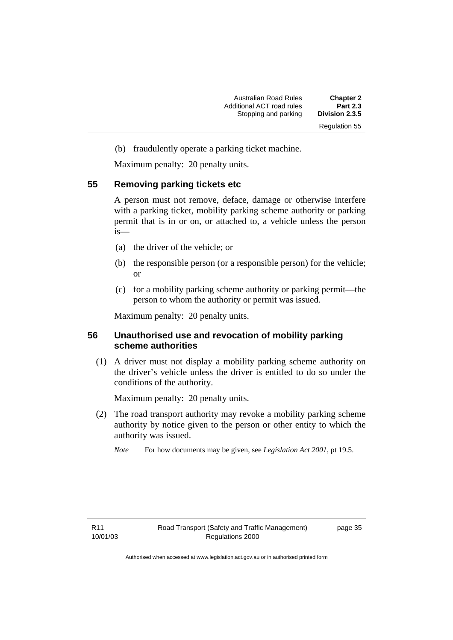(b) fraudulently operate a parking ticket machine.

Maximum penalty: 20 penalty units.

#### **55 Removing parking tickets etc**

A person must not remove, deface, damage or otherwise interfere with a parking ticket, mobility parking scheme authority or parking permit that is in or on, or attached to, a vehicle unless the person is—

- (a) the driver of the vehicle; or
- (b) the responsible person (or a responsible person) for the vehicle; or
- (c) for a mobility parking scheme authority or parking permit—the person to whom the authority or permit was issued.

Maximum penalty: 20 penalty units.

#### **56 Unauthorised use and revocation of mobility parking scheme authorities**

 (1) A driver must not display a mobility parking scheme authority on the driver's vehicle unless the driver is entitled to do so under the conditions of the authority.

Maximum penalty: 20 penalty units.

- (2) The road transport authority may revoke a mobility parking scheme authority by notice given to the person or other entity to which the authority was issued.
	- *Note* For how documents may be given, see *Legislation Act 2001*, pt 19.5.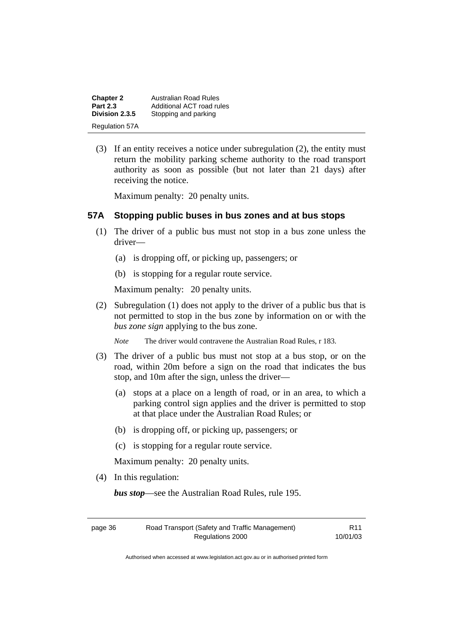| <b>Chapter 2</b>      | Australian Road Rules     |
|-----------------------|---------------------------|
| <b>Part 2.3</b>       | Additional ACT road rules |
| Division 2.3.5        | Stopping and parking      |
| <b>Regulation 57A</b> |                           |

 (3) If an entity receives a notice under subregulation (2), the entity must return the mobility parking scheme authority to the road transport authority as soon as possible (but not later than 21 days) after receiving the notice.

Maximum penalty: 20 penalty units.

#### **57A Stopping public buses in bus zones and at bus stops**

- (1) The driver of a public bus must not stop in a bus zone unless the driver—
	- (a) is dropping off, or picking up, passengers; or
	- (b) is stopping for a regular route service.

Maximum penalty: 20 penalty units.

- (2) Subregulation (1) does not apply to the driver of a public bus that is not permitted to stop in the bus zone by information on or with the *bus zone sign* applying to the bus zone.
	- *Note* The driver would contravene the Australian Road Rules, r 183.
- (3) The driver of a public bus must not stop at a bus stop, or on the road, within 20m before a sign on the road that indicates the bus stop, and 10m after the sign, unless the driver—
	- (a) stops at a place on a length of road, or in an area, to which a parking control sign applies and the driver is permitted to stop at that place under the Australian Road Rules; or
	- (b) is dropping off, or picking up, passengers; or
	- (c) is stopping for a regular route service.

Maximum penalty: 20 penalty units.

(4) In this regulation:

*bus stop*—see the Australian Road Rules, rule 195.

| page 36 | Road Transport (Safety and Traffic Management) | R <sub>11</sub> |
|---------|------------------------------------------------|-----------------|
|         | Regulations 2000                               | 10/01/03        |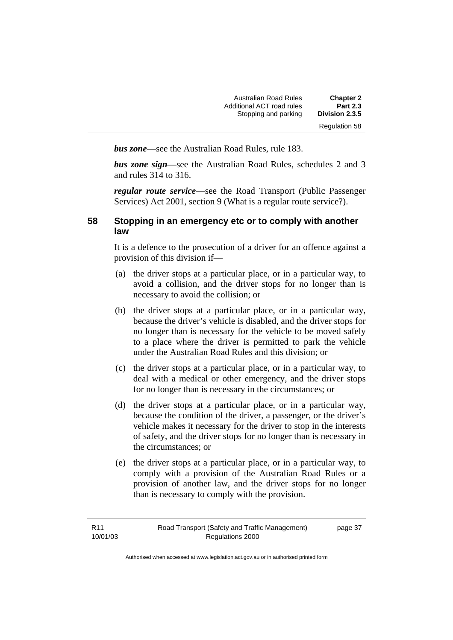| <b>Chapter 2</b>     | <b>Australian Road Rules</b> |
|----------------------|------------------------------|
| <b>Part 2.3</b>      | Additional ACT road rules    |
| Division 2.3.5       | Stopping and parking         |
| <b>Regulation 58</b> |                              |

*bus zone*—see the Australian Road Rules, rule 183.

*bus zone sign*—see the Australian Road Rules, schedules 2 and 3 and rules 314 to 316.

*regular route service*—see the Road Transport (Public Passenger Services) Act 2001, section 9 (What is a regular route service?).

## **58 Stopping in an emergency etc or to comply with another law**

It is a defence to the prosecution of a driver for an offence against a provision of this division if—

- (a) the driver stops at a particular place, or in a particular way, to avoid a collision, and the driver stops for no longer than is necessary to avoid the collision; or
- (b) the driver stops at a particular place, or in a particular way, because the driver's vehicle is disabled, and the driver stops for no longer than is necessary for the vehicle to be moved safely to a place where the driver is permitted to park the vehicle under the Australian Road Rules and this division; or
- (c) the driver stops at a particular place, or in a particular way, to deal with a medical or other emergency, and the driver stops for no longer than is necessary in the circumstances; or
- (d) the driver stops at a particular place, or in a particular way, because the condition of the driver, a passenger, or the driver's vehicle makes it necessary for the driver to stop in the interests of safety, and the driver stops for no longer than is necessary in the circumstances; or
- (e) the driver stops at a particular place, or in a particular way, to comply with a provision of the Australian Road Rules or a provision of another law, and the driver stops for no longer than is necessary to comply with the provision.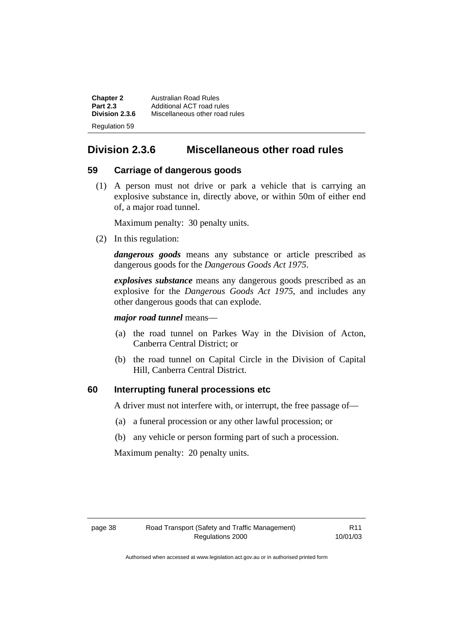| <b>Chapter 2</b> | Australian Road Rules          |
|------------------|--------------------------------|
| <b>Part 2.3</b>  | Additional ACT road rules      |
| Division 2.3.6   | Miscellaneous other road rules |
| Regulation 59    |                                |

# **Division 2.3.6 Miscellaneous other road rules**

#### **59 Carriage of dangerous goods**

 (1) A person must not drive or park a vehicle that is carrying an explosive substance in, directly above, or within 50m of either end of, a major road tunnel.

Maximum penalty: 30 penalty units.

(2) In this regulation:

*dangerous goods* means any substance or article prescribed as dangerous goods for the *Dangerous Goods Act 1975*.

*explosives substance* means any dangerous goods prescribed as an explosive for the *Dangerous Goods Act 1975*, and includes any other dangerous goods that can explode.

*major road tunnel* means—

- (a) the road tunnel on Parkes Way in the Division of Acton, Canberra Central District; or
- (b) the road tunnel on Capital Circle in the Division of Capital Hill, Canberra Central District.

#### **60 Interrupting funeral processions etc**

A driver must not interfere with, or interrupt, the free passage of—

- (a) a funeral procession or any other lawful procession; or
- (b) any vehicle or person forming part of such a procession.

Maximum penalty: 20 penalty units.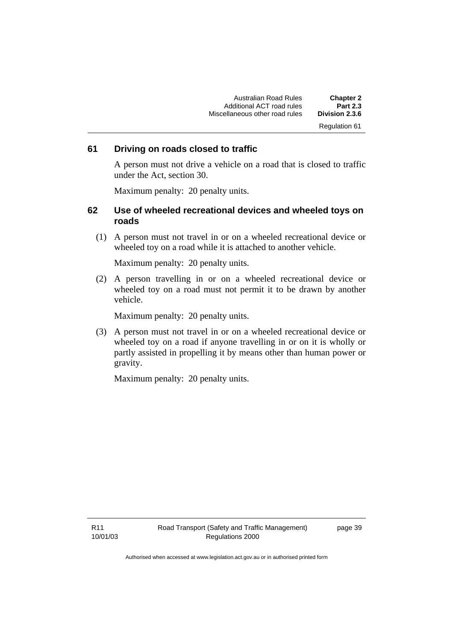Australian Road Rules **Chapter 2**  Additional ACT road rules **Part 2.3 Miscellaneous other road rules** Regulation 61

#### **61 Driving on roads closed to traffic**

A person must not drive a vehicle on a road that is closed to traffic under the Act, section 30.

Maximum penalty: 20 penalty units.

#### **62 Use of wheeled recreational devices and wheeled toys on roads**

 (1) A person must not travel in or on a wheeled recreational device or wheeled toy on a road while it is attached to another vehicle.

Maximum penalty: 20 penalty units.

 (2) A person travelling in or on a wheeled recreational device or wheeled toy on a road must not permit it to be drawn by another vehicle.

Maximum penalty: 20 penalty units.

 (3) A person must not travel in or on a wheeled recreational device or wheeled toy on a road if anyone travelling in or on it is wholly or partly assisted in propelling it by means other than human power or gravity.

Maximum penalty: 20 penalty units.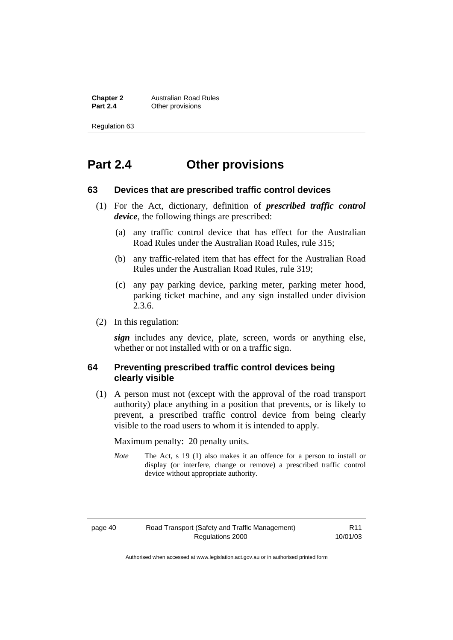**Chapter 2 Australian Road Rules**<br>**Part 2.4 C** Other provisions **Other provisions** 

Regulation 63

# **Part 2.4 Other provisions**

#### **63 Devices that are prescribed traffic control devices**

- (1) For the Act, dictionary, definition of *prescribed traffic control device*, the following things are prescribed:
	- (a) any traffic control device that has effect for the Australian Road Rules under the Australian Road Rules, rule 315;
	- (b) any traffic-related item that has effect for the Australian Road Rules under the Australian Road Rules, rule 319;
	- (c) any pay parking device, parking meter, parking meter hood, parking ticket machine, and any sign installed under division 2.3.6.
- (2) In this regulation:

*sign* includes any device, plate, screen, words or anything else, whether or not installed with or on a traffic sign.

#### **64 Preventing prescribed traffic control devices being clearly visible**

 (1) A person must not (except with the approval of the road transport authority) place anything in a position that prevents, or is likely to prevent, a prescribed traffic control device from being clearly visible to the road users to whom it is intended to apply.

Maximum penalty: 20 penalty units.

*Note* The Act, s 19 (1) also makes it an offence for a person to install or display (or interfere, change or remove) a prescribed traffic control device without appropriate authority.

R11 10/01/03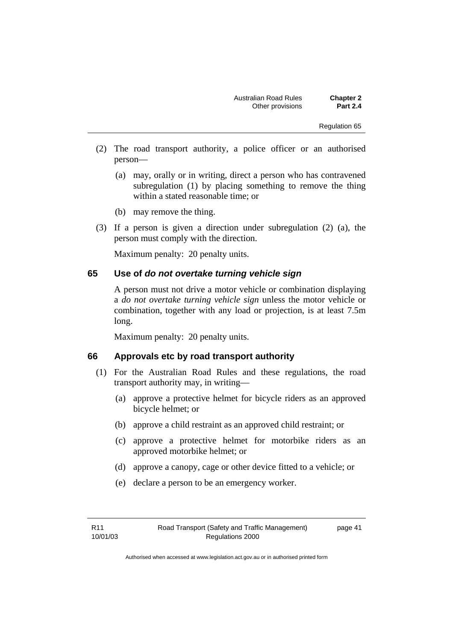- (2) The road transport authority, a police officer or an authorised person—
	- (a) may, orally or in writing, direct a person who has contravened subregulation (1) by placing something to remove the thing within a stated reasonable time; or
	- (b) may remove the thing.
- (3) If a person is given a direction under subregulation (2) (a), the person must comply with the direction.

Maximum penalty: 20 penalty units.

#### **65 Use of** *do not overtake turning vehicle sign*

A person must not drive a motor vehicle or combination displaying a *do not overtake turning vehicle sign* unless the motor vehicle or combination, together with any load or projection, is at least 7.5m long.

Maximum penalty: 20 penalty units.

#### **66 Approvals etc by road transport authority**

- (1) For the Australian Road Rules and these regulations, the road transport authority may, in writing—
	- (a) approve a protective helmet for bicycle riders as an approved bicycle helmet; or
	- (b) approve a child restraint as an approved child restraint; or
	- (c) approve a protective helmet for motorbike riders as an approved motorbike helmet; or
	- (d) approve a canopy, cage or other device fitted to a vehicle; or
	- (e) declare a person to be an emergency worker.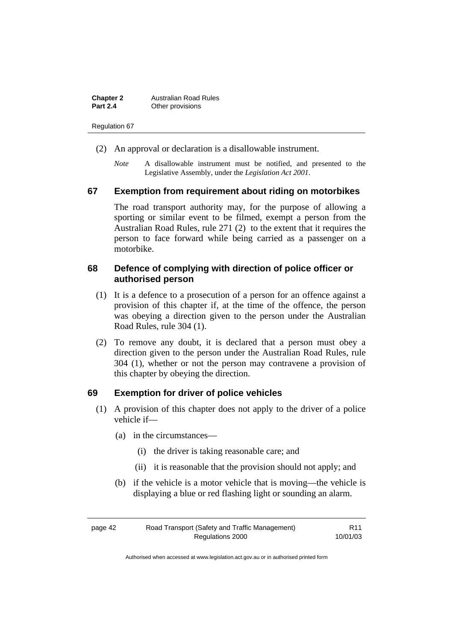| <b>Chapter 2</b> | <b>Australian Road Rules</b> |
|------------------|------------------------------|
| <b>Part 2.4</b>  | Other provisions             |

- (2) An approval or declaration is a disallowable instrument.
	- *Note* A disallowable instrument must be notified, and presented to the Legislative Assembly, under the *Legislation Act 2001*.

#### **67 Exemption from requirement about riding on motorbikes**

The road transport authority may, for the purpose of allowing a sporting or similar event to be filmed, exempt a person from the Australian Road Rules, rule 271 (2) to the extent that it requires the person to face forward while being carried as a passenger on a motorbike.

#### **68 Defence of complying with direction of police officer or authorised person**

- (1) It is a defence to a prosecution of a person for an offence against a provision of this chapter if, at the time of the offence, the person was obeying a direction given to the person under the Australian Road Rules, rule 304 (1).
- (2) To remove any doubt, it is declared that a person must obey a direction given to the person under the Australian Road Rules, rule 304 (1), whether or not the person may contravene a provision of this chapter by obeying the direction.

#### **69 Exemption for driver of police vehicles**

- (1) A provision of this chapter does not apply to the driver of a police vehicle if—
	- (a) in the circumstances—
		- (i) the driver is taking reasonable care; and
		- (ii) it is reasonable that the provision should not apply; and
	- (b) if the vehicle is a motor vehicle that is moving—the vehicle is displaying a blue or red flashing light or sounding an alarm.

| page 42 | Road Transport (Safety and Traffic Management) | R <sub>11</sub> |
|---------|------------------------------------------------|-----------------|
|         | Regulations 2000                               | 10/01/03        |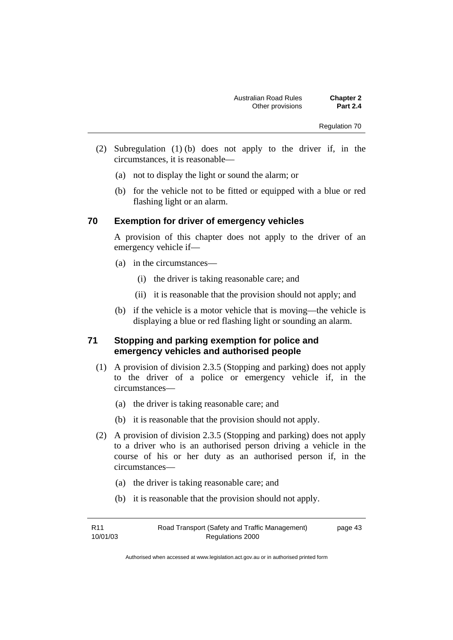- (2) Subregulation (1) (b) does not apply to the driver if, in the circumstances, it is reasonable—
	- (a) not to display the light or sound the alarm; or
	- (b) for the vehicle not to be fitted or equipped with a blue or red flashing light or an alarm.

#### **70 Exemption for driver of emergency vehicles**

A provision of this chapter does not apply to the driver of an emergency vehicle if—

- (a) in the circumstances—
	- (i) the driver is taking reasonable care; and
	- (ii) it is reasonable that the provision should not apply; and
- (b) if the vehicle is a motor vehicle that is moving—the vehicle is displaying a blue or red flashing light or sounding an alarm.

## **71 Stopping and parking exemption for police and emergency vehicles and authorised people**

- (1) A provision of division 2.3.5 (Stopping and parking) does not apply to the driver of a police or emergency vehicle if, in the circumstances—
	- (a) the driver is taking reasonable care; and
	- (b) it is reasonable that the provision should not apply.
- (2) A provision of division 2.3.5 (Stopping and parking) does not apply to a driver who is an authorised person driving a vehicle in the course of his or her duty as an authorised person if, in the circumstances—
	- (a) the driver is taking reasonable care; and
	- (b) it is reasonable that the provision should not apply.

| R <sub>11</sub> | Road Transport (Safety and Traffic Management) | page 43 |
|-----------------|------------------------------------------------|---------|
| 10/01/03        | Regulations 2000                               |         |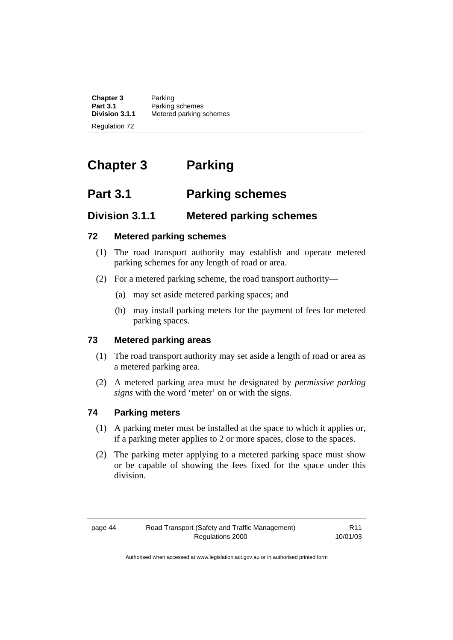**Chapter 3** Parking<br>**Part 3.1** Parking **Part 3.1** Parking schemes<br>**Division 3.1.1** Metered parking s **Division 3.1.1** Metered parking schemes Regulation 72

# **Chapter 3 Parking**

# **Part 3.1 Parking schemes**

# **Division 3.1.1 Metered parking schemes**

## **72 Metered parking schemes**

- (1) The road transport authority may establish and operate metered parking schemes for any length of road or area.
- (2) For a metered parking scheme, the road transport authority—
	- (a) may set aside metered parking spaces; and
	- (b) may install parking meters for the payment of fees for metered parking spaces.

## **73 Metered parking areas**

- (1) The road transport authority may set aside a length of road or area as a metered parking area.
- (2) A metered parking area must be designated by *permissive parking signs* with the word 'meter' on or with the signs.

## **74 Parking meters**

- (1) A parking meter must be installed at the space to which it applies or, if a parking meter applies to 2 or more spaces, close to the spaces.
- (2) The parking meter applying to a metered parking space must show or be capable of showing the fees fixed for the space under this division.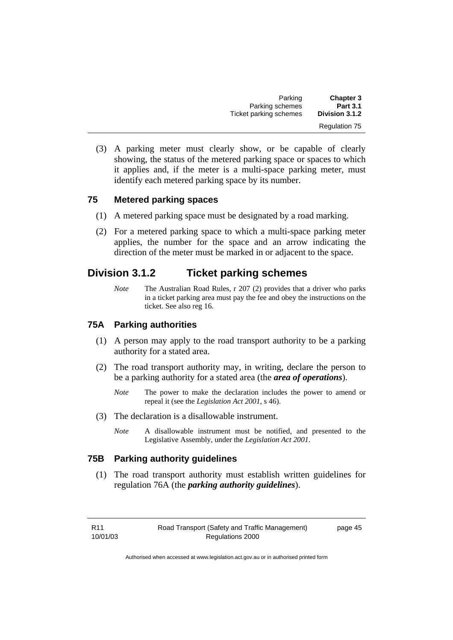| <b>Chapter 3</b>     | Parking                |
|----------------------|------------------------|
| <b>Part 3.1</b>      | Parking schemes        |
| Division 3.1.2       | Ticket parking schemes |
| <b>Regulation 75</b> |                        |

 (3) A parking meter must clearly show, or be capable of clearly showing, the status of the metered parking space or spaces to which it applies and, if the meter is a multi-space parking meter, must identify each metered parking space by its number.

#### **75 Metered parking spaces**

- (1) A metered parking space must be designated by a road marking.
- (2) For a metered parking space to which a multi-space parking meter applies, the number for the space and an arrow indicating the direction of the meter must be marked in or adjacent to the space.

# **Division 3.1.2 Ticket parking schemes**

*Note* The Australian Road Rules, r 207 (2) provides that a driver who parks in a ticket parking area must pay the fee and obey the instructions on the ticket. See also reg 16.

#### **75A Parking authorities**

- (1) A person may apply to the road transport authority to be a parking authority for a stated area.
- (2) The road transport authority may, in writing, declare the person to be a parking authority for a stated area (the *area of operations*).
	- *Note* The power to make the declaration includes the power to amend or repeal it (see the *Legislation Act 2001*, s 46).
- (3) The declaration is a disallowable instrument.
	- *Note* A disallowable instrument must be notified, and presented to the Legislative Assembly, under the *Legislation Act 2001*.

## **75B Parking authority guidelines**

 (1) The road transport authority must establish written guidelines for regulation 76A (the *parking authority guidelines*).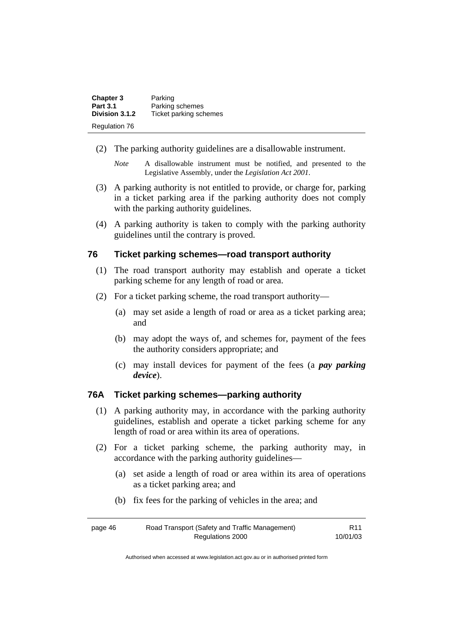| <b>Chapter 3</b><br><b>Part 3.1</b> | Parking<br>Parking schemes |
|-------------------------------------|----------------------------|
| Division 3.1.2                      | Ticket parking schemes     |
| <b>Regulation 76</b>                |                            |

- (2) The parking authority guidelines are a disallowable instrument.
	- *Note* A disallowable instrument must be notified, and presented to the Legislative Assembly, under the *Legislation Act 2001*.
- (3) A parking authority is not entitled to provide, or charge for, parking in a ticket parking area if the parking authority does not comply with the parking authority guidelines.
- (4) A parking authority is taken to comply with the parking authority guidelines until the contrary is proved.

#### **76 Ticket parking schemes—road transport authority**

- (1) The road transport authority may establish and operate a ticket parking scheme for any length of road or area.
- (2) For a ticket parking scheme, the road transport authority—
	- (a) may set aside a length of road or area as a ticket parking area; and
	- (b) may adopt the ways of, and schemes for, payment of the fees the authority considers appropriate; and
	- (c) may install devices for payment of the fees (a *pay parking device*).

## **76A Ticket parking schemes—parking authority**

- (1) A parking authority may, in accordance with the parking authority guidelines, establish and operate a ticket parking scheme for any length of road or area within its area of operations.
- (2) For a ticket parking scheme, the parking authority may, in accordance with the parking authority guidelines—
	- (a) set aside a length of road or area within its area of operations as a ticket parking area; and
	- (b) fix fees for the parking of vehicles in the area; and

| page 46 | Road Transport (Safety and Traffic Management) | R <sub>11</sub> |
|---------|------------------------------------------------|-----------------|
|         | Regulations 2000                               | 10/01/03        |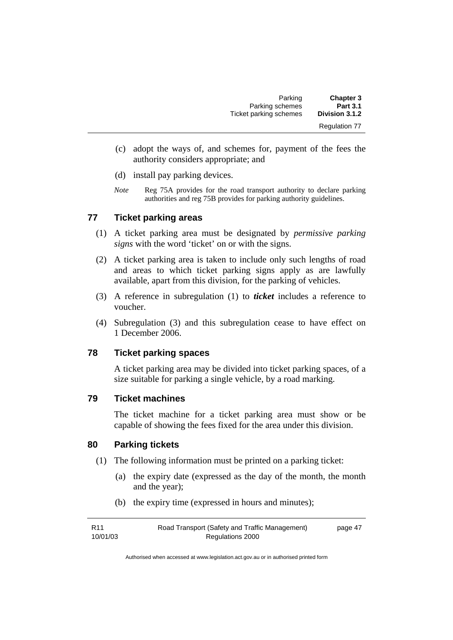| <b>Chapter 3</b>     | Parking                |
|----------------------|------------------------|
| <b>Part 3.1</b>      | Parking schemes        |
| Division 3.1.2       | Ticket parking schemes |
| <b>Regulation 77</b> |                        |

- (c) adopt the ways of, and schemes for, payment of the fees the authority considers appropriate; and
- (d) install pay parking devices.
- *Note* Reg 75A provides for the road transport authority to declare parking authorities and reg 75B provides for parking authority guidelines.

## **77 Ticket parking areas**

- (1) A ticket parking area must be designated by *permissive parking signs* with the word 'ticket' on or with the signs.
- (2) A ticket parking area is taken to include only such lengths of road and areas to which ticket parking signs apply as are lawfully available, apart from this division, for the parking of vehicles.
- (3) A reference in subregulation (1) to *ticket* includes a reference to voucher.
- (4) Subregulation (3) and this subregulation cease to have effect on 1 December 2006.

#### **78 Ticket parking spaces**

A ticket parking area may be divided into ticket parking spaces, of a size suitable for parking a single vehicle, by a road marking.

#### **79 Ticket machines**

The ticket machine for a ticket parking area must show or be capable of showing the fees fixed for the area under this division.

#### **80 Parking tickets**

- (1) The following information must be printed on a parking ticket:
	- (a) the expiry date (expressed as the day of the month, the month and the year);
	- (b) the expiry time (expressed in hours and minutes);

| R11      | Road Transport (Safety and Traffic Management) | page 47 |
|----------|------------------------------------------------|---------|
| 10/01/03 | Regulations 2000                               |         |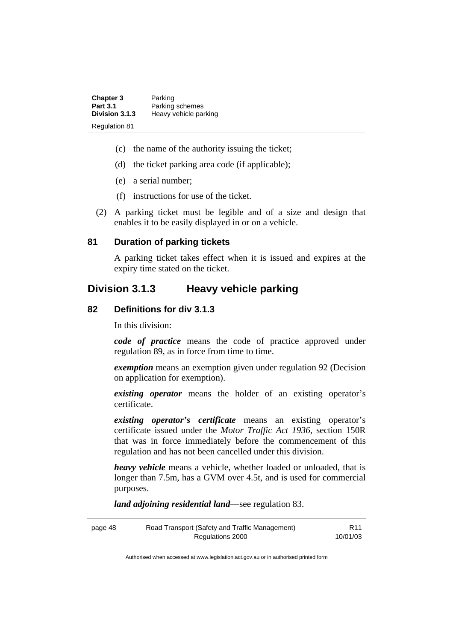| <b>Chapter 3</b>     | Parking               |
|----------------------|-----------------------|
| <b>Part 3.1</b>      | Parking schemes       |
| Division 3.1.3       | Heavy vehicle parking |
| <b>Regulation 81</b> |                       |

- (c) the name of the authority issuing the ticket;
- (d) the ticket parking area code (if applicable);
- (e) a serial number;
- (f) instructions for use of the ticket.
- (2) A parking ticket must be legible and of a size and design that enables it to be easily displayed in or on a vehicle.

#### **81 Duration of parking tickets**

A parking ticket takes effect when it is issued and expires at the expiry time stated on the ticket.

## **Division 3.1.3 Heavy vehicle parking**

#### **82 Definitions for div 3.1.3**

In this division:

*code of practice* means the code of practice approved under regulation 89, as in force from time to time.

*exemption* means an exemption given under regulation 92 (Decision on application for exemption).

*existing operator* means the holder of an existing operator's certificate.

*existing operator's certificate* means an existing operator's certificate issued under the *Motor Traffic Act 1936,* section 150R that was in force immediately before the commencement of this regulation and has not been cancelled under this division.

*heavy vehicle* means a vehicle, whether loaded or unloaded, that is longer than 7.5m, has a GVM over 4.5t, and is used for commercial purposes.

*land adjoining residential land*—see regulation 83.

| page 48 | Road Transport (Safety and Traffic Management) | R <sub>11</sub> |
|---------|------------------------------------------------|-----------------|
|         | Regulations 2000                               | 10/01/03        |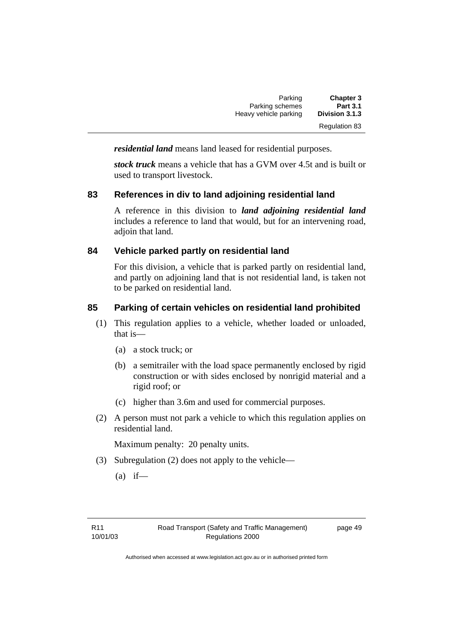| <b>Chapter 3</b>     | Parking               |
|----------------------|-----------------------|
| <b>Part 3.1</b>      | Parking schemes       |
| Division 3.1.3       | Heavy vehicle parking |
| <b>Regulation 83</b> |                       |

*residential land* means land leased for residential purposes.

*stock truck* means a vehicle that has a GVM over 4.5t and is built or used to transport livestock.

## **83 References in div to land adjoining residential land**

A reference in this division to *land adjoining residential land* includes a reference to land that would, but for an intervening road, adioin that land.

## **84 Vehicle parked partly on residential land**

For this division, a vehicle that is parked partly on residential land, and partly on adjoining land that is not residential land, is taken not to be parked on residential land.

## **85 Parking of certain vehicles on residential land prohibited**

- (1) This regulation applies to a vehicle, whether loaded or unloaded, that is—
	- (a) a stock truck; or
	- (b) a semitrailer with the load space permanently enclosed by rigid construction or with sides enclosed by nonrigid material and a rigid roof; or
	- (c) higher than 3.6m and used for commercial purposes.
- (2) A person must not park a vehicle to which this regulation applies on residential land.

Maximum penalty: 20 penalty units.

- (3) Subregulation (2) does not apply to the vehicle—
	- $(a)$  if—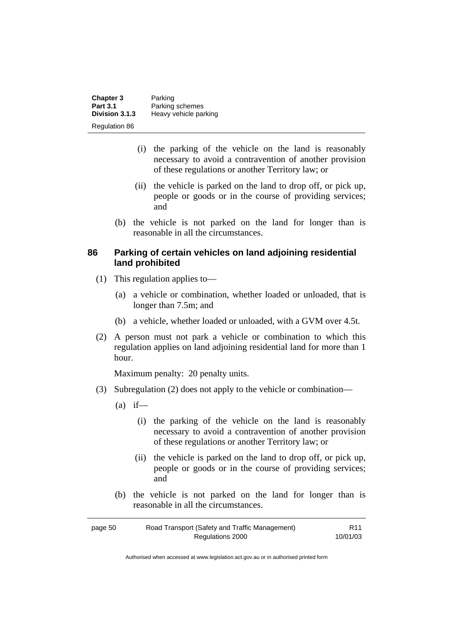| Chapter 3            | Parking               |
|----------------------|-----------------------|
| <b>Part 3.1</b>      | Parking schemes       |
| Division 3.1.3       | Heavy vehicle parking |
| <b>Regulation 86</b> |                       |

- (i) the parking of the vehicle on the land is reasonably necessary to avoid a contravention of another provision of these regulations or another Territory law; or
- (ii) the vehicle is parked on the land to drop off, or pick up, people or goods or in the course of providing services; and
- (b) the vehicle is not parked on the land for longer than is reasonable in all the circumstances.

#### **86 Parking of certain vehicles on land adjoining residential land prohibited**

- (1) This regulation applies to—
	- (a) a vehicle or combination, whether loaded or unloaded, that is longer than 7.5m; and
	- (b) a vehicle, whether loaded or unloaded, with a GVM over 4.5t.
- (2) A person must not park a vehicle or combination to which this regulation applies on land adjoining residential land for more than 1 hour.

Maximum penalty: 20 penalty units.

- (3) Subregulation (2) does not apply to the vehicle or combination—
	- $(a)$  if—
		- (i) the parking of the vehicle on the land is reasonably necessary to avoid a contravention of another provision of these regulations or another Territory law; or
		- (ii) the vehicle is parked on the land to drop off, or pick up, people or goods or in the course of providing services; and
	- (b) the vehicle is not parked on the land for longer than is reasonable in all the circumstances.

| page 50 | Road Transport (Safety and Traffic Management) | R <sub>11</sub> |
|---------|------------------------------------------------|-----------------|
|         | Regulations 2000                               | 10/01/03        |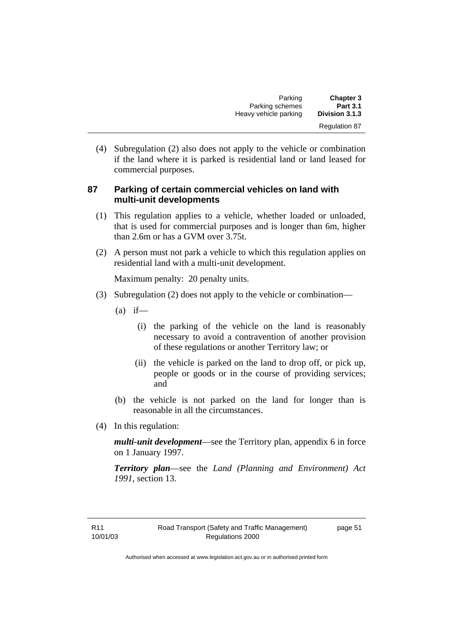| <b>Chapter 3</b> | Parking               |
|------------------|-----------------------|
| <b>Part 3.1</b>  | Parking schemes       |
| Division 3.1.3   | Heavy vehicle parking |
| Regulation 87    |                       |

 (4) Subregulation (2) also does not apply to the vehicle or combination if the land where it is parked is residential land or land leased for commercial purposes.

#### **87 Parking of certain commercial vehicles on land with multi-unit developments**

- (1) This regulation applies to a vehicle, whether loaded or unloaded, that is used for commercial purposes and is longer than 6m, higher than 2.6m or has a GVM over 3.75t.
- (2) A person must not park a vehicle to which this regulation applies on residential land with a multi-unit development.

Maximum penalty: 20 penalty units.

- (3) Subregulation (2) does not apply to the vehicle or combination—
	- $(a)$  if—
		- (i) the parking of the vehicle on the land is reasonably necessary to avoid a contravention of another provision of these regulations or another Territory law; or
		- (ii) the vehicle is parked on the land to drop off, or pick up, people or goods or in the course of providing services; and
	- (b) the vehicle is not parked on the land for longer than is reasonable in all the circumstances.
- (4) In this regulation:

*multi-unit development*—see the Territory plan, appendix 6 in force on 1 January 1997.

*Territory plan*—see the *Land (Planning and Environment) Act 1991*, section 13.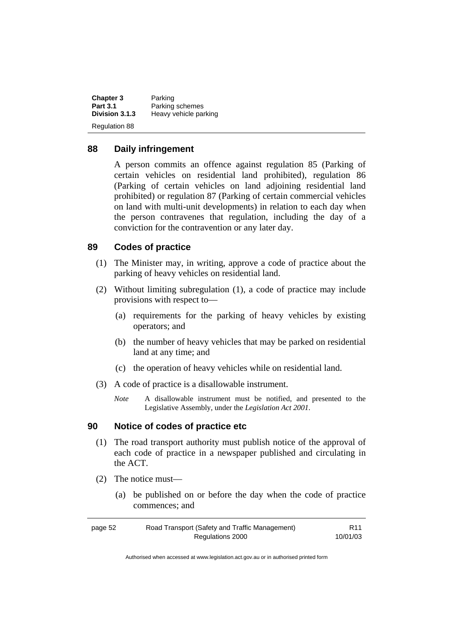| <b>Chapter 3</b>     | Parking               |
|----------------------|-----------------------|
| <b>Part 3.1</b>      | Parking schemes       |
| Division 3.1.3       | Heavy vehicle parking |
| <b>Regulation 88</b> |                       |

#### **88 Daily infringement**

A person commits an offence against regulation 85 (Parking of certain vehicles on residential land prohibited), regulation 86 (Parking of certain vehicles on land adjoining residential land prohibited) or regulation 87 (Parking of certain commercial vehicles on land with multi-unit developments) in relation to each day when the person contravenes that regulation, including the day of a conviction for the contravention or any later day.

## **89 Codes of practice**

- (1) The Minister may, in writing, approve a code of practice about the parking of heavy vehicles on residential land.
- (2) Without limiting subregulation (1), a code of practice may include provisions with respect to—
	- (a) requirements for the parking of heavy vehicles by existing operators; and
	- (b) the number of heavy vehicles that may be parked on residential land at any time; and
	- (c) the operation of heavy vehicles while on residential land.
- (3) A code of practice is a disallowable instrument.
	- *Note* A disallowable instrument must be notified, and presented to the Legislative Assembly, under the *Legislation Act 2001*.

#### **90 Notice of codes of practice etc**

- (1) The road transport authority must publish notice of the approval of each code of practice in a newspaper published and circulating in the ACT.
- (2) The notice must—
	- (a) be published on or before the day when the code of practice commences; and

| page 52 | Road Transport (Safety and Traffic Management) | R <sub>11</sub> |
|---------|------------------------------------------------|-----------------|
|         | Regulations 2000                               | 10/01/03        |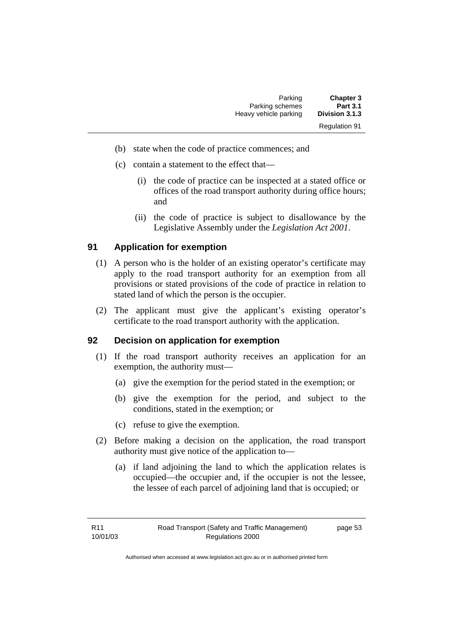| <b>Chapter 3</b>     | Parking               |
|----------------------|-----------------------|
| <b>Part 3.1</b>      | Parking schemes       |
| Division 3.1.3       | Heavy vehicle parking |
| <b>Regulation 91</b> |                       |

- (b) state when the code of practice commences; and
- (c) contain a statement to the effect that—
	- (i) the code of practice can be inspected at a stated office or offices of the road transport authority during office hours; and
	- (ii) the code of practice is subject to disallowance by the Legislative Assembly under the *Legislation Act 2001*.

## **91 Application for exemption**

- (1) A person who is the holder of an existing operator's certificate may apply to the road transport authority for an exemption from all provisions or stated provisions of the code of practice in relation to stated land of which the person is the occupier.
- (2) The applicant must give the applicant's existing operator's certificate to the road transport authority with the application.

## **92 Decision on application for exemption**

- (1) If the road transport authority receives an application for an exemption, the authority must—
	- (a) give the exemption for the period stated in the exemption; or
	- (b) give the exemption for the period, and subject to the conditions, stated in the exemption; or
	- (c) refuse to give the exemption.
- (2) Before making a decision on the application, the road transport authority must give notice of the application to—
	- (a) if land adjoining the land to which the application relates is occupied—the occupier and, if the occupier is not the lessee, the lessee of each parcel of adjoining land that is occupied; or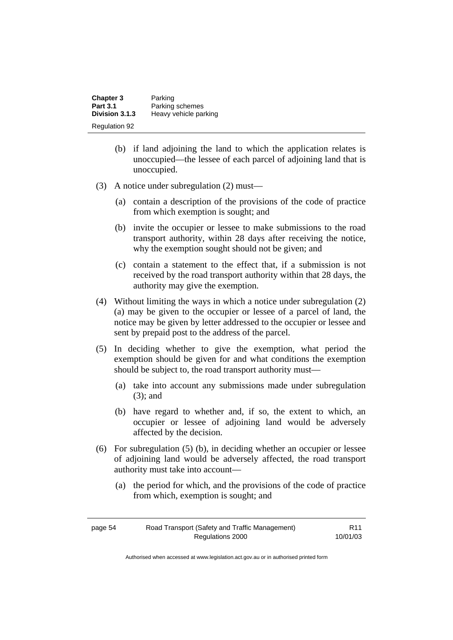| <b>Chapter 3</b>     | Parking               |
|----------------------|-----------------------|
| <b>Part 3.1</b>      | Parking schemes       |
| Division 3.1.3       | Heavy vehicle parking |
| <b>Regulation 92</b> |                       |

- (b) if land adjoining the land to which the application relates is unoccupied—the lessee of each parcel of adjoining land that is unoccupied.
- (3) A notice under subregulation (2) must—
	- (a) contain a description of the provisions of the code of practice from which exemption is sought; and
	- (b) invite the occupier or lessee to make submissions to the road transport authority, within 28 days after receiving the notice, why the exemption sought should not be given; and
	- (c) contain a statement to the effect that, if a submission is not received by the road transport authority within that 28 days, the authority may give the exemption.
- (4) Without limiting the ways in which a notice under subregulation (2) (a) may be given to the occupier or lessee of a parcel of land, the notice may be given by letter addressed to the occupier or lessee and sent by prepaid post to the address of the parcel.
- (5) In deciding whether to give the exemption, what period the exemption should be given for and what conditions the exemption should be subject to, the road transport authority must—
	- (a) take into account any submissions made under subregulation (3); and
	- (b) have regard to whether and, if so, the extent to which, an occupier or lessee of adjoining land would be adversely affected by the decision.
- (6) For subregulation (5) (b), in deciding whether an occupier or lessee of adjoining land would be adversely affected, the road transport authority must take into account—
	- (a) the period for which, and the provisions of the code of practice from which, exemption is sought; and

| page 54 | Road Transport (Safety and Traffic Management) | R <sub>11</sub> |
|---------|------------------------------------------------|-----------------|
|         | Regulations 2000                               | 10/01/03        |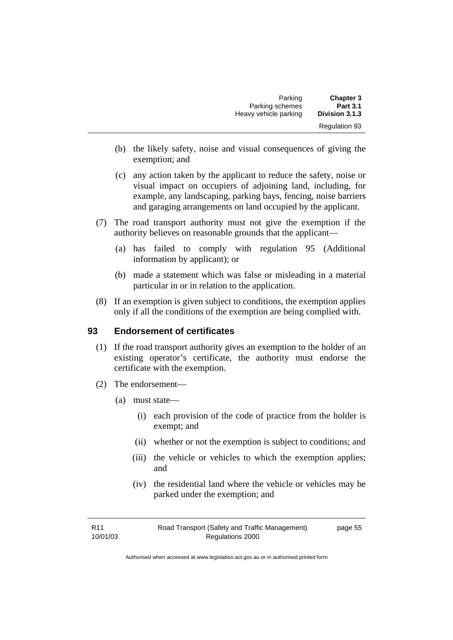| Parking               | <b>Chapter 3</b>     |
|-----------------------|----------------------|
| Parking schemes       | <b>Part 3.1</b>      |
| Heavy vehicle parking | Division 3.1.3       |
|                       | <b>Regulation 93</b> |

- (b) the likely safety, noise and visual consequences of giving the exemption; and
- (c) any action taken by the applicant to reduce the safety, noise or visual impact on occupiers of adjoining land, including, for example, any landscaping, parking bays, fencing, noise barriers and garaging arrangements on land occupied by the applicant.
- (7) The road transport authority must not give the exemption if the authority believes on reasonable grounds that the applicant—
	- (a) has failed to comply with regulation 95 (Additional information by applicant); or
	- (b) made a statement which was false or misleading in a material particular in or in relation to the application.
- (8) If an exemption is given subject to conditions, the exemption applies only if all the conditions of the exemption are being complied with.

#### **93 Endorsement of certificates**

- (1) If the road transport authority gives an exemption to the holder of an existing operator's certificate, the authority must endorse the certificate with the exemption.
- (2) The endorsement—
	- (a) must state—
		- (i) each provision of the code of practice from the holder is exempt; and
		- (ii) whether or not the exemption is subject to conditions; and
		- (iii) the vehicle or vehicles to which the exemption applies; and
		- (iv) the residential land where the vehicle or vehicles may be parked under the exemption; and

| R11      | Road Transport (Safety and Traffic Management) | page 55 |
|----------|------------------------------------------------|---------|
| 10/01/03 | Regulations 2000                               |         |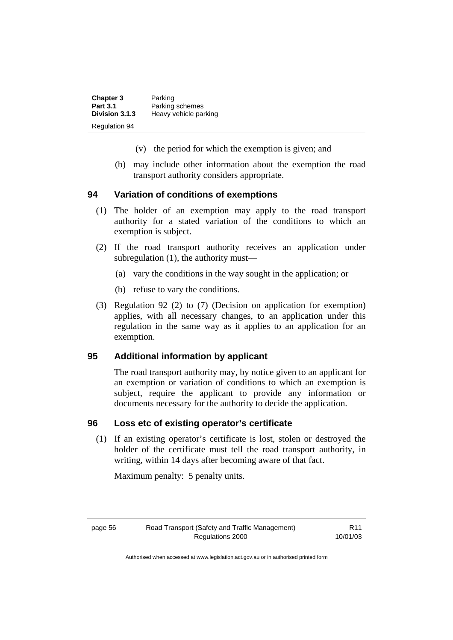| <b>Chapter 3</b>     | Parking               |
|----------------------|-----------------------|
| <b>Part 3.1</b>      | Parking schemes       |
| Division 3.1.3       | Heavy vehicle parking |
| <b>Regulation 94</b> |                       |

- (v) the period for which the exemption is given; and
- (b) may include other information about the exemption the road transport authority considers appropriate.

#### **94 Variation of conditions of exemptions**

- (1) The holder of an exemption may apply to the road transport authority for a stated variation of the conditions to which an exemption is subject.
- (2) If the road transport authority receives an application under subregulation (1), the authority must—
	- (a) vary the conditions in the way sought in the application; or
	- (b) refuse to vary the conditions.
- (3) Regulation 92 (2) to (7) (Decision on application for exemption) applies, with all necessary changes, to an application under this regulation in the same way as it applies to an application for an exemption.

#### **95 Additional information by applicant**

The road transport authority may, by notice given to an applicant for an exemption or variation of conditions to which an exemption is subject, require the applicant to provide any information or documents necessary for the authority to decide the application.

#### **96 Loss etc of existing operator's certificate**

 (1) If an existing operator's certificate is lost, stolen or destroyed the holder of the certificate must tell the road transport authority, in writing, within 14 days after becoming aware of that fact.

Maximum penalty: 5 penalty units.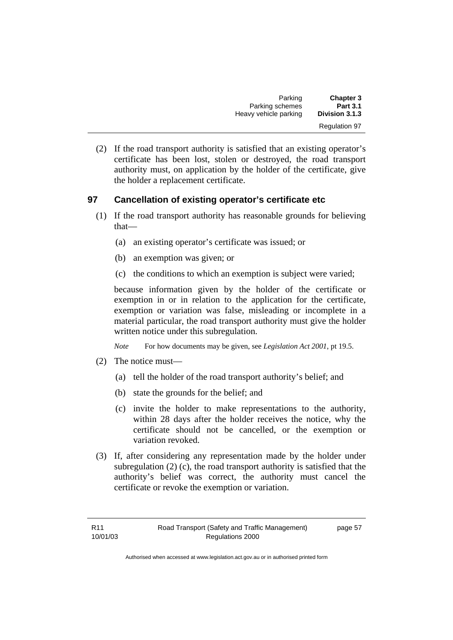| <b>Chapter 3</b>     | Parking               |
|----------------------|-----------------------|
| <b>Part 3.1</b>      | Parking schemes       |
| Division 3.1.3       | Heavy vehicle parking |
| <b>Regulation 97</b> |                       |

 (2) If the road transport authority is satisfied that an existing operator's certificate has been lost, stolen or destroyed, the road transport authority must, on application by the holder of the certificate, give the holder a replacement certificate.

## **97 Cancellation of existing operator's certificate etc**

- (1) If the road transport authority has reasonable grounds for believing that—
	- (a) an existing operator's certificate was issued; or
	- (b) an exemption was given; or
	- (c) the conditions to which an exemption is subject were varied;

because information given by the holder of the certificate or exemption in or in relation to the application for the certificate, exemption or variation was false, misleading or incomplete in a material particular, the road transport authority must give the holder written notice under this subregulation.

*Note* For how documents may be given, see *Legislation Act 2001*, pt 19.5.

- (2) The notice must—
	- (a) tell the holder of the road transport authority's belief; and
	- (b) state the grounds for the belief; and
	- (c) invite the holder to make representations to the authority, within 28 days after the holder receives the notice, why the certificate should not be cancelled, or the exemption or variation revoked.
- (3) If, after considering any representation made by the holder under subregulation (2) (c), the road transport authority is satisfied that the authority's belief was correct, the authority must cancel the certificate or revoke the exemption or variation.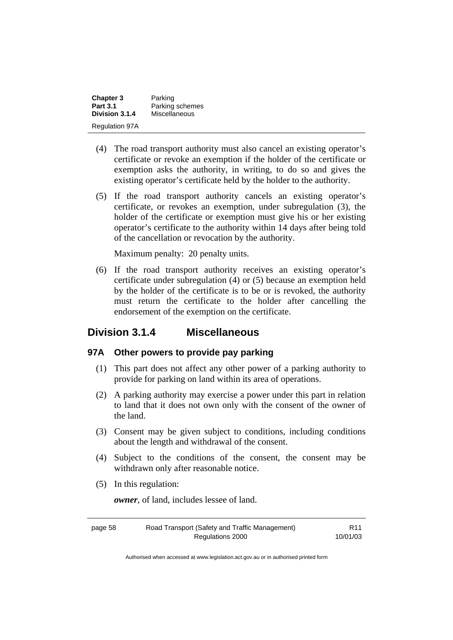| <b>Chapter 3</b>      | Parking         |
|-----------------------|-----------------|
| <b>Part 3.1</b>       | Parking schemes |
| Division 3.1.4        | Miscellaneous   |
| <b>Regulation 97A</b> |                 |

- (4) The road transport authority must also cancel an existing operator's certificate or revoke an exemption if the holder of the certificate or exemption asks the authority, in writing, to do so and gives the existing operator's certificate held by the holder to the authority.
- (5) If the road transport authority cancels an existing operator's certificate, or revokes an exemption, under subregulation (3), the holder of the certificate or exemption must give his or her existing operator's certificate to the authority within 14 days after being told of the cancellation or revocation by the authority.

Maximum penalty: 20 penalty units.

 (6) If the road transport authority receives an existing operator's certificate under subregulation (4) or (5) because an exemption held by the holder of the certificate is to be or is revoked, the authority must return the certificate to the holder after cancelling the endorsement of the exemption on the certificate.

## **Division 3.1.4 Miscellaneous**

#### **97A Other powers to provide pay parking**

- (1) This part does not affect any other power of a parking authority to provide for parking on land within its area of operations.
- (2) A parking authority may exercise a power under this part in relation to land that it does not own only with the consent of the owner of the land.
- (3) Consent may be given subject to conditions, including conditions about the length and withdrawal of the consent.
- (4) Subject to the conditions of the consent, the consent may be withdrawn only after reasonable notice.
- (5) In this regulation:

*owner*, of land, includes lessee of land.

| page 58 | Road Transport (Safety and Traffic Management) | R <sub>11</sub> |
|---------|------------------------------------------------|-----------------|
|         | Regulations 2000                               | 10/01/03        |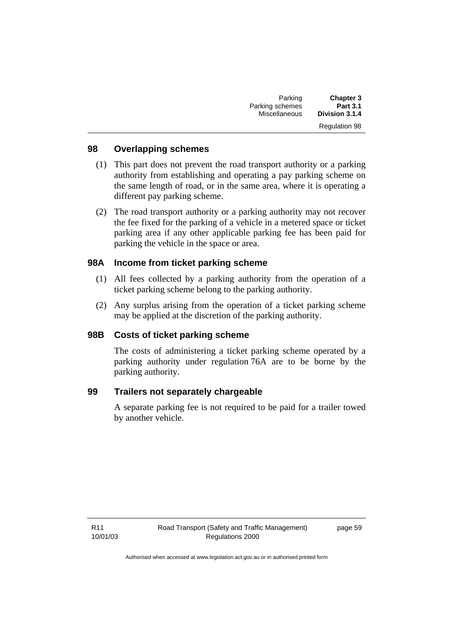| <b>Chapter 3</b>     | Parking              |
|----------------------|----------------------|
| <b>Part 3.1</b>      | Parking schemes      |
| Division 3.1.4       | <b>Miscellaneous</b> |
| <b>Regulation 98</b> |                      |

#### **98 Overlapping schemes**

- (1) This part does not prevent the road transport authority or a parking authority from establishing and operating a pay parking scheme on the same length of road, or in the same area, where it is operating a different pay parking scheme.
- (2) The road transport authority or a parking authority may not recover the fee fixed for the parking of a vehicle in a metered space or ticket parking area if any other applicable parking fee has been paid for parking the vehicle in the space or area.

## **98A Income from ticket parking scheme**

- (1) All fees collected by a parking authority from the operation of a ticket parking scheme belong to the parking authority.
- (2) Any surplus arising from the operation of a ticket parking scheme may be applied at the discretion of the parking authority.

#### **98B Costs of ticket parking scheme**

The costs of administering a ticket parking scheme operated by a parking authority under regulation 76A are to be borne by the parking authority.

## **99 Trailers not separately chargeable**

A separate parking fee is not required to be paid for a trailer towed by another vehicle.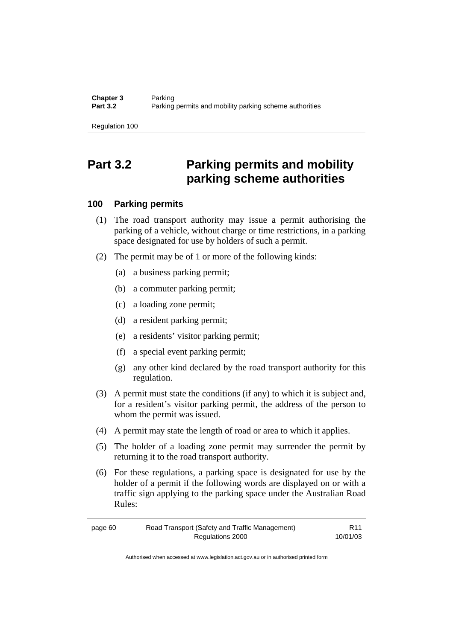# **Part 3.2 Parking permits and mobility parking scheme authorities**

#### **100 Parking permits**

- (1) The road transport authority may issue a permit authorising the parking of a vehicle, without charge or time restrictions, in a parking space designated for use by holders of such a permit.
- (2) The permit may be of 1 or more of the following kinds:
	- (a) a business parking permit;
	- (b) a commuter parking permit;
	- (c) a loading zone permit;
	- (d) a resident parking permit;
	- (e) a residents' visitor parking permit;
	- (f) a special event parking permit;
	- (g) any other kind declared by the road transport authority for this regulation.
- (3) A permit must state the conditions (if any) to which it is subject and, for a resident's visitor parking permit, the address of the person to whom the permit was issued.
- (4) A permit may state the length of road or area to which it applies.
- (5) The holder of a loading zone permit may surrender the permit by returning it to the road transport authority.
- (6) For these regulations, a parking space is designated for use by the holder of a permit if the following words are displayed on or with a traffic sign applying to the parking space under the Australian Road Rules:

| page 60 | Road Transport (Safety and Traffic Management) | R <sub>11</sub> |
|---------|------------------------------------------------|-----------------|
|         | Regulations 2000                               | 10/01/03        |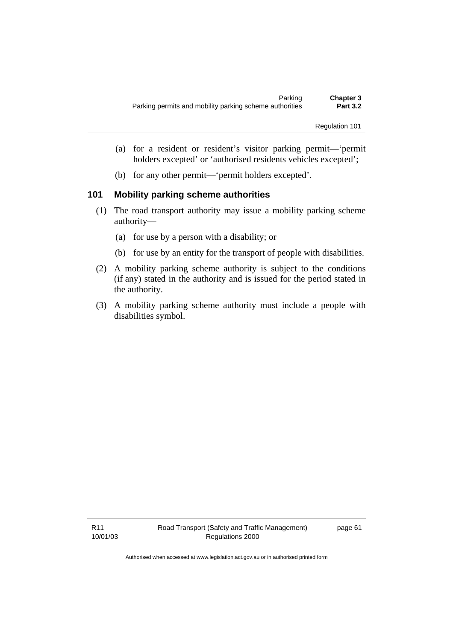- (a) for a resident or resident's visitor parking permit—'permit holders excepted' or 'authorised residents vehicles excepted';
- (b) for any other permit—'permit holders excepted'.

#### **101 Mobility parking scheme authorities**

- (1) The road transport authority may issue a mobility parking scheme authority—
	- (a) for use by a person with a disability; or
	- (b) for use by an entity for the transport of people with disabilities.
- (2) A mobility parking scheme authority is subject to the conditions (if any) stated in the authority and is issued for the period stated in the authority.
- (3) A mobility parking scheme authority must include a people with disabilities symbol.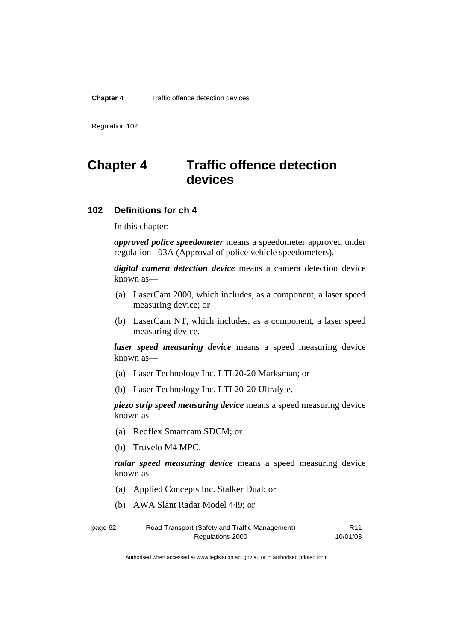#### **Chapter 4** Traffic offence detection devices

Regulation 102

# **Chapter 4 Traffic offence detection devices**

#### **102 Definitions for ch 4**

In this chapter:

*approved police speedometer* means a speedometer approved under regulation 103A (Approval of police vehicle speedometers).

*digital camera detection device* means a camera detection device known as—

- (a) LaserCam 2000, which includes, as a component, a laser speed measuring device; or
- (b) LaserCam NT, which includes, as a component, a laser speed measuring device.

*laser speed measuring device* means a speed measuring device known as—

- (a) Laser Technology Inc. LTI 20-20 Marksman; or
- (b) Laser Technology Inc. LTI 20-20 Ultralyte.

*piezo strip speed measuring device* means a speed measuring device known as—

- (a) Redflex Smartcam SDCM; or
- (b) Truvelo M4 MPC.

*radar speed measuring device* means a speed measuring device known as—

- (a) Applied Concepts Inc. Stalker Dual; or
- (b) AWA Slant Radar Model 449; or

| page 62 | Road Transport (Safety and Traffic Management) | R <sub>11</sub> |
|---------|------------------------------------------------|-----------------|
|         | Regulations 2000                               | 10/01/03        |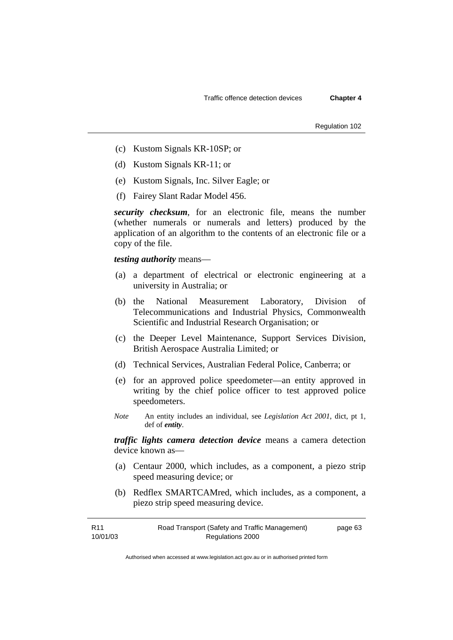Regulation 102

- (c) Kustom Signals KR-10SP; or
- (d) Kustom Signals KR-11; or
- (e) Kustom Signals, Inc. Silver Eagle; or
- (f) Fairey Slant Radar Model 456.

*security checksum*, for an electronic file, means the number (whether numerals or numerals and letters) produced by the application of an algorithm to the contents of an electronic file or a copy of the file.

*testing authority* means—

- (a) a department of electrical or electronic engineering at a university in Australia; or
- (b) the National Measurement Laboratory, Division of Telecommunications and Industrial Physics, Commonwealth Scientific and Industrial Research Organisation; or
- (c) the Deeper Level Maintenance, Support Services Division, British Aerospace Australia Limited; or
- (d) Technical Services, Australian Federal Police, Canberra; or
- (e) for an approved police speedometer—an entity approved in writing by the chief police officer to test approved police speedometers.
- *Note* An entity includes an individual, see *Legislation Act 2001*, dict, pt 1, def of *entity*.

*traffic lights camera detection device* means a camera detection device known as—

- (a) Centaur 2000, which includes, as a component, a piezo strip speed measuring device; or
- (b) Redflex SMARTCAMred, which includes, as a component, a piezo strip speed measuring device.

| R <sub>11</sub> | Road Transport (Safety and Traffic Management) | page 63 |
|-----------------|------------------------------------------------|---------|
| 10/01/03        | Regulations 2000                               |         |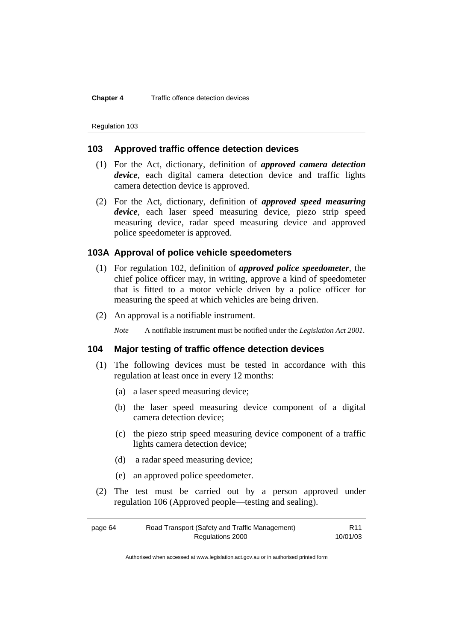**Chapter 4** Traffic offence detection devices

Regulation 103

# **103 Approved traffic offence detection devices**

- (1) For the Act, dictionary, definition of *approved camera detection device*, each digital camera detection device and traffic lights camera detection device is approved.
- (2) For the Act, dictionary, definition of *approved speed measuring device*, each laser speed measuring device, piezo strip speed measuring device, radar speed measuring device and approved police speedometer is approved.

# **103A Approval of police vehicle speedometers**

- (1) For regulation 102, definition of *approved police speedometer*, the chief police officer may, in writing, approve a kind of speedometer that is fitted to a motor vehicle driven by a police officer for measuring the speed at which vehicles are being driven.
- (2) An approval is a notifiable instrument.

*Note* A notifiable instrument must be notified under the *Legislation Act 2001*.

# **104 Major testing of traffic offence detection devices**

- (1) The following devices must be tested in accordance with this regulation at least once in every 12 months:
	- (a) a laser speed measuring device;
	- (b) the laser speed measuring device component of a digital camera detection device;
	- (c) the piezo strip speed measuring device component of a traffic lights camera detection device;
	- (d) a radar speed measuring device;
	- (e) an approved police speedometer.
- (2) The test must be carried out by a person approved under regulation 106 (Approved people—testing and sealing).

| page 64 | Road Transport (Safety and Traffic Management) | R <sub>11</sub> |
|---------|------------------------------------------------|-----------------|
|         | Regulations 2000                               | 10/01/03        |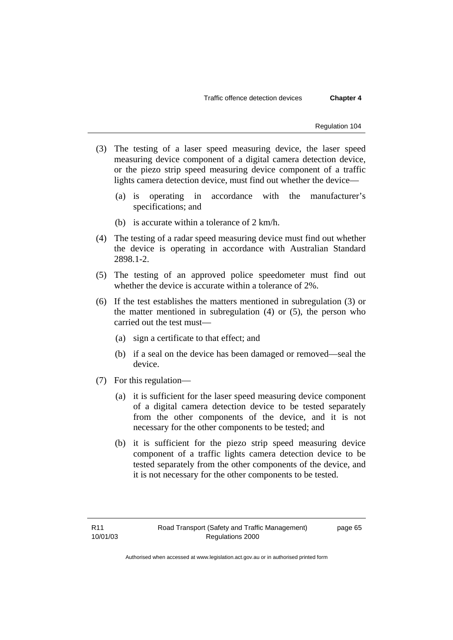Traffic offence detection devices **Chapter 4** 

Regulation 104

- (3) The testing of a laser speed measuring device, the laser speed measuring device component of a digital camera detection device, or the piezo strip speed measuring device component of a traffic lights camera detection device, must find out whether the device—
	- (a) is operating in accordance with the manufacturer's specifications; and
	- (b) is accurate within a tolerance of 2 km/h.
- (4) The testing of a radar speed measuring device must find out whether the device is operating in accordance with Australian Standard 2898.1-2.
- (5) The testing of an approved police speedometer must find out whether the device is accurate within a tolerance of 2%.
- (6) If the test establishes the matters mentioned in subregulation (3) or the matter mentioned in subregulation  $(4)$  or  $(5)$ , the person who carried out the test must—
	- (a) sign a certificate to that effect; and
	- (b) if a seal on the device has been damaged or removed—seal the device.
- (7) For this regulation—
	- (a) it is sufficient for the laser speed measuring device component of a digital camera detection device to be tested separately from the other components of the device, and it is not necessary for the other components to be tested; and
	- (b) it is sufficient for the piezo strip speed measuring device component of a traffic lights camera detection device to be tested separately from the other components of the device, and it is not necessary for the other components to be tested.

page 65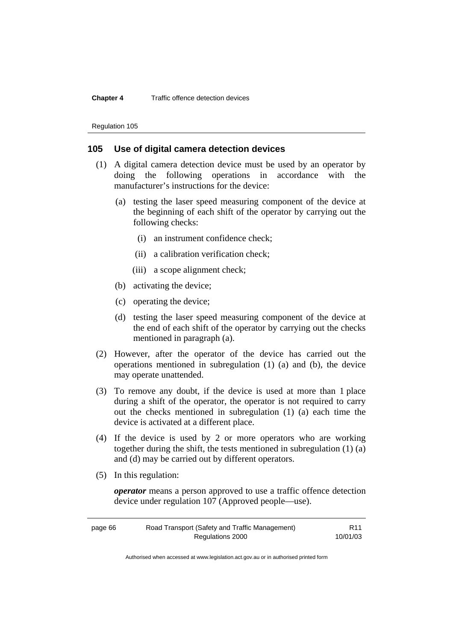# **Chapter 4** Traffic offence detection devices

Regulation 105

# **105 Use of digital camera detection devices**

- (1) A digital camera detection device must be used by an operator by doing the following operations in accordance with the manufacturer's instructions for the device:
	- (a) testing the laser speed measuring component of the device at the beginning of each shift of the operator by carrying out the following checks:
		- (i) an instrument confidence check;
		- (ii) a calibration verification check;
		- (iii) a scope alignment check;
	- (b) activating the device;
	- (c) operating the device;
	- (d) testing the laser speed measuring component of the device at the end of each shift of the operator by carrying out the checks mentioned in paragraph (a).
- (2) However, after the operator of the device has carried out the operations mentioned in subregulation (1) (a) and (b), the device may operate unattended.
- (3) To remove any doubt, if the device is used at more than 1 place during a shift of the operator, the operator is not required to carry out the checks mentioned in subregulation (1) (a) each time the device is activated at a different place.
- (4) If the device is used by 2 or more operators who are working together during the shift, the tests mentioned in subregulation (1) (a) and (d) may be carried out by different operators.
- (5) In this regulation:

*operator* means a person approved to use a traffic offence detection device under regulation 107 (Approved people—use).

| page 66 | Road Transport (Safety and Traffic Management) | R <sub>11</sub> |
|---------|------------------------------------------------|-----------------|
|         | Regulations 2000                               | 10/01/03        |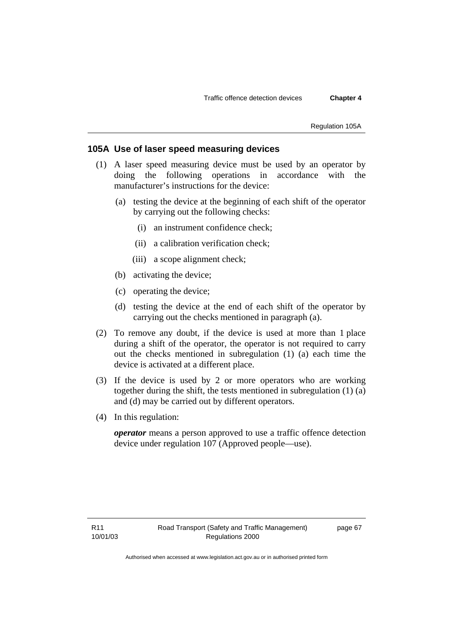Regulation 105A

# **105A Use of laser speed measuring devices**

- (1) A laser speed measuring device must be used by an operator by doing the following operations in accordance with the manufacturer's instructions for the device:
	- (a) testing the device at the beginning of each shift of the operator by carrying out the following checks:
		- (i) an instrument confidence check;
		- (ii) a calibration verification check;
		- (iii) a scope alignment check;
	- (b) activating the device;
	- (c) operating the device;
	- (d) testing the device at the end of each shift of the operator by carrying out the checks mentioned in paragraph (a).
- (2) To remove any doubt, if the device is used at more than 1 place during a shift of the operator, the operator is not required to carry out the checks mentioned in subregulation (1) (a) each time the device is activated at a different place.
- (3) If the device is used by 2 or more operators who are working together during the shift, the tests mentioned in subregulation (1) (a) and (d) may be carried out by different operators.
- (4) In this regulation:

*operator* means a person approved to use a traffic offence detection device under regulation 107 (Approved people—use).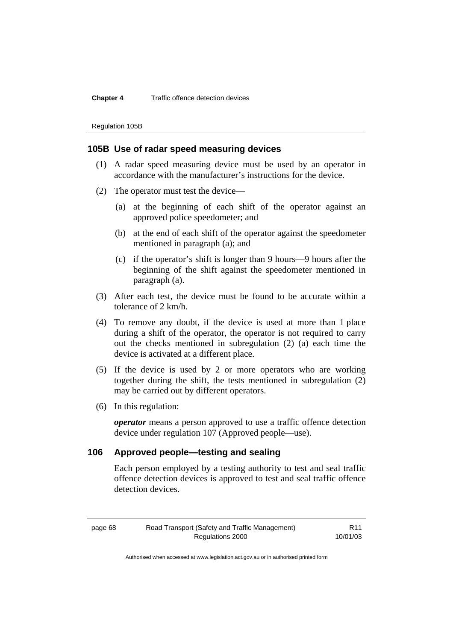# **Chapter 4** Traffic offence detection devices

Regulation 105B

# **105B Use of radar speed measuring devices**

- (1) A radar speed measuring device must be used by an operator in accordance with the manufacturer's instructions for the device.
- (2) The operator must test the device—
	- (a) at the beginning of each shift of the operator against an approved police speedometer; and
	- (b) at the end of each shift of the operator against the speedometer mentioned in paragraph (a); and
	- (c) if the operator's shift is longer than 9 hours—9 hours after the beginning of the shift against the speedometer mentioned in paragraph (a).
- (3) After each test, the device must be found to be accurate within a tolerance of 2 km/h.
- (4) To remove any doubt, if the device is used at more than 1 place during a shift of the operator, the operator is not required to carry out the checks mentioned in subregulation (2) (a) each time the device is activated at a different place.
- (5) If the device is used by 2 or more operators who are working together during the shift, the tests mentioned in subregulation (2) may be carried out by different operators.
- (6) In this regulation:

*operator* means a person approved to use a traffic offence detection device under regulation 107 (Approved people—use).

# **106 Approved people—testing and sealing**

Each person employed by a testing authority to test and seal traffic offence detection devices is approved to test and seal traffic offence detection devices.

page 68 Road Transport (Safety and Traffic Management) Regulations 2000 R11 10/01/03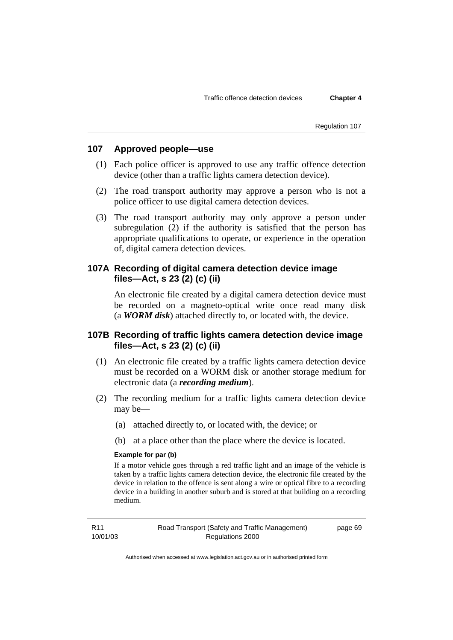Regulation 107

# **107 Approved people—use**

- (1) Each police officer is approved to use any traffic offence detection device (other than a traffic lights camera detection device).
- (2) The road transport authority may approve a person who is not a police officer to use digital camera detection devices.
- (3) The road transport authority may only approve a person under subregulation (2) if the authority is satisfied that the person has appropriate qualifications to operate, or experience in the operation of, digital camera detection devices.

# **107A Recording of digital camera detection device image files—Act, s 23 (2) (c) (ii)**

An electronic file created by a digital camera detection device must be recorded on a magneto-optical write once read many disk (a *WORM disk*) attached directly to, or located with, the device.

# **107B Recording of traffic lights camera detection device image files—Act, s 23 (2) (c) (ii)**

- (1) An electronic file created by a traffic lights camera detection device must be recorded on a WORM disk or another storage medium for electronic data (a *recording medium*).
- (2) The recording medium for a traffic lights camera detection device may be—
	- (a) attached directly to, or located with, the device; or
	- (b) at a place other than the place where the device is located.

# **Example for par (b)**

If a motor vehicle goes through a red traffic light and an image of the vehicle is taken by a traffic lights camera detection device, the electronic file created by the device in relation to the offence is sent along a wire or optical fibre to a recording device in a building in another suburb and is stored at that building on a recording medium.

page 69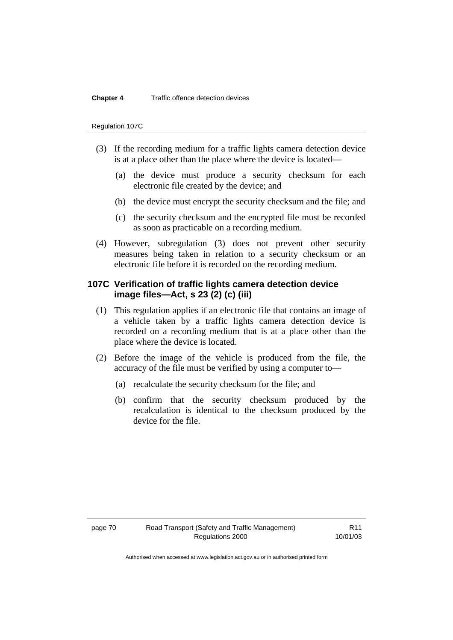## **Chapter 4** Traffic offence detection devices

#### Regulation 107C

- (3) If the recording medium for a traffic lights camera detection device is at a place other than the place where the device is located—
	- (a) the device must produce a security checksum for each electronic file created by the device; and
	- (b) the device must encrypt the security checksum and the file; and
	- (c) the security checksum and the encrypted file must be recorded as soon as practicable on a recording medium.
- (4) However, subregulation (3) does not prevent other security measures being taken in relation to a security checksum or an electronic file before it is recorded on the recording medium.

# **107C Verification of traffic lights camera detection device image files—Act, s 23 (2) (c) (iii)**

- (1) This regulation applies if an electronic file that contains an image of a vehicle taken by a traffic lights camera detection device is recorded on a recording medium that is at a place other than the place where the device is located.
- (2) Before the image of the vehicle is produced from the file, the accuracy of the file must be verified by using a computer to—
	- (a) recalculate the security checksum for the file; and
	- (b) confirm that the security checksum produced by the recalculation is identical to the checksum produced by the device for the file.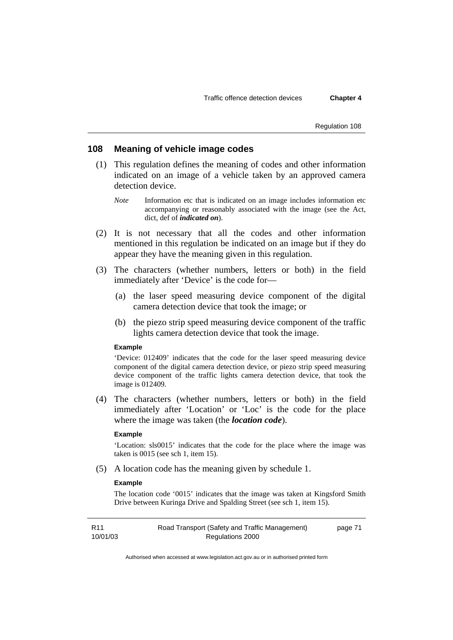Regulation 108

# **108 Meaning of vehicle image codes**

- (1) This regulation defines the meaning of codes and other information indicated on an image of a vehicle taken by an approved camera detection device.
	- *Note* Information etc that is indicated on an image includes information etc accompanying or reasonably associated with the image (see the Act, dict, def of *indicated on*).
- (2) It is not necessary that all the codes and other information mentioned in this regulation be indicated on an image but if they do appear they have the meaning given in this regulation.
- (3) The characters (whether numbers, letters or both) in the field immediately after 'Device' is the code for—
	- (a) the laser speed measuring device component of the digital camera detection device that took the image; or
	- (b) the piezo strip speed measuring device component of the traffic lights camera detection device that took the image.

#### **Example**

'Device: 012409' indicates that the code for the laser speed measuring device component of the digital camera detection device, or piezo strip speed measuring device component of the traffic lights camera detection device, that took the image is 012409.

 (4) The characters (whether numbers, letters or both) in the field immediately after 'Location' or 'Loc' is the code for the place where the image was taken (the *location code*).

#### **Example**

'Location: sls0015' indicates that the code for the place where the image was taken is 0015 (see sch 1, item 15).

(5) A location code has the meaning given by schedule 1.

# **Example**

The location code '0015' indicates that the image was taken at Kingsford Smith Drive between Kuringa Drive and Spalding Street (see sch 1, item 15).

| R <sub>11</sub> | Road Transport (Safety and Traffic Management) | page 71 |
|-----------------|------------------------------------------------|---------|
| 10/01/03        | Regulations 2000                               |         |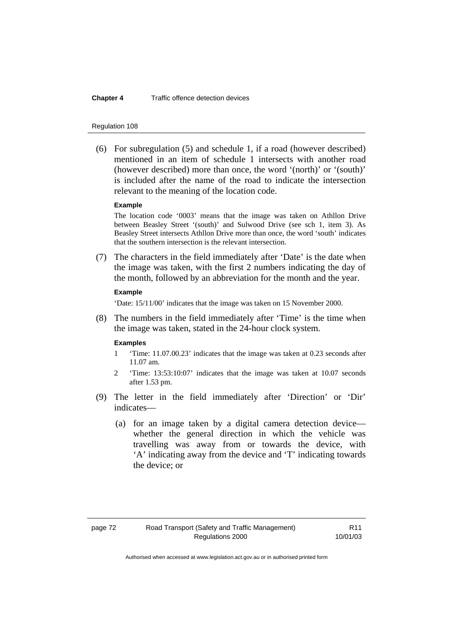#### **Chapter 4** Traffic offence detection devices

#### Regulation 108

 (6) For subregulation (5) and schedule 1, if a road (however described) mentioned in an item of schedule 1 intersects with another road (however described) more than once, the word '(north)' or '(south)' is included after the name of the road to indicate the intersection relevant to the meaning of the location code.

#### **Example**

The location code '0003' means that the image was taken on Athllon Drive between Beasley Street '(south)' and Sulwood Drive (see sch 1, item 3). As Beasley Street intersects Athllon Drive more than once, the word 'south' indicates that the southern intersection is the relevant intersection.

 (7) The characters in the field immediately after 'Date' is the date when the image was taken, with the first 2 numbers indicating the day of the month, followed by an abbreviation for the month and the year.

#### **Example**

'Date: 15/11/00' indicates that the image was taken on 15 November 2000.

 (8) The numbers in the field immediately after 'Time' is the time when the image was taken, stated in the 24-hour clock system.

#### **Examples**

- 1 'Time: 11.07.00.23' indicates that the image was taken at 0.23 seconds after 11.07 am.
- 2 'Time: 13:53:10:07' indicates that the image was taken at 10.07 seconds after 1.53 pm.
- (9) The letter in the field immediately after 'Direction' or 'Dir' indicates—
	- (a) for an image taken by a digital camera detection device whether the general direction in which the vehicle was travelling was away from or towards the device, with 'A' indicating away from the device and 'T' indicating towards the device; or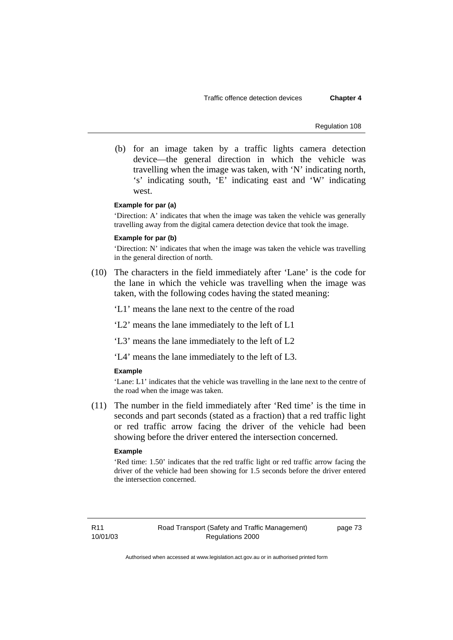Regulation 108

 (b) for an image taken by a traffic lights camera detection device—the general direction in which the vehicle was travelling when the image was taken, with 'N' indicating north, 's' indicating south, 'E' indicating east and 'W' indicating west.

## **Example for par (a)**

'Direction: A' indicates that when the image was taken the vehicle was generally travelling away from the digital camera detection device that took the image.

### **Example for par (b)**

'Direction: N' indicates that when the image was taken the vehicle was travelling in the general direction of north.

 (10) The characters in the field immediately after 'Lane' is the code for the lane in which the vehicle was travelling when the image was taken, with the following codes having the stated meaning:

'L1' means the lane next to the centre of the road

'L2' means the lane immediately to the left of L1

'L3' means the lane immediately to the left of L2

'L4' means the lane immediately to the left of L3.

#### **Example**

'Lane: L1' indicates that the vehicle was travelling in the lane next to the centre of the road when the image was taken.

 (11) The number in the field immediately after 'Red time' is the time in seconds and part seconds (stated as a fraction) that a red traffic light or red traffic arrow facing the driver of the vehicle had been showing before the driver entered the intersection concerned.

#### **Example**

'Red time: 1.50' indicates that the red traffic light or red traffic arrow facing the driver of the vehicle had been showing for 1.5 seconds before the driver entered the intersection concerned.

R11 10/01/03 page 73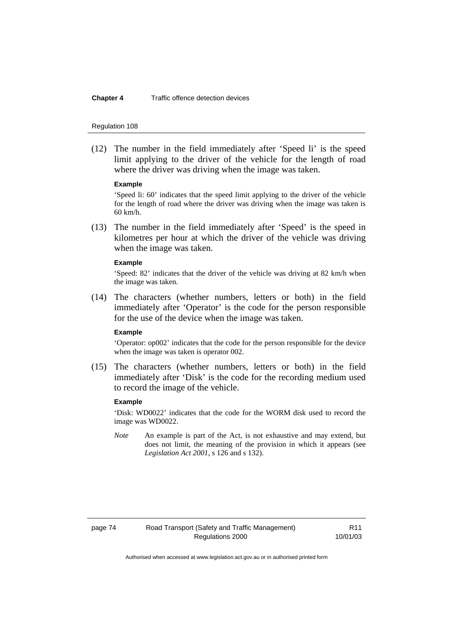#### **Chapter 4** Traffic offence detection devices

#### Regulation 108

 (12) The number in the field immediately after 'Speed li' is the speed limit applying to the driver of the vehicle for the length of road where the driver was driving when the image was taken.

#### **Example**

'Speed li: 60' indicates that the speed limit applying to the driver of the vehicle for the length of road where the driver was driving when the image was taken is 60 km/h.

 (13) The number in the field immediately after 'Speed' is the speed in kilometres per hour at which the driver of the vehicle was driving when the image was taken.

### **Example**

'Speed: 82' indicates that the driver of the vehicle was driving at 82 km/h when the image was taken.

 (14) The characters (whether numbers, letters or both) in the field immediately after 'Operator' is the code for the person responsible for the use of the device when the image was taken.

# **Example**

'Operator: op002' indicates that the code for the person responsible for the device when the image was taken is operator 002.

 (15) The characters (whether numbers, letters or both) in the field immediately after 'Disk' is the code for the recording medium used to record the image of the vehicle.

## **Example**

'Disk: WD0022' indicates that the code for the WORM disk used to record the image was WD0022.

*Note* An example is part of the Act, is not exhaustive and may extend, but does not limit, the meaning of the provision in which it appears (see *Legislation Act 2001*, s 126 and s 132).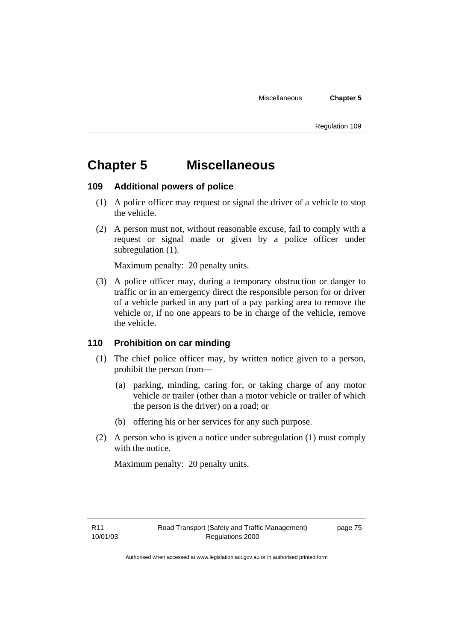Regulation 109

# **Chapter 5 Miscellaneous**

# **109 Additional powers of police**

- (1) A police officer may request or signal the driver of a vehicle to stop the vehicle.
- (2) A person must not, without reasonable excuse, fail to comply with a request or signal made or given by a police officer under subregulation (1).

Maximum penalty: 20 penalty units.

 (3) A police officer may, during a temporary obstruction or danger to traffic or in an emergency direct the responsible person for or driver of a vehicle parked in any part of a pay parking area to remove the vehicle or, if no one appears to be in charge of the vehicle, remove the vehicle.

# **110 Prohibition on car minding**

- (1) The chief police officer may, by written notice given to a person, prohibit the person from—
	- (a) parking, minding, caring for, or taking charge of any motor vehicle or trailer (other than a motor vehicle or trailer of which the person is the driver) on a road; or
	- (b) offering his or her services for any such purpose.
- (2) A person who is given a notice under subregulation (1) must comply with the notice.

Maximum penalty: 20 penalty units.

page 75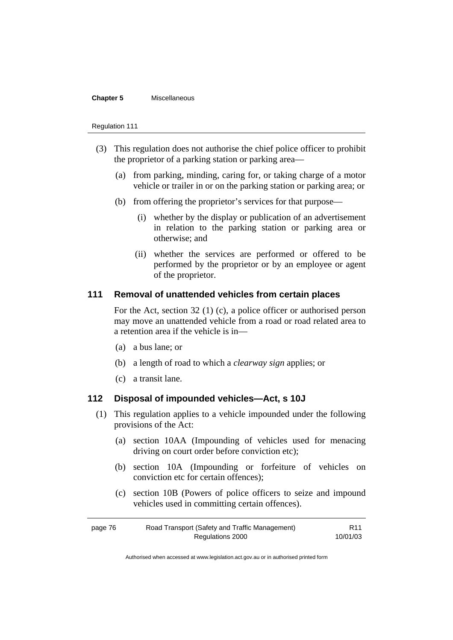## **Chapter 5** Miscellaneous

#### Regulation 111

- (3) This regulation does not authorise the chief police officer to prohibit the proprietor of a parking station or parking area—
	- (a) from parking, minding, caring for, or taking charge of a motor vehicle or trailer in or on the parking station or parking area; or
	- (b) from offering the proprietor's services for that purpose—
		- (i) whether by the display or publication of an advertisement in relation to the parking station or parking area or otherwise; and
		- (ii) whether the services are performed or offered to be performed by the proprietor or by an employee or agent of the proprietor.

# **111 Removal of unattended vehicles from certain places**

For the Act, section 32 (1) (c), a police officer or authorised person may move an unattended vehicle from a road or road related area to a retention area if the vehicle is in—

- (a) a bus lane; or
- (b) a length of road to which a *clearway sign* applies; or
- (c) a transit lane.

# **112 Disposal of impounded vehicles—Act, s 10J**

- (1) This regulation applies to a vehicle impounded under the following provisions of the Act:
	- (a) section 10AA (Impounding of vehicles used for menacing driving on court order before conviction etc);
	- (b) section 10A (Impounding or forfeiture of vehicles on conviction etc for certain offences);
	- (c) section 10B (Powers of police officers to seize and impound vehicles used in committing certain offences).

| page 76 | Road Transport (Safety and Traffic Management) | R <sub>11</sub> |
|---------|------------------------------------------------|-----------------|
|         | Regulations 2000                               | 10/01/03        |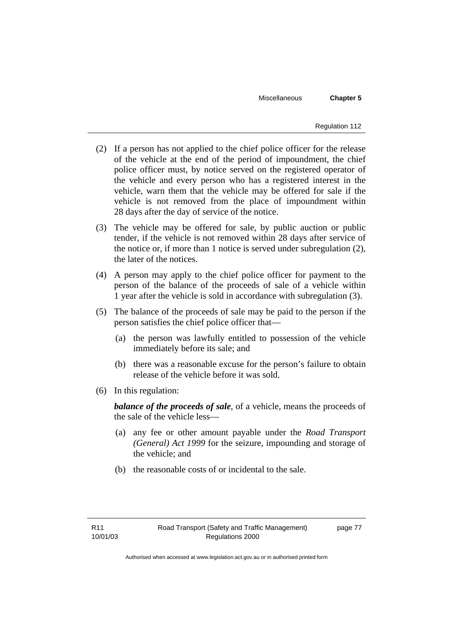Miscellaneous **Chapter 5** 

- (2) If a person has not applied to the chief police officer for the release of the vehicle at the end of the period of impoundment, the chief police officer must, by notice served on the registered operator of the vehicle and every person who has a registered interest in the vehicle, warn them that the vehicle may be offered for sale if the vehicle is not removed from the place of impoundment within 28 days after the day of service of the notice.
- (3) The vehicle may be offered for sale, by public auction or public tender, if the vehicle is not removed within 28 days after service of the notice or, if more than 1 notice is served under subregulation (2), the later of the notices.
- (4) A person may apply to the chief police officer for payment to the person of the balance of the proceeds of sale of a vehicle within 1 year after the vehicle is sold in accordance with subregulation (3).
- (5) The balance of the proceeds of sale may be paid to the person if the person satisfies the chief police officer that—
	- (a) the person was lawfully entitled to possession of the vehicle immediately before its sale; and
	- (b) there was a reasonable excuse for the person's failure to obtain release of the vehicle before it was sold.
- (6) In this regulation:

*balance of the proceeds of sale*, of a vehicle, means the proceeds of the sale of the vehicle less—

- (a) any fee or other amount payable under the *Road Transport (General) Act 1999* for the seizure, impounding and storage of the vehicle; and
- (b) the reasonable costs of or incidental to the sale.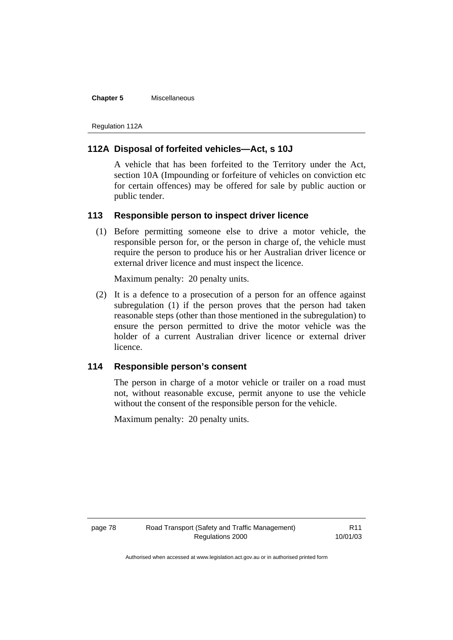#### **Chapter 5** Miscellaneous

Regulation 112A

# **112A Disposal of forfeited vehicles—Act, s 10J**

A vehicle that has been forfeited to the Territory under the Act, section 10A (Impounding or forfeiture of vehicles on conviction etc for certain offences) may be offered for sale by public auction or public tender.

# **113 Responsible person to inspect driver licence**

 (1) Before permitting someone else to drive a motor vehicle, the responsible person for, or the person in charge of, the vehicle must require the person to produce his or her Australian driver licence or external driver licence and must inspect the licence.

Maximum penalty: 20 penalty units.

 (2) It is a defence to a prosecution of a person for an offence against subregulation (1) if the person proves that the person had taken reasonable steps (other than those mentioned in the subregulation) to ensure the person permitted to drive the motor vehicle was the holder of a current Australian driver licence or external driver licence.

# **114 Responsible person's consent**

The person in charge of a motor vehicle or trailer on a road must not, without reasonable excuse, permit anyone to use the vehicle without the consent of the responsible person for the vehicle.

Maximum penalty: 20 penalty units.

R11 10/01/03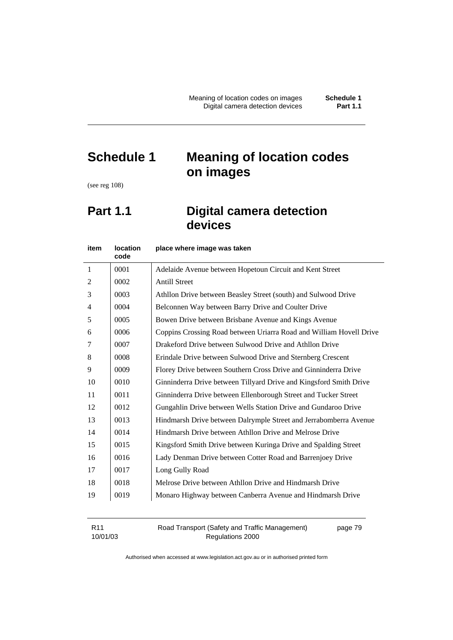# **Schedule 1 Meaning of location codes on images**

(see reg 108)

# **Part 1.1** Digital camera detection **devices**

| item                     | <b>location</b><br>code | place where image was taken                                         |
|--------------------------|-------------------------|---------------------------------------------------------------------|
| 1                        | 0001                    | Adelaide Avenue between Hopetoun Circuit and Kent Street            |
| 2                        | 0002                    | <b>Antill Street</b>                                                |
| 3                        | 0003                    | Athllon Drive between Beasley Street (south) and Sulwood Drive      |
| $\overline{\mathcal{A}}$ | 0004                    | Belconnen Way between Barry Drive and Coulter Drive                 |
| 5                        | 0005                    | Bowen Drive between Brisbane Avenue and Kings Avenue                |
| 6                        | 0006                    | Coppins Crossing Road between Uriarra Road and William Hovell Drive |
| 7                        | 0007                    | Drakeford Drive between Sulwood Drive and Athllon Drive             |
| 8                        | 0008                    | Erindale Drive between Sulwood Drive and Sternberg Crescent         |
| 9                        | 0009                    | Florey Drive between Southern Cross Drive and Ginninderra Drive     |
| 10                       | 0010                    | Ginninderra Drive between Tillyard Drive and Kingsford Smith Drive  |
| 11                       | 0011                    | Ginninderra Drive between Ellenborough Street and Tucker Street     |
| 12                       | 0012                    | Gungahlin Drive between Wells Station Drive and Gundaroo Drive      |
| 13                       | 0013                    | Hindmarsh Drive between Dalrymple Street and Jerrabomberra Avenue   |
| 14                       | 0014                    | Hindmarsh Drive between Athllon Drive and Melrose Drive             |
| 15                       | 0015                    | Kingsford Smith Drive between Kuringa Drive and Spalding Street     |
| 16                       | 0016                    | Lady Denman Drive between Cotter Road and Barrenjoey Drive          |
| 17                       | 0017                    | Long Gully Road                                                     |
| 18                       | 0018                    | Melrose Drive between Athllon Drive and Hindmarsh Drive             |
| 19                       | 0019                    | Monaro Highway between Canberra Avenue and Hindmarsh Drive          |

| R11      | Road Transport (Safety and Traffic Management) | page 79 |
|----------|------------------------------------------------|---------|
| 10/01/03 | Regulations 2000                               |         |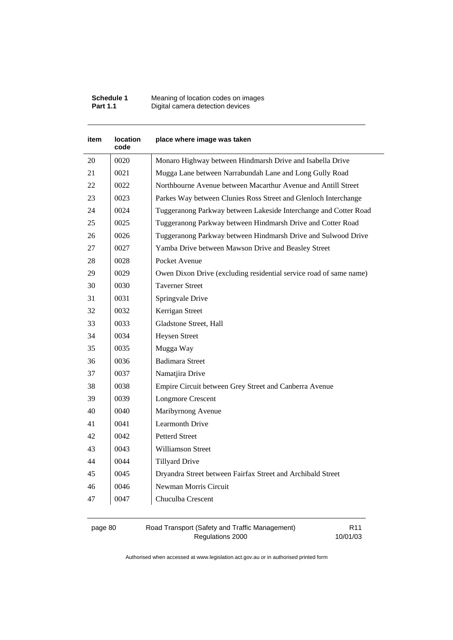| <b>Schedule 1</b> | Meaning of location codes on images |
|-------------------|-------------------------------------|
| <b>Part 1.1</b>   | Digital camera detection devices    |

| item | <b>location</b><br>code | place where image was taken                                        |
|------|-------------------------|--------------------------------------------------------------------|
| 20   | 0020                    | Monaro Highway between Hindmarsh Drive and Isabella Drive          |
| 21   | 0021                    | Mugga Lane between Narrabundah Lane and Long Gully Road            |
| 22   | 0022                    | Northbourne Avenue between Macarthur Avenue and Antill Street      |
| 23   | 0023                    | Parkes Way between Clunies Ross Street and Glenloch Interchange    |
| 24   | 0024                    | Tuggeranong Parkway between Lakeside Interchange and Cotter Road   |
| 25   | 0025                    | Tuggeranong Parkway between Hindmarsh Drive and Cotter Road        |
| 26   | 0026                    | Tuggeranong Parkway between Hindmarsh Drive and Sulwood Drive      |
| 27   | 0027                    | Yamba Drive between Mawson Drive and Beasley Street                |
| 28   | 0028                    | Pocket Avenue                                                      |
| 29   | 0029                    | Owen Dixon Drive (excluding residential service road of same name) |
| 30   | 0030                    | <b>Taverner Street</b>                                             |
| 31   | 0031                    | Springvale Drive                                                   |
| 32   | 0032                    | Kerrigan Street                                                    |
| 33   | 0033                    | Gladstone Street, Hall                                             |
| 34   | 0034                    | <b>Heysen Street</b>                                               |
| 35   | 0035                    | Mugga Way                                                          |
| 36   | 0036                    | <b>Badimara Street</b>                                             |
| 37   | 0037                    | Namatjira Drive                                                    |
| 38   | 0038                    | Empire Circuit between Grey Street and Canberra Avenue             |
| 39   | 0039                    | <b>Longmore Crescent</b>                                           |
| 40   | 0040                    | Maribyrnong Avenue                                                 |
| 41   | 0041                    | <b>Learmonth Drive</b>                                             |
| 42   | 0042                    | <b>Petterd Street</b>                                              |
| 43   | 0043                    | <b>Williamson Street</b>                                           |
| 44   | 0044                    | <b>Tillyard Drive</b>                                              |
| 45   | 0045                    | Dryandra Street between Fairfax Street and Archibald Street        |
| 46   | 0046                    | Newman Morris Circuit                                              |
| 47   | 0047                    | Chuculba Crescent                                                  |
|      |                         |                                                                    |

page 80 Road Transport (Safety and Traffic Management) Regulations 2000

R11 10/01/03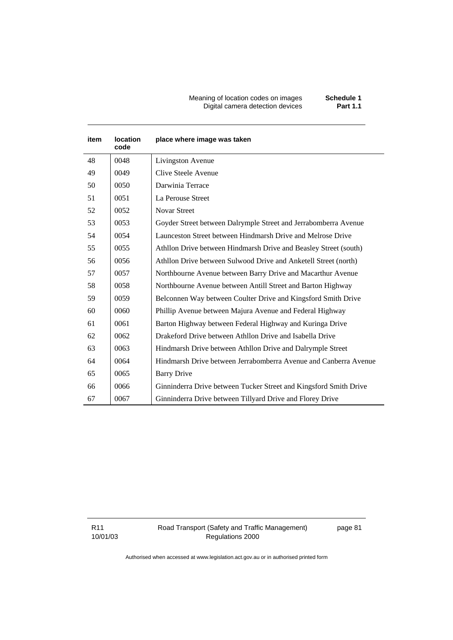#### Meaning of location codes on images **Schedule 1**  Digital camera detection devices **Part 1.1**

| item | <b>location</b><br>code | place where image was taken                                       |
|------|-------------------------|-------------------------------------------------------------------|
| 48   | 0048                    | Livingston Avenue                                                 |
| 49   | 0049                    | Clive Steele Avenue                                               |
| 50   | 0050                    | Darwinia Terrace                                                  |
| 51   | 0051                    | La Perouse Street                                                 |
| 52   | 0052                    | Novar Street                                                      |
| 53   | 0053                    | Goyder Street between Dalrymple Street and Jerrabomberra Avenue   |
| 54   | 0054                    | Launceston Street between Hindmarsh Drive and Melrose Drive       |
| 55   | 0055                    | Athllon Drive between Hindmarsh Drive and Beasley Street (south)  |
| 56   | 0056                    | Athllon Drive between Sulwood Drive and Anketell Street (north)   |
| 57   | 0057                    | Northbourne Avenue between Barry Drive and Macarthur Avenue       |
| 58   | 0058                    | Northbourne Avenue between Antill Street and Barton Highway       |
| 59   | 0059                    | Belconnen Way between Coulter Drive and Kingsford Smith Drive     |
| 60   | 0060                    | Phillip Avenue between Majura Avenue and Federal Highway          |
| 61   | 0061                    | Barton Highway between Federal Highway and Kuringa Drive          |
| 62   | 0062                    | Drakeford Drive between Athllon Drive and Isabella Drive          |
| 63   | 0063                    | Hindmarsh Drive between Athllon Drive and Dalrymple Street        |
| 64   | 0064                    | Hindmarsh Drive between Jerrabomberra Avenue and Canberra Avenue  |
| 65   | 0065                    | <b>Barry Drive</b>                                                |
| 66   | 0066                    | Ginninderra Drive between Tucker Street and Kingsford Smith Drive |
| 67   | 0067                    | Ginninderra Drive between Tillyard Drive and Florey Drive         |

R11 10/01/03 page 81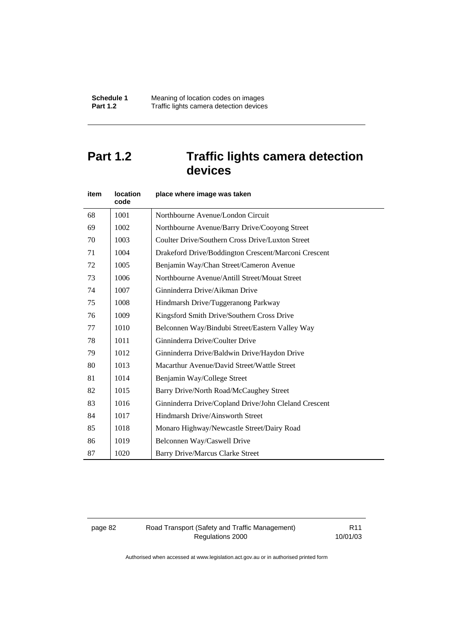# **Part 1.2 Traffic lights camera detection devices**

| item | <b>location</b><br>code | place where image was taken                           |
|------|-------------------------|-------------------------------------------------------|
| 68   | 1001                    | Northbourne Avenue/London Circuit                     |
| 69   | 1002                    | Northbourne Avenue/Barry Drive/Cooyong Street         |
| 70   | 1003                    | Coulter Drive/Southern Cross Drive/Luxton Street      |
| 71   | 1004                    | Drakeford Drive/Boddington Crescent/Marconi Crescent  |
| 72   | 1005                    | Benjamin Way/Chan Street/Cameron Avenue               |
| 73   | 1006                    | Northbourne Avenue/Antill Street/Mouat Street         |
| 74   | 1007                    | Ginninderra Drive/Aikman Drive                        |
| 75   | 1008                    | Hindmarsh Drive/Tuggeranong Parkway                   |
| 76   | 1009                    | Kingsford Smith Drive/Southern Cross Drive            |
| 77   | 1010                    | Belconnen Way/Bindubi Street/Eastern Valley Way       |
| 78   | 1011                    | Ginninderra Drive/Coulter Drive                       |
| 79   | 1012                    | Ginninderra Drive/Baldwin Drive/Haydon Drive          |
| 80   | 1013                    | Macarthur Avenue/David Street/Wattle Street           |
| 81   | 1014                    | Benjamin Way/College Street                           |
| 82   | 1015                    | Barry Drive/North Road/McCaughey Street               |
| 83   | 1016                    | Ginninderra Drive/Copland Drive/John Cleland Crescent |
| 84   | 1017                    | Hindmarsh Drive/Ainsworth Street                      |
| 85   | 1018                    | Monaro Highway/Newcastle Street/Dairy Road            |
| 86   | 1019                    | Belconnen Way/Caswell Drive                           |
| 87   | 1020                    | <b>Barry Drive/Marcus Clarke Street</b>               |

page 82 Road Transport (Safety and Traffic Management) Regulations 2000

R11 10/01/03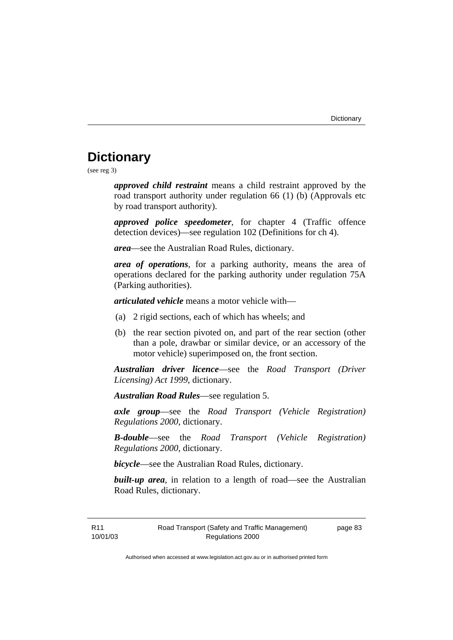# **Dictionary**

(see reg 3)

*approved child restraint* means a child restraint approved by the road transport authority under regulation 66 (1) (b) (Approvals etc by road transport authority).

*approved police speedometer*, for chapter 4 (Traffic offence detection devices)—see regulation 102 (Definitions for ch 4).

*area*—see the Australian Road Rules, dictionary.

*area of operations*, for a parking authority, means the area of operations declared for the parking authority under regulation 75A (Parking authorities).

*articulated vehicle* means a motor vehicle with—

- (a) 2 rigid sections, each of which has wheels; and
- (b) the rear section pivoted on, and part of the rear section (other than a pole, drawbar or similar device, or an accessory of the motor vehicle) superimposed on, the front section.

*Australian driver licence*—see the *Road Transport (Driver Licensing) Act 1999*, dictionary.

*Australian Road Rules*—see regulation 5.

*axle group*—see the *Road Transport (Vehicle Registration) Regulations 2000*, dictionary.

*B-double*—see the *Road Transport (Vehicle Registration) Regulations 2000*, dictionary.

*bicycle*—see the Australian Road Rules, dictionary.

**built-up area**, in relation to a length of road—see the Australian Road Rules, dictionary.

R11 10/01/03 page 83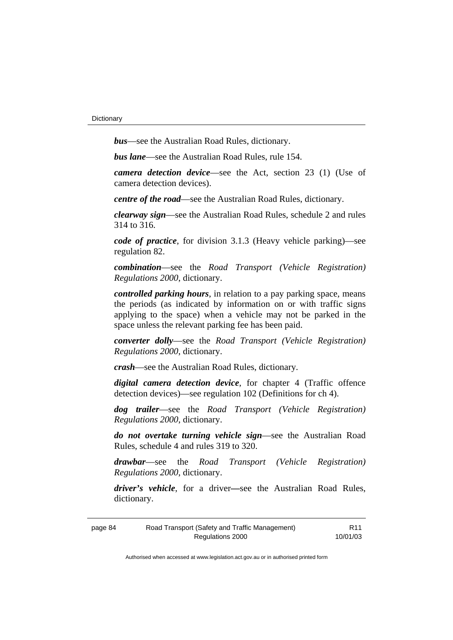*bus*—see the Australian Road Rules, dictionary.

*bus lane*—see the Australian Road Rules, rule 154.

*camera detection device*—see the Act, section 23 (1) (Use of camera detection devices).

*centre of the road*—see the Australian Road Rules, dictionary.

*clearway sign*—see the Australian Road Rules, schedule 2 and rules 314 to 316.

*code of practice*, for division 3.1.3 (Heavy vehicle parking)—see regulation 82.

*combination*—see the *Road Transport (Vehicle Registration) Regulations 2000*, dictionary.

*controlled parking hours*, in relation to a pay parking space, means the periods (as indicated by information on or with traffic signs applying to the space) when a vehicle may not be parked in the space unless the relevant parking fee has been paid.

*converter dolly*—see the *Road Transport (Vehicle Registration) Regulations 2000*, dictionary.

*crash*—see the Australian Road Rules, dictionary.

*digital camera detection device*, for chapter 4 (Traffic offence detection devices)—see regulation 102 (Definitions for ch 4).

*dog trailer*—see the *Road Transport (Vehicle Registration) Regulations 2000*, dictionary.

*do not overtake turning vehicle sign*—see the Australian Road Rules, schedule 4 and rules 319 to 320.

*drawbar*—see the *Road Transport (Vehicle Registration) Regulations 2000*, dictionary.

*driver's vehicle*, for a driver*—*see the Australian Road Rules, dictionary.

| page 84 | Road Transport (Safety and Traffic Management) | R <sub>11</sub> |
|---------|------------------------------------------------|-----------------|
|         | Regulations 2000                               | 10/01/03        |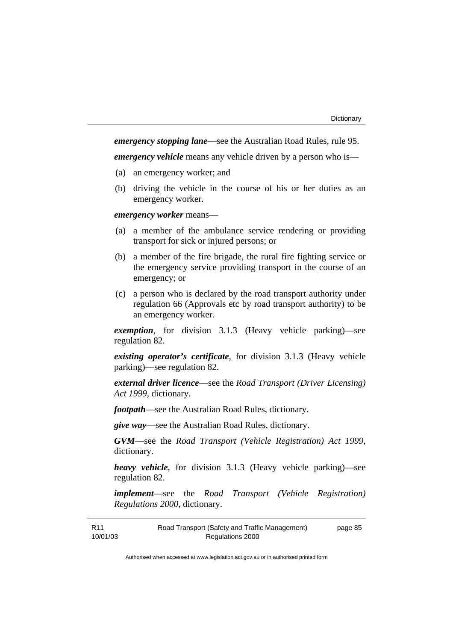*emergency stopping lane*—see the Australian Road Rules, rule 95.

*emergency vehicle* means any vehicle driven by a person who is—

- (a) an emergency worker; and
- (b) driving the vehicle in the course of his or her duties as an emergency worker.

*emergency worker* means—

- (a) a member of the ambulance service rendering or providing transport for sick or injured persons; or
- (b) a member of the fire brigade, the rural fire fighting service or the emergency service providing transport in the course of an emergency; or
- (c) a person who is declared by the road transport authority under regulation 66 (Approvals etc by road transport authority) to be an emergency worker.

*exemption*, for division 3.1.3 (Heavy vehicle parking)—see regulation 82.

*existing operator's certificate*, for division 3.1.3 (Heavy vehicle parking)—see regulation 82.

*external driver licence*—see the *Road Transport (Driver Licensing) Act 1999*, dictionary.

*footpath*—see the Australian Road Rules, dictionary.

*give way*—see the Australian Road Rules, dictionary.

*GVM*—see the *Road Transport (Vehicle Registration) Act 1999*, dictionary.

*heavy vehicle*, for division 3.1.3 (Heavy vehicle parking)—see regulation 82.

*implement*—see the *Road Transport (Vehicle Registration) Regulations 2000*, dictionary.

| R <sub>11</sub> | Road Transport (Safety and Traffic Management) | page 85 |
|-----------------|------------------------------------------------|---------|
| 10/01/03        | Regulations 2000                               |         |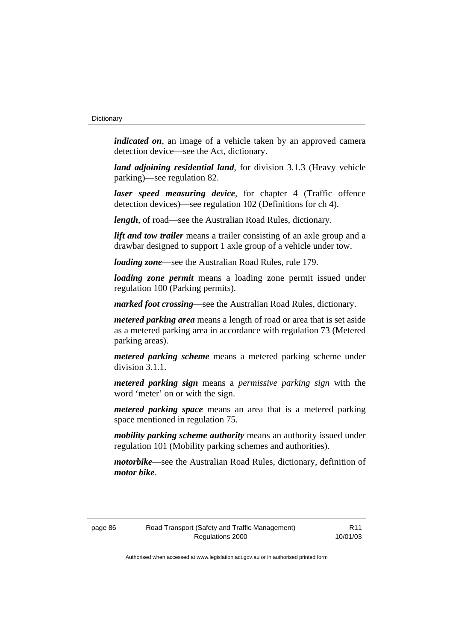*indicated on*, an image of a vehicle taken by an approved camera detection device—see the Act, dictionary.

*land adjoining residential land*, for division 3.1.3 (Heavy vehicle parking)—see regulation 82.

*laser speed measuring device*, for chapter 4 (Traffic offence detection devices)—see regulation 102 (Definitions for ch 4).

*length*, of road—see the Australian Road Rules, dictionary.

*lift and tow trailer* means a trailer consisting of an axle group and a drawbar designed to support 1 axle group of a vehicle under tow.

*loading zone*—see the Australian Road Rules, rule 179.

*loading zone permit* means a loading zone permit issued under regulation 100 (Parking permits).

*marked foot crossing*—see the Australian Road Rules, dictionary.

*metered parking area* means a length of road or area that is set aside as a metered parking area in accordance with regulation 73 (Metered parking areas).

*metered parking scheme* means a metered parking scheme under division 3.1.1.

*metered parking sign* means a *permissive parking sign* with the word 'meter' on or with the sign.

*metered parking space* means an area that is a metered parking space mentioned in regulation 75.

*mobility parking scheme authority* means an authority issued under regulation 101 (Mobility parking schemes and authorities).

*motorbike*—see the Australian Road Rules, dictionary, definition of *motor bike*.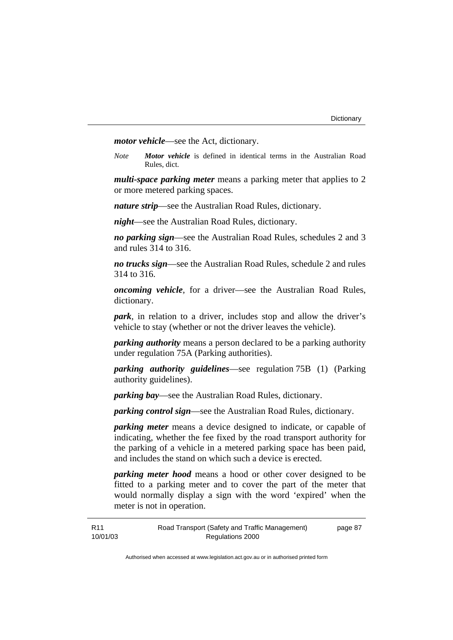*motor vehicle*—see the Act, dictionary.

*Note Motor vehicle* is defined in identical terms in the Australian Road Rules, dict.

*multi-space parking meter* means a parking meter that applies to 2 or more metered parking spaces.

*nature strip*—see the Australian Road Rules, dictionary.

*night*—see the Australian Road Rules, dictionary.

*no parking sign*—see the Australian Road Rules, schedules 2 and 3 and rules 314 to 316.

*no trucks sign*—see the Australian Road Rules, schedule 2 and rules 314 to 316.

*oncoming vehicle*, for a driver—see the Australian Road Rules, dictionary.

*park*, in relation to a driver, includes stop and allow the driver's vehicle to stay (whether or not the driver leaves the vehicle).

*parking authority* means a person declared to be a parking authority under regulation 75A (Parking authorities).

*parking authority guidelines*—see regulation 75B (1) (Parking authority guidelines).

*parking bay*—see the Australian Road Rules, dictionary.

*parking control sign*—see the Australian Road Rules, dictionary.

*parking meter* means a device designed to indicate, or capable of indicating, whether the fee fixed by the road transport authority for the parking of a vehicle in a metered parking space has been paid, and includes the stand on which such a device is erected.

*parking meter hood* means a hood or other cover designed to be fitted to a parking meter and to cover the part of the meter that would normally display a sign with the word 'expired' when the meter is not in operation.

| R11      | Road Transport (Safety and Traffic Management) | page 87 |
|----------|------------------------------------------------|---------|
| 10/01/03 | Regulations 2000                               |         |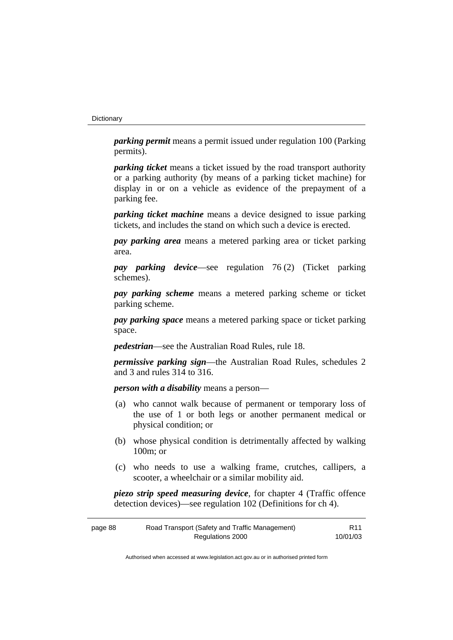#### **Dictionary**

*parking permit* means a permit issued under regulation 100 (Parking permits).

*parking ticket* means a ticket issued by the road transport authority or a parking authority (by means of a parking ticket machine) for display in or on a vehicle as evidence of the prepayment of a parking fee.

*parking ticket machine* means a device designed to issue parking tickets, and includes the stand on which such a device is erected.

*pay parking area* means a metered parking area or ticket parking area.

*pay parking device*—see regulation 76 (2) (Ticket parking schemes).

*pay parking scheme* means a metered parking scheme or ticket parking scheme.

*pay parking space* means a metered parking space or ticket parking space.

*pedestrian*—see the Australian Road Rules, rule 18.

*permissive parking sign*—the Australian Road Rules, schedules 2 and 3 and rules 314 to 316.

*person with a disability* means a person—

- (a) who cannot walk because of permanent or temporary loss of the use of 1 or both legs or another permanent medical or physical condition; or
- (b) whose physical condition is detrimentally affected by walking 100m; or
- (c) who needs to use a walking frame, crutches, callipers, a scooter, a wheelchair or a similar mobility aid.

*piezo strip speed measuring device*, for chapter 4 (Traffic offence detection devices)—see regulation 102 (Definitions for ch 4).

| page 88 | Road Transport (Safety and Traffic Management) | R <sub>11</sub> |
|---------|------------------------------------------------|-----------------|
|         | Regulations 2000                               | 10/01/03        |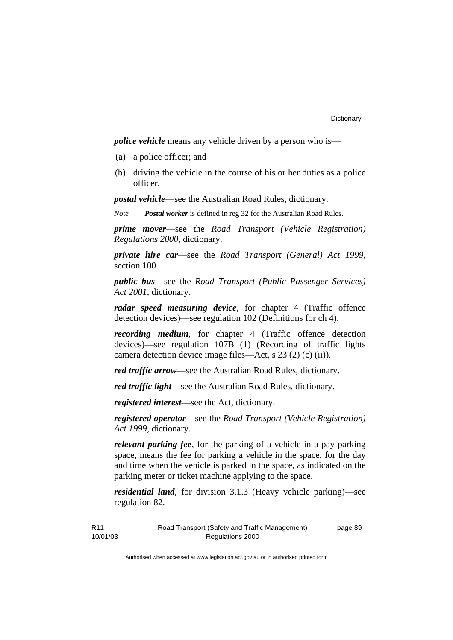*police vehicle* means any vehicle driven by a person who is—

- (a) a police officer; and
- (b) driving the vehicle in the course of his or her duties as a police officer.

*postal vehicle*—see the Australian Road Rules, dictionary.

*Note Postal worker* is defined in reg 32 for the Australian Road Rules.

*prime mover*—see the *Road Transport (Vehicle Registration) Regulations 2000*, dictionary.

*private hire car*—see the *Road Transport (General) Act 1999*, section 100.

*public bus*—see the *Road Transport (Public Passenger Services) Act 2001*, dictionary.

*radar speed measuring device*, for chapter 4 (Traffic offence detection devices)—see regulation 102 (Definitions for ch 4).

*recording medium*, for chapter 4 (Traffic offence detection devices)—see regulation 107B (1) (Recording of traffic lights camera detection device image files—Act, s 23 (2) (c) (ii)).

*red traffic arrow*—see the Australian Road Rules, dictionary.

*red traffic light*—see the Australian Road Rules, dictionary.

*registered interest*—see the Act, dictionary.

*registered operator*—see the *Road Transport (Vehicle Registration) Act 1999*, dictionary.

*relevant parking fee*, for the parking of a vehicle in a pay parking space, means the fee for parking a vehicle in the space, for the day and time when the vehicle is parked in the space, as indicated on the parking meter or ticket machine applying to the space.

*residential land*, for division 3.1.3 (Heavy vehicle parking)—see regulation 82.

| R <sub>11</sub> | Road Transport (Safety and Traffic Management) | page 89 |
|-----------------|------------------------------------------------|---------|
| 10/01/03        | Regulations 2000                               |         |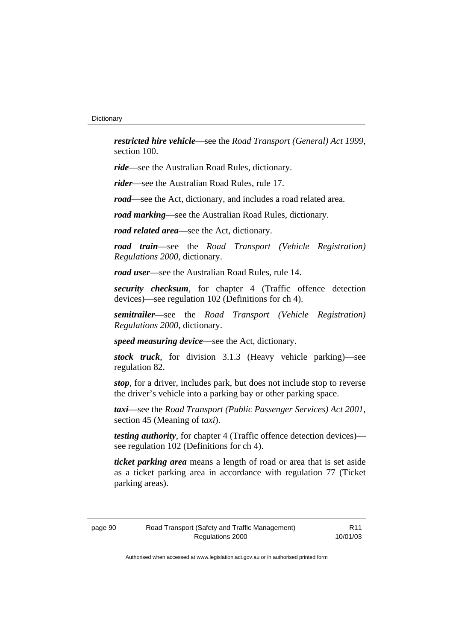*restricted hire vehicle*—see the *Road Transport (General) Act 1999*, section 100.

*ride*—see the Australian Road Rules, dictionary.

*rider*—see the Australian Road Rules, rule 17.

*road*—see the Act, dictionary, and includes a road related area.

*road marking*—see the Australian Road Rules, dictionary.

*road related area*—see the Act, dictionary.

*road train*—see the *Road Transport (Vehicle Registration) Regulations 2000*, dictionary.

*road user*—see the Australian Road Rules, rule 14.

*security checksum*, for chapter 4 (Traffic offence detection devices)—see regulation 102 (Definitions for ch 4).

*semitrailer*—see the *Road Transport (Vehicle Registration) Regulations 2000*, dictionary.

*speed measuring device*—see the Act, dictionary.

*stock truck*, for division 3.1.3 (Heavy vehicle parking)—see regulation 82.

*stop*, for a driver, includes park, but does not include stop to reverse the driver's vehicle into a parking bay or other parking space.

*taxi*—see the *Road Transport (Public Passenger Services) Act 2001*, section 45 (Meaning of *taxi*).

*testing authority*, for chapter 4 (Traffic offence detection devices) see regulation 102 (Definitions for ch 4).

*ticket parking area* means a length of road or area that is set aside as a ticket parking area in accordance with regulation 77 (Ticket parking areas).

R11 10/01/03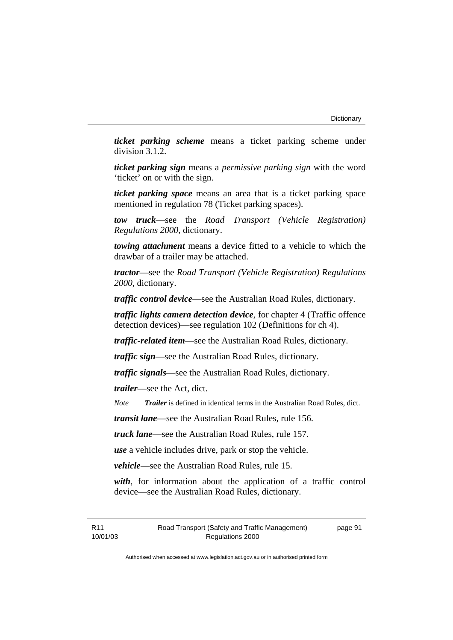*ticket parking scheme* means a ticket parking scheme under division 3.1.2.

*ticket parking sign* means a *permissive parking sign* with the word 'ticket' on or with the sign.

*ticket parking space* means an area that is a ticket parking space mentioned in regulation 78 (Ticket parking spaces).

*tow truck*—see the *Road Transport (Vehicle Registration) Regulations 2000*, dictionary.

*towing attachment* means a device fitted to a vehicle to which the drawbar of a trailer may be attached.

*tractor*—see the *Road Transport (Vehicle Registration) Regulations 2000*, dictionary.

*traffic control device*—see the Australian Road Rules, dictionary.

*traffic lights camera detection device*, for chapter 4 (Traffic offence detection devices)—see regulation 102 (Definitions for ch 4).

*traffic-related item*—see the Australian Road Rules, dictionary.

*traffic sign*—see the Australian Road Rules, dictionary.

*traffic signals*—see the Australian Road Rules, dictionary.

*trailer*—see the Act, dict.

*Note Trailer* is defined in identical terms in the Australian Road Rules, dict.

*transit lane*—see the Australian Road Rules, rule 156.

*truck lane*—see the Australian Road Rules, rule 157.

*use* a vehicle includes drive, park or stop the vehicle.

*vehicle*—see the Australian Road Rules, rule 15.

*with*, for information about the application of a traffic control device—see the Australian Road Rules, dictionary.

R11 10/01/03 page 91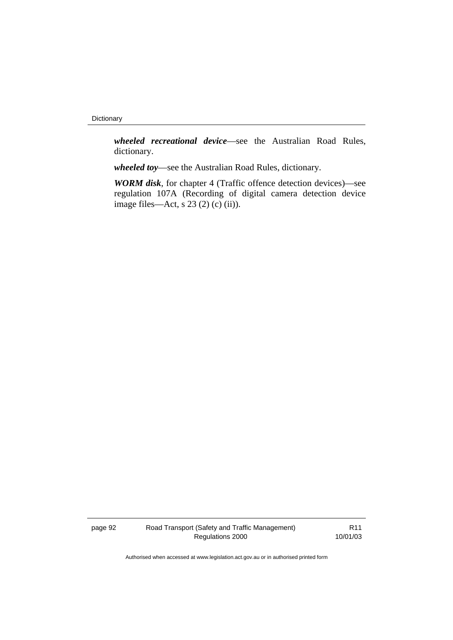#### Dictionary

*wheeled recreational device*—see the Australian Road Rules, dictionary.

*wheeled toy*—see the Australian Road Rules, dictionary.

*WORM disk*, for chapter 4 (Traffic offence detection devices)—see regulation 107A (Recording of digital camera detection device image files—Act, s  $23(2)(c)(ii)$ ).

page 92 Road Transport (Safety and Traffic Management) Regulations 2000

R11 10/01/03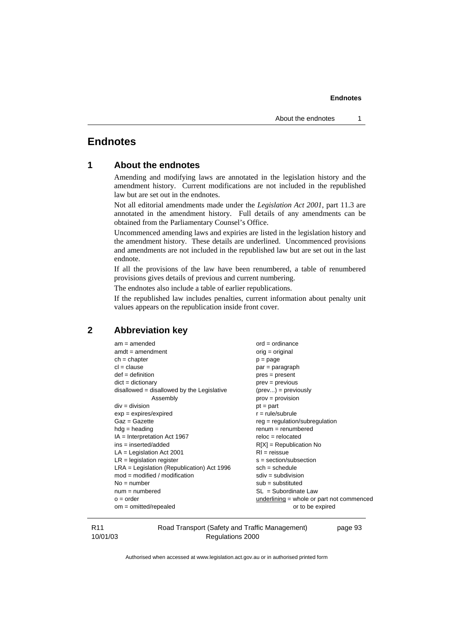# **Endnotes**

```
1 About the endnotes
```
Amending and modifying laws are annotated in the legislation history and the amendment history. Current modifications are not included in the republished law but are set out in the endnotes.

Not all editorial amendments made under the *Legislation Act 2001*, part 11.3 are annotated in the amendment history. Full details of any amendments can be obtained from the Parliamentary Counsel's Office.

Uncommenced amending laws and expiries are listed in the legislation history and the amendment history. These details are underlined. Uncommenced provisions and amendments are not included in the republished law but are set out in the last endnote.

If all the provisions of the law have been renumbered, a table of renumbered provisions gives details of previous and current numbering.

The endnotes also include a table of earlier republications.

If the republished law includes penalties, current information about penalty unit values appears on the republication inside front cover.

# **2 Abbreviation key**

| $am = amended$                               | $ord = ordinance$                         |
|----------------------------------------------|-------------------------------------------|
| $amdt = amendment$                           | $orig = original$                         |
| $ch = chapter$                               | $p = page$                                |
| $cl = clause$                                | par = paragraph                           |
| $def = definition$                           | $pres = present$                          |
| $dict = dictionary$                          | $prev = previous$                         |
| $disallowed = disallowed by the Legislative$ | $(\text{prev}) = \text{previously}$       |
| Assembly                                     | $prov = provision$                        |
| $div =$ division                             | $pt = part$                               |
| $exp = expires/expired$                      | $r = rule/subrule$                        |
| $Gaz = Gazette$                              | $reg = regulation/subregulation$          |
| $hdg =$ heading                              | $renum = renumbered$                      |
| $IA = Interpretation Act 1967$               | $reloc = relocated$                       |
| ins = inserted/added                         | $R[X]$ = Republication No                 |
| $LA =$ Legislation Act 2001                  | $RI = reissue$                            |
| $LR =$ legislation register                  | $s = section/subsection$                  |
| $LRA =$ Legislation (Republication) Act 1996 | $sch = schedule$                          |
| $mod = modified / modified$                  | $sdiv = subdivision$                      |
| $No = number$                                | $sub =$ substituted                       |
| $num = numbered$                             | $SL = Subordinate$ Law                    |
| $o = order$                                  | underlining = whole or part not commenced |
| $om = omitted/repealed$                      | or to be expired                          |
|                                              |                                           |

#### R11 10/01/03

Road Transport (Safety and Traffic Management) Regulations 2000

page 93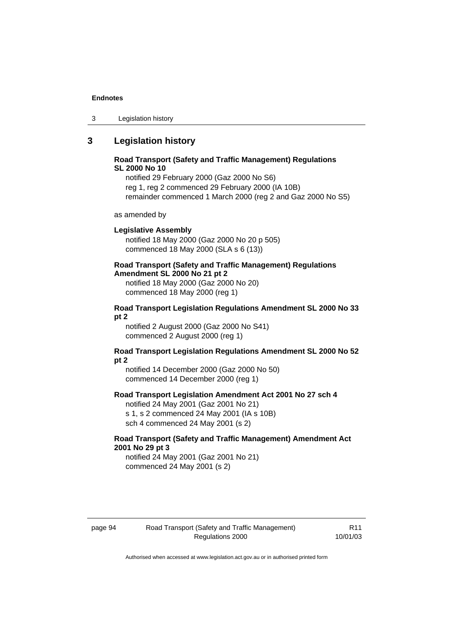3 Legislation history

# **3 Legislation history**

# **Road Transport (Safety and Traffic Management) Regulations SL 2000 No 10**

notified 29 February 2000 (Gaz 2000 No S6) reg 1, reg 2 commenced 29 February 2000 (IA 10B) remainder commenced 1 March 2000 (reg 2 and Gaz 2000 No S5)

as amended by

## **Legislative Assembly**

notified 18 May 2000 (Gaz 2000 No 20 p 505) commenced 18 May 2000 (SLA s 6 (13))

# **Road Transport (Safety and Traffic Management) Regulations**

**Amendment SL 2000 No 21 pt 2** 

notified 18 May 2000 (Gaz 2000 No 20) commenced 18 May 2000 (reg 1)

# **Road Transport Legislation Regulations Amendment SL 2000 No 33 pt 2**

notified 2 August 2000 (Gaz 2000 No S41) commenced 2 August 2000 (reg 1)

# **Road Transport Legislation Regulations Amendment SL 2000 No 52 pt 2**

notified 14 December 2000 (Gaz 2000 No 50) commenced 14 December 2000 (reg 1)

## **Road Transport Legislation Amendment Act 2001 No 27 sch 4**

notified 24 May 2001 (Gaz 2001 No 21) s 1, s 2 commenced 24 May 2001 (IA s 10B) sch 4 commenced 24 May 2001 (s 2)

# **Road Transport (Safety and Traffic Management) Amendment Act 2001 No 29 pt 3**

notified 24 May 2001 (Gaz 2001 No 21) commenced 24 May 2001 (s 2)

R11 10/01/03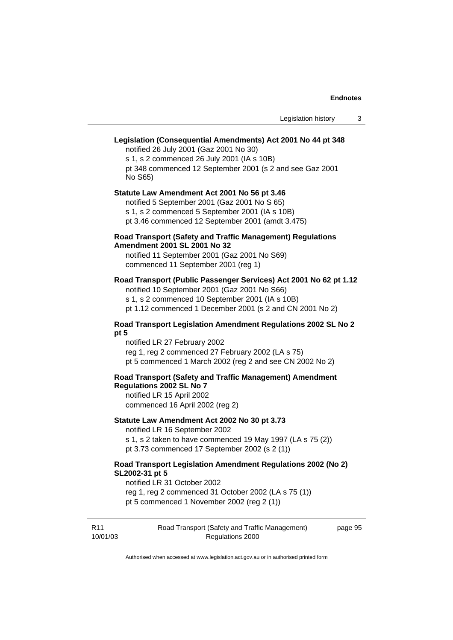# **Legislation (Consequential Amendments) Act 2001 No 44 pt 348**  notified 26 July 2001 (Gaz 2001 No 30) s 1, s 2 commenced 26 July 2001 (IA s 10B) pt 348 commenced 12 September 2001 (s 2 and see Gaz 2001 No S65) **Statute Law Amendment Act 2001 No 56 pt 3.46**  notified 5 September 2001 (Gaz 2001 No S 65) s 1, s 2 commenced 5 September 2001 (IA s 10B) pt 3.46 commenced 12 September 2001 (amdt 3.475) **Road Transport (Safety and Traffic Management) Regulations Amendment 2001 SL 2001 No 32**  notified 11 September 2001 (Gaz 2001 No S69) commenced 11 September 2001 (reg 1) **Road Transport (Public Passenger Services) Act 2001 No 62 pt 1.12**  notified 10 September 2001 (Gaz 2001 No S66) s 1, s 2 commenced 10 September 2001 (IA s 10B) pt 1.12 commenced 1 December 2001 (s 2 and CN 2001 No 2) **Road Transport Legislation Amendment Regulations 2002 SL No 2 pt 5**  notified LR 27 February 2002 reg 1, reg 2 commenced 27 February 2002 (LA s 75) pt 5 commenced 1 March 2002 (reg 2 and see CN 2002 No 2) **Road Transport (Safety and Traffic Management) Amendment Regulations 2002 SL No 7**  notified LR 15 April 2002 commenced 16 April 2002 (reg 2) **Statute Law Amendment Act 2002 No 30 pt 3.73**  notified LR 16 September 2002 s 1, s 2 taken to have commenced 19 May 1997 (LA s 75 (2)) pt 3.73 commenced 17 September 2002 (s 2 (1)) **Road Transport Legislation Amendment Regulations 2002 (No 2) SL2002-31 pt 5**  notified LR 31 October 2002 reg 1, reg 2 commenced 31 October 2002 (LA s 75 (1)) pt 5 commenced 1 November 2002 (reg 2 (1))

| R11      | Road Transport (Safety and Traffic Management) | page 95 |
|----------|------------------------------------------------|---------|
| 10/01/03 | Regulations 2000                               |         |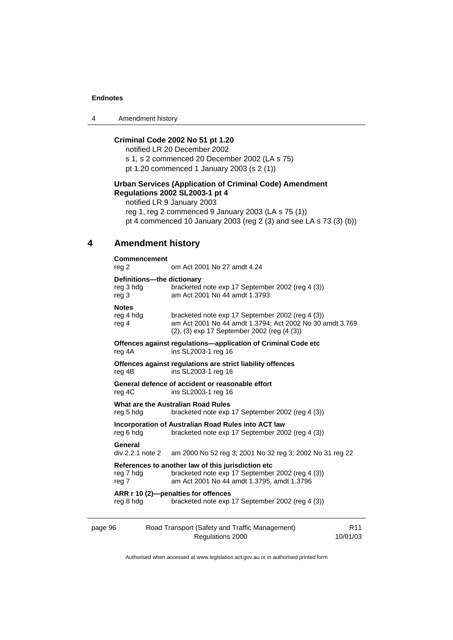4 Amendment history

# **Criminal Code 2002 No 51 pt 1.20**

notified LR 20 December 2002 s 1, s 2 commenced 20 December 2002 (LA s 75) pt 1.20 commenced 1 January 2003 (s 2 (1))

# **Urban Services (Application of Criminal Code) Amendment Regulations 2002 SL2003-1 pt 4**

notified LR 9 January 2003 reg 1, reg 2 commenced 9 January 2003 (LA s 75 (1)) pt 4 commenced 10 January 2003 (reg 2 (3) and see LA s 73 (3) (b))

# **4 Amendment history**

| Commencement<br>reg 2                            | om Act 2001 No 27 amdt 4.24                                                                                                                                 |
|--------------------------------------------------|-------------------------------------------------------------------------------------------------------------------------------------------------------------|
| Definitions-the dictionary<br>reg 3 hdg<br>reg 3 | bracketed note exp 17 September 2002 (reg 4 (3))<br>am Act 2001 No 44 amdt 1.3793                                                                           |
| <b>Notes</b><br>reg 4 hdg<br>reg 4               | bracketed note exp 17 September 2002 (reg 4 (3))<br>am Act 2001 No 44 amdt 1.3794; Act 2002 No 30 amdt 3.769<br>(2), (3) exp 17 September 2002 (reg (4 (3)) |
| reg 4A                                           | Offences against regulations-application of Criminal Code etc<br>ins SL2003-1 reg 16                                                                        |
| reg 4B                                           | Offences against regulations are strict liability offences<br>ins SL2003-1 reg 16                                                                           |
| reg 4C                                           | General defence of accident or reasonable effort<br>ins SL2003-1 reg 16                                                                                     |
| reg 5 hdg                                        | What are the Australian Road Rules<br>bracketed note exp 17 September 2002 (reg 4 (3))                                                                      |
| reg 6 hdg                                        | Incorporation of Australian Road Rules into ACT law<br>bracketed note exp 17 September 2002 (reg 4 (3))                                                     |
| General                                          | div 2.2.1 note 2 am 2000 No 52 reg 3; 2001 No 32 reg 3; 2002 No 31 reg 22                                                                                   |
| reg 7 hdg<br>reg 7                               | References to another law of this jurisdiction etc<br>bracketed note exp 17 September 2002 (reg 4 (3))<br>am Act 2001 No 44 amdt 1.3795, amdt 1.3796        |
| reg 8 hdg                                        | ARR r 10 (2)-penalties for offences<br>bracketed note exp 17 September 2002 (reg 4 (3))                                                                     |
|                                                  | $\sim$ $\sim$ $\sim$ $\sim$ $\sim$ $\sim$ $\sim$ $\sim$                                                                                                     |

| page 96 | Road Transport (Safety and Traffic Management) |          |
|---------|------------------------------------------------|----------|
|         | Regulations 2000                               | 10/01/03 |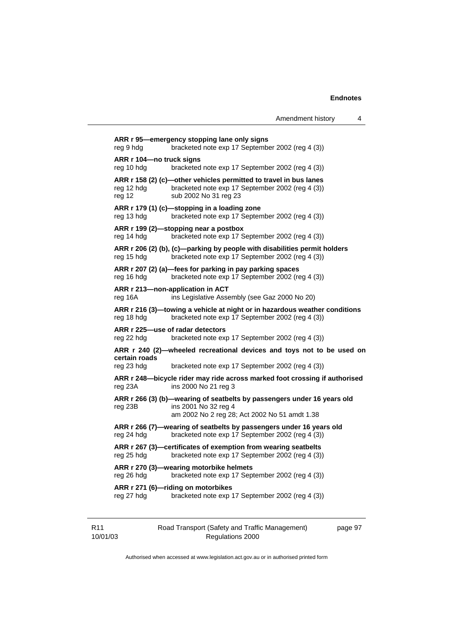page 97

**ARR r 95—emergency stopping lane only signs**  reg 9 hdg bracketed note exp 17 September 2002 (reg 4 (3)) **ARR r 104—no truck signs**  reg 10 hdg bracketed note exp 17 September 2002 (reg 4 (3)) **ARR r 158 (2) (c)—other vehicles permitted to travel in bus lanes**  reg 12 hdg bracketed note exp 17 September 2002 (reg 4 (3)) reg 12 sub 2002 No 31 reg 23 **ARR r 179 (1) (c)—stopping in a loading zone**  reg 13 hdg bracketed note exp 17 September 2002 (reg 4 (3)) **ARR r 199 (2)—stopping near a postbox**  reg 14 hdg bracketed note exp 17 September 2002 (reg 4 (3)) **ARR r 206 (2) (b), (c)—parking by people with disabilities permit holders**  reg 15 hdg bracketed note exp 17 September 2002 (reg 4 (3)) **ARR r 207 (2) (a)—fees for parking in pay parking spaces**  reg 16 hdg bracketed note exp 17 September 2002 (reg 4 (3)) **ARR r 213—non-application in ACT**  reg 16A ins Legislative Assembly (see Gaz 2000 No 20) **ARR r 216 (3)—towing a vehicle at night or in hazardous weather conditions**  reg 18 hdg bracketed note exp 17 September 2002 (reg 4 (3)) **ARR r 225—use of radar detectors**  reg 22 hdg bracketed note exp 17 September 2002 (reg 4 (3)) **ARR r 240 (2)—wheeled recreational devices and toys not to be used on certain roads**  reg 23 hdg bracketed note exp 17 September 2002 (reg 4 (3)) **ARR r 248—bicycle rider may ride across marked foot crossing if authorised**  reg 23A ins 2000 No 21 reg 3 **ARR r 266 (3) (b)—wearing of seatbelts by passengers under 16 years old**  reg 23B ins 2001 No 32 reg 4 am 2002 No 2 reg 28; Act 2002 No 51 amdt 1.38 **ARR r 266 (7)—wearing of seatbelts by passengers under 16 years old**  reg 24 hdg bracketed note exp 17 September 2002 (reg 4 (3)) **ARR r 267 (3)—certificates of exemption from wearing seatbelts**  reg 25 hdg bracketed note exp 17 September 2002 (reg 4 (3)) **ARR r 270 (3)—wearing motorbike helmets**  reg 26 hdg bracketed note exp 17 September 2002 (reg 4 (3)) **ARR r 271 (6)—riding on motorbikes**  reg 27 hdg bracketed note exp 17 September 2002 (reg 4 (3))

10/01/03 Regulations 2000

Road Transport (Safety and Traffic Management)

R11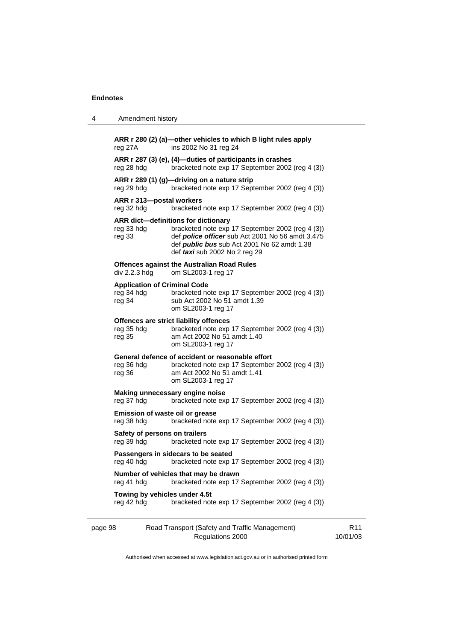| 4       | Amendment history                                           |                                                                                                                                                                                                                                           |
|---------|-------------------------------------------------------------|-------------------------------------------------------------------------------------------------------------------------------------------------------------------------------------------------------------------------------------------|
|         | reg 27A                                                     | ARR r 280 (2) (a)-other vehicles to which B light rules apply<br>ins 2002 No 31 reg 24                                                                                                                                                    |
|         | reg 28 hdg                                                  | ARR r 287 (3) (e), (4)-duties of participants in crashes<br>bracketed note exp 17 September 2002 (reg 4 (3))                                                                                                                              |
|         | reg 29 hdg                                                  | ARR r 289 (1) (g)-driving on a nature strip<br>bracketed note exp 17 September 2002 (reg 4 (3))                                                                                                                                           |
|         | ARR r 313-postal workers<br>reg 32 hdg                      | bracketed note exp 17 September 2002 (reg 4 (3))                                                                                                                                                                                          |
|         | reg 33 hdg<br>reg 33                                        | ARR dict-definitions for dictionary<br>bracketed note exp 17 September 2002 (reg 4 (3))<br>def <i>police officer</i> sub Act 2001 No 56 amdt 3.475<br>def <i>public bus</i> sub Act 2001 No 62 amdt 1.38<br>def taxi sub 2002 No 2 reg 29 |
|         | div 2.2.3 hdg                                               | <b>Offences against the Australian Road Rules</b><br>om SL2003-1 reg 17                                                                                                                                                                   |
|         | <b>Application of Criminal Code</b><br>reg 34 hdg<br>reg 34 | bracketed note exp 17 September 2002 (reg 4 (3))<br>sub Act 2002 No 51 amdt 1.39<br>om SL2003-1 reg 17                                                                                                                                    |
|         | reg 35 hdg<br>reg 35                                        | Offences are strict liability offences<br>bracketed note exp 17 September 2002 (reg 4 (3))<br>am Act 2002 No 51 amdt 1.40<br>om SL2003-1 reg 17                                                                                           |
|         | reg 36 hdg<br>reg 36                                        | General defence of accident or reasonable effort<br>bracketed note exp 17 September 2002 (reg 4 (3))<br>am Act 2002 No 51 amdt 1.41<br>om SL2003-1 reg 17                                                                                 |
|         | reg 37 hdg                                                  | Making unnecessary engine noise<br>bracketed note exp 17 September 2002 (reg 4 (3))                                                                                                                                                       |
|         | Emission of waste oil or grease<br>reg 38 hdg               | bracketed note exp 17 September 2002 (reg 4 (3))                                                                                                                                                                                          |
|         | Safety of persons on trailers<br>reg 39 hdg                 | bracketed note exp 17 September 2002 (reg 4 (3))                                                                                                                                                                                          |
|         | reg 40 hdg                                                  | Passengers in sidecars to be seated<br>bracketed note exp 17 September 2002 (reg 4 (3))                                                                                                                                                   |
|         | reg 41 hdg                                                  | Number of vehicles that may be drawn<br>bracketed note exp 17 September 2002 (reg 4 (3))                                                                                                                                                  |
|         | Towing by vehicles under 4.5t<br>reg 42 hdg                 | bracketed note exp 17 September 2002 (reg 4 (3))                                                                                                                                                                                          |
| page 98 |                                                             | Road Transport (Safety and Traffic Management)                                                                                                                                                                                            |

Authorised when accessed at www.legislation.act.gov.au or in authorised printed form

R11 10/01/03

Regulations 2000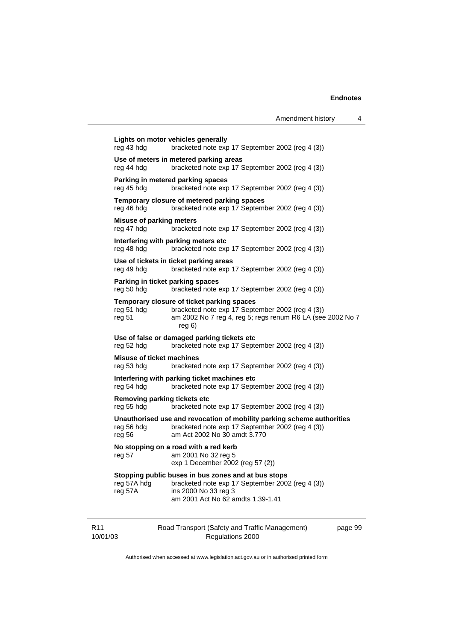|                                                   |                                                                                                                                                                                  | Amendment history | 4       |
|---------------------------------------------------|----------------------------------------------------------------------------------------------------------------------------------------------------------------------------------|-------------------|---------|
| reg 43 hdg                                        | Lights on motor vehicles generally<br>bracketed note exp 17 September 2002 (reg 4 (3))                                                                                           |                   |         |
| reg 44 hdg                                        | Use of meters in metered parking areas<br>bracketed note exp 17 September 2002 (reg 4 (3))                                                                                       |                   |         |
| reg 45 hdg                                        | Parking in metered parking spaces<br>bracketed note exp 17 September 2002 (reg 4 (3))                                                                                            |                   |         |
| reg 46 hdg                                        | Temporary closure of metered parking spaces<br>bracketed note exp 17 September 2002 (reg 4 (3))                                                                                  |                   |         |
| <b>Misuse of parking meters</b><br>reg 47 hdg     | bracketed note exp 17 September 2002 (reg 4 (3))                                                                                                                                 |                   |         |
| reg 48 hdg                                        | Interfering with parking meters etc<br>bracketed note exp 17 September 2002 (reg 4 (3))                                                                                          |                   |         |
| reg 49 hdg                                        | Use of tickets in ticket parking areas<br>bracketed note exp 17 September 2002 (reg 4 (3))                                                                                       |                   |         |
| Parking in ticket parking spaces<br>reg 50 hdg    | bracketed note exp 17 September 2002 (reg 4 (3))                                                                                                                                 |                   |         |
| reg 51 hdg<br>reg 51                              | Temporary closure of ticket parking spaces<br>bracketed note exp 17 September 2002 (reg 4 (3))<br>am 2002 No 7 reg 4, reg 5; regs renum R6 LA (see 2002 No 7<br>reg <sub>6</sub> |                   |         |
| reg 52 hdg                                        | Use of false or damaged parking tickets etc<br>bracketed note exp 17 September 2002 (reg 4 (3))                                                                                  |                   |         |
| Misuse of ticket machines<br>reg 53 hdg           | bracketed note exp 17 September 2002 (reg 4 (3))                                                                                                                                 |                   |         |
| reg 54 hdg                                        | Interfering with parking ticket machines etc<br>bracketed note exp 17 September 2002 (reg 4 (3))                                                                                 |                   |         |
| <b>Removing parking tickets etc</b><br>reg 55 hdg | bracketed note exp 17 September 2002 (reg 4 (3))                                                                                                                                 |                   |         |
| reg 56 hdg<br>reg 56                              | Unauthorised use and revocation of mobility parking scheme authorities<br>bracketed note exp 17 September 2002 (reg 4 (3))<br>am Act 2002 No 30 amdt 3.770                       |                   |         |
| reg 57                                            | No stopping on a road with a red kerb<br>am 2001 No 32 reg 5<br>exp 1 December 2002 (reg 57 (2))                                                                                 |                   |         |
| reg 57A hdg<br>reg 57A                            | Stopping public buses in bus zones and at bus stops<br>bracketed note exp 17 September 2002 (reg 4 (3))<br>ins 2000 No 33 reg 3<br>am 2001 Act No 62 amdts 1.39-1.41             |                   |         |
|                                                   | Road Transport (Safety and Traffic Management)                                                                                                                                   |                   | page 99 |

Authorised when accessed at www.legislation.act.gov.au or in authorised printed form

Regulations 2000

R11 10/01/03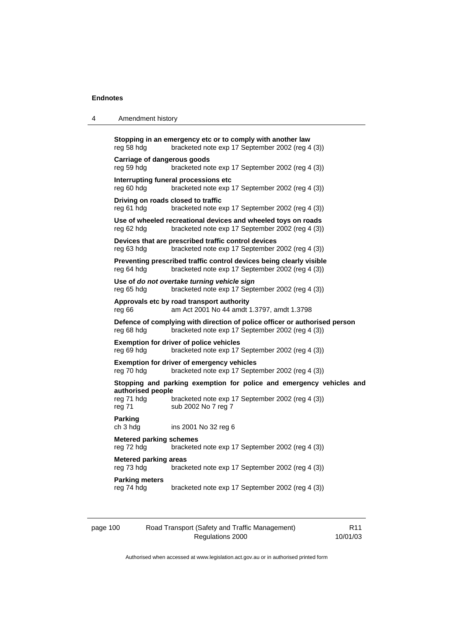## 4 Amendment history

| reg 58 hdg                                                                                     | Stopping in an emergency etc or to comply with another law<br>bracketed note exp 17 September 2002 (reg 4 (3))                 |  |  |  |
|------------------------------------------------------------------------------------------------|--------------------------------------------------------------------------------------------------------------------------------|--|--|--|
| Carriage of dangerous goods<br>reg 59 hdg                                                      | bracketed note exp 17 September 2002 (reg 4 (3))                                                                               |  |  |  |
| reg 60 hdg                                                                                     | Interrupting funeral processions etc<br>bracketed note exp 17 September 2002 (reg 4 (3))                                       |  |  |  |
| Driving on roads closed to traffic<br>reg 61 hdg                                               | bracketed note exp 17 September 2002 (reg 4 (3))                                                                               |  |  |  |
| reg 62 hdg                                                                                     | Use of wheeled recreational devices and wheeled toys on roads<br>bracketed note exp 17 September 2002 (reg 4 (3))              |  |  |  |
| reg 63 hdg                                                                                     | Devices that are prescribed traffic control devices<br>bracketed note exp 17 September 2002 (reg 4 (3))                        |  |  |  |
| reg 64 hdg                                                                                     | Preventing prescribed traffic control devices being clearly visible<br>bracketed note exp 17 September 2002 (reg 4 (3))        |  |  |  |
| reg 65 hdg                                                                                     | Use of do not overtake turning vehicle sign<br>bracketed note exp 17 September 2002 (reg 4 (3))                                |  |  |  |
| reg 66                                                                                         | Approvals etc by road transport authority<br>am Act 2001 No 44 amdt 1.3797, amdt 1.3798                                        |  |  |  |
| reg 68 hdg                                                                                     | Defence of complying with direction of police officer or authorised person<br>bracketed note exp 17 September 2002 (reg 4 (3)) |  |  |  |
| reg 69 hdg                                                                                     | <b>Exemption for driver of police vehicles</b><br>bracketed note exp 17 September 2002 (reg 4 (3))                             |  |  |  |
| reg 70 hdg                                                                                     | Exemption for driver of emergency vehicles<br>bracketed note exp 17 September 2002 (reg 4 (3))                                 |  |  |  |
| authorised people                                                                              | Stopping and parking exemption for police and emergency vehicles and                                                           |  |  |  |
| reg 71 hdg<br>reg 71                                                                           | bracketed note exp 17 September 2002 (reg 4 (3))<br>sub 2002 No 7 reg 7                                                        |  |  |  |
| <b>Parking</b><br>ch 3 hdg                                                                     | ins 2001 No 32 reg 6                                                                                                           |  |  |  |
| <b>Metered parking schemes</b><br>reg 72 hdg                                                   | bracketed note exp 17 September 2002 (reg 4 (3))                                                                               |  |  |  |
| <b>Metered parking areas</b><br>bracketed note exp 17 September 2002 (reg 4 (3))<br>reg 73 hdg |                                                                                                                                |  |  |  |
| <b>Parking meters</b><br>reg 74 hdg                                                            | bracketed note exp 17 September 2002 (reg 4 (3))                                                                               |  |  |  |

| page 100 | R <sub>11</sub>  |          |
|----------|------------------|----------|
|          | Regulations 2000 | 10/01/03 |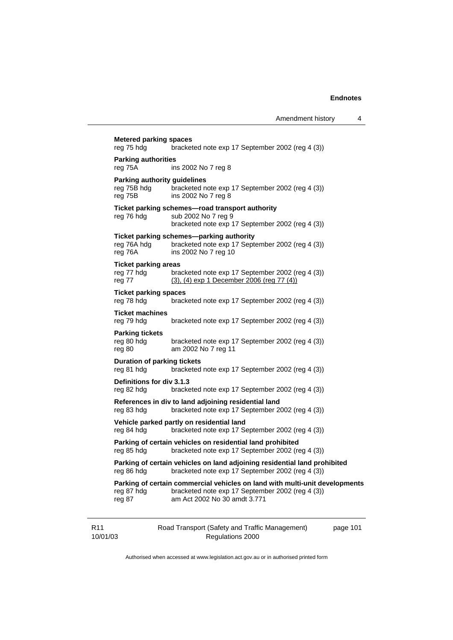|                             | <b>Metered parking spaces</b><br>reg 75 hdg                  | bracketed note exp 17 September 2002 (reg 4 (3))                                                                                                                |          |  |
|-----------------------------|--------------------------------------------------------------|-----------------------------------------------------------------------------------------------------------------------------------------------------------------|----------|--|
|                             | <b>Parking authorities</b><br>reg 75A<br>ins 2002 No 7 reg 8 |                                                                                                                                                                 |          |  |
|                             | Parking authority guidelines<br>reg 75B hdg<br>reg 75B       | bracketed note exp 17 September 2002 (reg 4 (3))<br>ins 2002 No 7 reg 8                                                                                         |          |  |
|                             | reg 76 hdg                                                   | Ticket parking schemes-road transport authority<br>sub 2002 No 7 reg 9<br>bracketed note exp 17 September 2002 (reg 4 (3))                                      |          |  |
|                             | reg 76A hdg<br>reg 76A                                       | Ticket parking schemes-parking authority<br>bracketed note exp 17 September 2002 (reg 4 (3))<br>ins 2002 No 7 reg 10                                            |          |  |
|                             | <b>Ticket parking areas</b><br>reg 77 hdg<br>reg 77          | bracketed note exp 17 September 2002 (reg 4 (3))<br>$(3)$ , $(4)$ exp 1 December 2006 (reg 77 $(4)$ )                                                           |          |  |
|                             | <b>Ticket parking spaces</b><br>reg 78 hdg                   | bracketed note exp 17 September 2002 (reg 4 (3))                                                                                                                |          |  |
|                             | <b>Ticket machines</b><br>reg 79 hdg                         | bracketed note exp 17 September 2002 (reg 4 (3))                                                                                                                |          |  |
|                             | <b>Parking tickets</b><br>reg 80 hdg<br>reg 80               | bracketed note exp 17 September 2002 (reg 4 (3))<br>am 2002 No 7 reg 11                                                                                         |          |  |
|                             | <b>Duration of parking tickets</b><br>reg 81 hdg             | bracketed note exp 17 September 2002 (reg 4 (3))                                                                                                                |          |  |
|                             | Definitions for div 3.1.3<br>reg 82 hdg                      | bracketed note exp 17 September 2002 (reg 4 (3))                                                                                                                |          |  |
|                             | reg 83 hdg                                                   | References in div to land adjoining residential land<br>bracketed note exp 17 September 2002 (reg 4 (3))                                                        |          |  |
|                             | reg 84 hdg                                                   | Vehicle parked partly on residential land<br>bracketed note exp 17 September 2002 (reg 4 (3))                                                                   |          |  |
|                             | reg 85 hdg                                                   | Parking of certain vehicles on residential land prohibited<br>bracketed note exp 17 September 2002 (reg 4 (3))                                                  |          |  |
|                             | reg 86 hdg                                                   | Parking of certain vehicles on land adjoining residential land prohibited<br>bracketed note exp 17 September 2002 (reg 4 (3))                                   |          |  |
|                             | reg 87 hdg<br>reg 87                                         | Parking of certain commercial vehicles on land with multi-unit developments<br>bracketed note exp 17 September 2002 (reg 4 (3))<br>am Act 2002 No 30 amdt 3.771 |          |  |
| R <sub>11</sub><br>10/01/03 |                                                              | Road Transport (Safety and Traffic Management)<br>Regulations 2000                                                                                              | page 101 |  |

Authorised when accessed at www.legislation.act.gov.au or in authorised printed form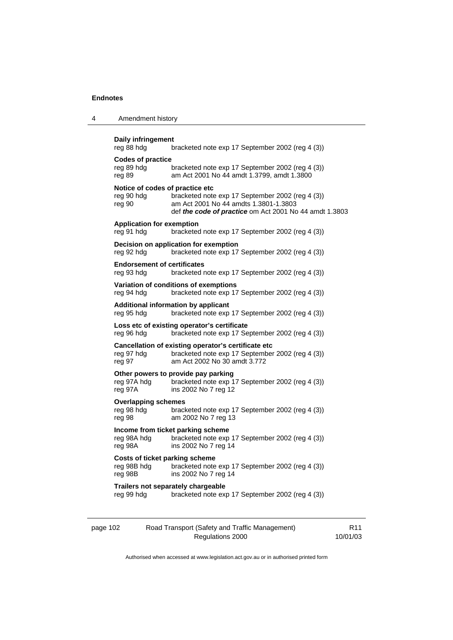| 4 | Amendment history                                                                                  |                                                                                                                                                     |  |  |  |
|---|----------------------------------------------------------------------------------------------------|-----------------------------------------------------------------------------------------------------------------------------------------------------|--|--|--|
|   | Daily infringement<br>reg 88 hdg<br>bracketed note exp 17 September 2002 (reg 4 (3))               |                                                                                                                                                     |  |  |  |
|   | <b>Codes of practice</b><br>reg 89 hdg<br>reg 89                                                   | bracketed note exp 17 September 2002 (reg 4 (3))<br>am Act 2001 No 44 amdt 1.3799, amdt 1.3800                                                      |  |  |  |
|   | Notice of codes of practice etc<br>reg 90 hdg<br>reg 90                                            | bracketed note exp 17 September 2002 (reg 4 (3))<br>am Act 2001 No 44 amdts 1.3801-1.3803<br>def the code of practice om Act 2001 No 44 amdt 1.3803 |  |  |  |
|   | <b>Application for exemption</b><br>bracketed note exp 17 September 2002 (reg 4 (3))<br>reg 91 hdg |                                                                                                                                                     |  |  |  |
|   | reg 92 hdg                                                                                         | Decision on application for exemption<br>bracketed note exp 17 September 2002 (reg 4 (3))                                                           |  |  |  |
|   | <b>Endorsement of certificates</b><br>reg 93 hdg                                                   | bracketed note exp 17 September 2002 (reg 4 (3))                                                                                                    |  |  |  |
|   | reg 94 hdg                                                                                         | Variation of conditions of exemptions<br>bracketed note exp 17 September 2002 (reg 4 (3))                                                           |  |  |  |
|   | reg 95 hdg                                                                                         | Additional information by applicant<br>bracketed note exp 17 September 2002 (reg 4 (3))                                                             |  |  |  |
|   | reg 96 hdg                                                                                         | Loss etc of existing operator's certificate<br>bracketed note exp 17 September 2002 (reg 4 (3))                                                     |  |  |  |
|   | reg 97 hdg<br>reg 97                                                                               | Cancellation of existing operator's certificate etc<br>bracketed note exp 17 September 2002 (reg 4 (3))<br>am Act 2002 No 30 amdt 3.772             |  |  |  |
|   | reg 97A hdg<br>reg 97A                                                                             | Other powers to provide pay parking<br>bracketed note exp 17 September 2002 (reg 4 (3))<br>ins 2002 No 7 reg 12                                     |  |  |  |
|   | <b>Overlapping schemes</b><br>reg 98 hdg<br>reg 98                                                 | bracketed note exp 17 September 2002 (reg 4 (3))<br>am 2002 No 7 reg 13                                                                             |  |  |  |
|   | reg 98A hdg<br>reg 98A                                                                             | Income from ticket parking scheme<br>bracketed note exp 17 September 2002 (reg 4 (3))<br>ins 2002 No 7 reg 14                                       |  |  |  |
|   | <b>Costs of ticket parking scheme</b><br>reg 98B hdg<br>reg 98B                                    | bracketed note exp 17 September 2002 (reg 4 (3))<br>ins 2002 No 7 reg 14                                                                            |  |  |  |
|   | reg 99 hdg                                                                                         | Trailers not separately chargeable<br>bracketed note exp 17 September 2002 (reg 4 (3))                                                              |  |  |  |
|   |                                                                                                    |                                                                                                                                                     |  |  |  |

| page 102 | Road Transport (Safety and Traffic Management) | R11      |
|----------|------------------------------------------------|----------|
|          | Regulations 2000                               | 10/01/03 |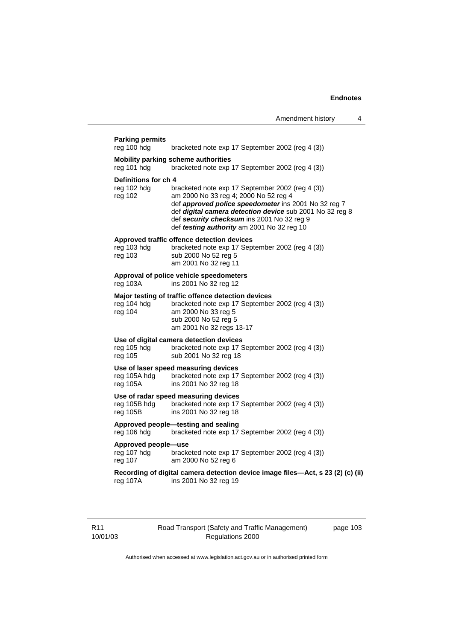## **Parking permits**  reg 100 hdg bracketed note exp 17 September 2002 (reg 4 (3)) **Mobility parking scheme authorities**  reg 101 hdg bracketed note exp 17 September 2002 (reg 4 (3)) **Definitions for ch 4**  reg 102 hdg bracketed note exp 17 September 2002 (reg 4 (3)) reg 102 am 2000 No 33 reg 4; 2000 No 52 reg 4 def *approved police speedometer* ins 2001 No 32 reg 7 def *digital camera detection device* sub 2001 No 32 reg 8 def *security checksum* ins 2001 No 32 reg 9 def *testing authority* am 2001 No 32 reg 10 **Approved traffic offence detection devices**  reg 103 hdg bracketed note exp 17 September 2002 (reg 4 (3)) reg 103 sub 2000 No 52 reg 5 am 2001 No 32 reg 11 **Approval of police vehicle speedometers**  reg 103A ins 2001 No 32 reg 12 **Major testing of traffic offence detection devices**  reg 104 hdg bracketed note exp 17 September 2002 (reg 4 (3))<br>reg 104 am 2000 No 33 reg 5 am 2000 No 33 reg 5 sub 2000 No 52 reg 5 am 2001 No 32 regs 13-17 **Use of digital camera detection devices**  reg 105 hdg bracketed note exp 17 September 2002 (reg 4 (3)) reg 105 sub 2001 No 32 reg 18 **Use of laser speed measuring devices**  reg 105A hdg bracketed note exp 17 September 2002 (reg 4 (3)) reg 105A ins 2001 No 32 reg 18 **Use of radar speed measuring devices**  reg 105B hdg bracketed note exp 17 September 2002 (reg 4 (3)) reg 105B ins 2001 No 32 reg 18 **Approved people—testing and sealing**  reg 106 hdg bracketed note exp 17 September 2002 (reg 4 (3)) **Approved people—use**  reg 107 hdg bracketed note exp 17 September 2002 (reg 4 (3)) reg 107 am 2000 No 52 reg 6 **Recording of digital camera detection device image files—Act, s 23 (2) (c) (ii)**  reg 107A ins 2001 No 32 reg 19

Road Transport (Safety and Traffic Management) Regulations 2000

page 103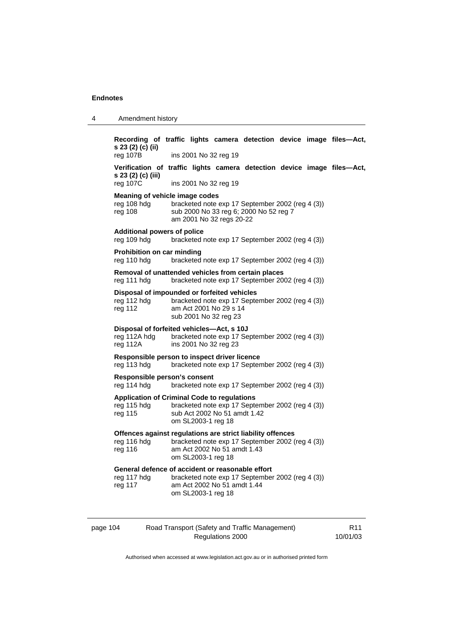| 4        | Amendment history                                                                                                                                                                  |                    |                              |                                                  |  |  |                 |
|----------|------------------------------------------------------------------------------------------------------------------------------------------------------------------------------------|--------------------|------------------------------|--------------------------------------------------|--|--|-----------------|
|          | Recording of traffic lights camera detection device image files-Act,<br>s 23 (2) (c) (ii)<br>$reg$ 107B                                                                            |                    | ins 2001 No 32 reg 19        |                                                  |  |  |                 |
|          | Verification of traffic lights camera detection device image files-Act,<br>s 23 (2) (c) (iii)<br>reg 107C                                                                          |                    | ins 2001 No 32 reg 19        |                                                  |  |  |                 |
|          | Meaning of vehicle image codes<br>reg 108 hdg<br>bracketed note exp 17 September 2002 (reg 4 (3))<br>reg 108<br>sub 2000 No 33 reg 6; 2000 No 52 reg 7<br>am 2001 No 32 regs 20-22 |                    |                              |                                                  |  |  |                 |
|          | <b>Additional powers of police</b><br>reg 109 hdg                                                                                                                                  |                    |                              | bracketed note exp 17 September 2002 (reg 4 (3)) |  |  |                 |
|          | Prohibition on car minding<br>reg 110 hdg                                                                                                                                          |                    |                              | bracketed note exp 17 September 2002 (reg 4 (3)) |  |  |                 |
|          | Removal of unattended vehicles from certain places<br>reg 111 hdg                                                                                                                  |                    |                              | bracketed note exp 17 September 2002 (reg 4 (3)) |  |  |                 |
|          | Disposal of impounded or forfeited vehicles<br>reg 112 hdg<br>bracketed note exp 17 September 2002 (reg 4 (3))<br>am Act 2001 No 29 s 14<br>reg 112<br>sub 2001 No 32 reg 23       |                    |                              |                                                  |  |  |                 |
|          | Disposal of forfeited vehicles-Act, s 10J<br>reg 112A hdg<br>reg 112A                                                                                                              |                    | ins 2001 No 32 reg 23        | bracketed note exp 17 September 2002 (reg 4 (3)) |  |  |                 |
|          | Responsible person to inspect driver licence<br>reg 113 hdg<br>bracketed note exp 17 September 2002 (reg 4 (3))                                                                    |                    |                              |                                                  |  |  |                 |
|          | Responsible person's consent<br>reg 114 hdg                                                                                                                                        |                    |                              | bracketed note exp 17 September 2002 (reg 4 (3)) |  |  |                 |
|          | <b>Application of Criminal Code to regulations</b><br>reg 115 hdg<br>reg 115                                                                                                       | om SL2003-1 reg 18 | sub Act 2002 No 51 amdt 1.42 | bracketed note exp 17 September 2002 (reg 4 (3)) |  |  |                 |
|          | Offences against regulations are strict liability offences<br>reg 116 hdg<br>reg 116                                                                                               | om SL2003-1 reg 18 | am Act 2002 No 51 amdt 1.43  | bracketed note exp 17 September 2002 (reg 4 (3)) |  |  |                 |
|          | General defence of accident or reasonable effort<br>reg 117 hdg<br>reg 117                                                                                                         | om SL2003-1 reg 18 | am Act 2002 No 51 amdt 1.44  | bracketed note exp 17 September 2002 (reg 4 (3)) |  |  |                 |
| page 104 |                                                                                                                                                                                    |                    |                              | Road Transport (Safety and Traffic Management)   |  |  | R <sub>11</sub> |

Authorised when accessed at www.legislation.act.gov.au or in authorised printed form

R11 10/01/03

Regulations 2000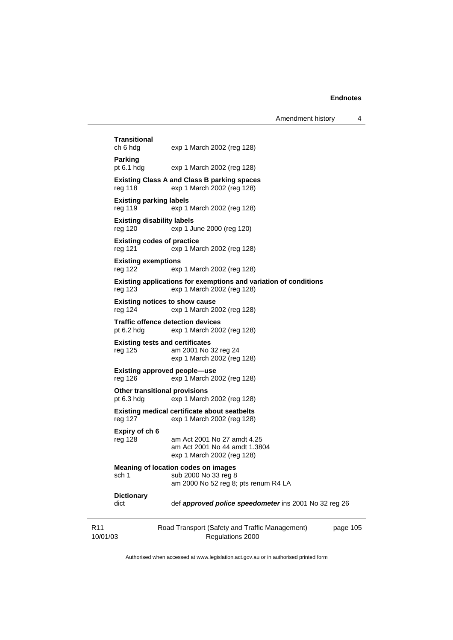# 10/01/03 Road Transport (Safety and Traffic Management) Regulations 2000 page 105 **Transitional**  exp 1 March 2002 (reg 128) **Parking**  pt 6.1 hdg exp 1 March 2002 (reg 128) **Existing Class A and Class B parking spaces**  reg 118 exp 1 March 2002 (reg 128) **Existing parking labels**  reg 119 exp 1 March 2002 (reg 128) **Existing disability labels**  reg 120 exp 1 June 2000 (reg 120) **Existing codes of practice**  reg 121 exp 1 March 2002 (reg 128) **Existing exemptions**  reg 122 exp 1 March 2002 (reg 128) **Existing applications for exemptions and variation of conditions**  reg 123 exp 1 March 2002 (reg 128) **Existing notices to show cause**  reg 124 exp 1 March 2002 (reg 128) **Traffic offence detection devices**  pt 6.2 hdg exp 1 March 2002 (reg 128) **Existing tests and certificates**  reg 125 am 2001 No 32 reg 24 exp 1 March 2002 (reg 128) **Existing approved people—use**  reg 126 exp 1 March 2002 (reg 128) **Other transitional provisions**  pt 6.3 hdg exp 1 March 2002 (reg 128) **Existing medical certificate about seatbelts**  reg 127 exp 1 March 2002 (reg 128) **Expiry of ch 6**  reg 128 am Act 2001 No 27 amdt 4.25 am Act 2001 No 44 amdt 1.3804 exp 1 March 2002 (reg 128) **Meaning of location codes on images**  sch 1 sub 2000 No 33 reg 8 am 2000 No 52 reg 8; pts renum R4 LA **Dictionary**  dict def *approved police speedometer* ins 2001 No 32 reg 26

Authorised when accessed at www.legislation.act.gov.au or in authorised printed form

R11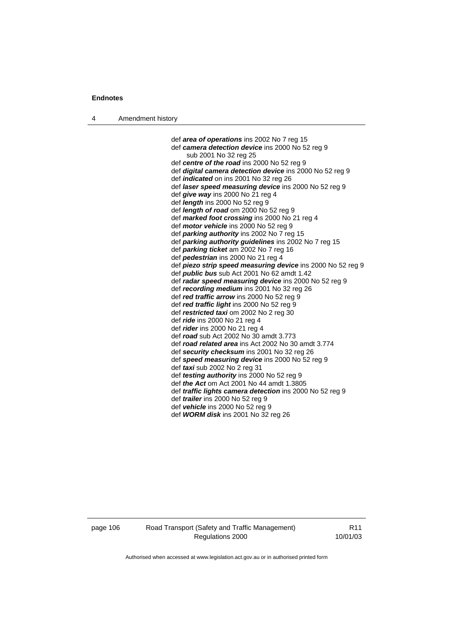4 Amendment history

 def *area of operations* ins 2002 No 7 reg 15 def *camera detection device* ins 2000 No 52 reg 9 sub 2001 No 32 reg 25 def *centre of the road* ins 2000 No 52 reg 9 def *digital camera detection device* ins 2000 No 52 reg 9 def *indicated* on ins 2001 No 32 reg 26 def *laser speed measuring device* ins 2000 No 52 reg 9 def *give way* ins 2000 No 21 reg 4 def *length* ins 2000 No 52 reg 9 def *length of road* om 2000 No 52 reg 9 def *marked foot crossing* ins 2000 No 21 reg 4 def *motor vehicle* ins 2000 No 52 reg 9 def *parking authority* ins 2002 No 7 reg 15 def *parking authority guidelines* ins 2002 No 7 reg 15 def *parking ticket* am 2002 No 7 reg 16 def *pedestrian* ins 2000 No 21 reg 4 def *piezo strip speed measuring device* ins 2000 No 52 reg 9 def *public bus* sub Act 2001 No 62 amdt 1.42 def *radar speed measuring device* ins 2000 No 52 reg 9 def *recording medium* ins 2001 No 32 reg 26 def *red traffic arrow* ins 2000 No 52 reg 9 def *red traffic light* ins 2000 No 52 reg 9 def *restricted taxi* om 2002 No 2 reg 30 def *ride* ins 2000 No 21 reg 4 def *rider* ins 2000 No 21 reg 4 def *road* sub Act 2002 No 30 amdt 3.773 def *road related area* ins Act 2002 No 30 amdt 3.774 def *security checksum* ins 2001 No 32 reg 26 def *speed measuring device* ins 2000 No 52 reg 9 def *taxi* sub 2002 No 2 reg 31 def *testing authority* ins 2000 No 52 reg 9 def *the Act* om Act 2001 No 44 amdt 1.3805 def *traffic lights camera detection* ins 2000 No 52 reg 9 def *trailer* ins 2000 No 52 reg 9 def *vehicle* ins 2000 No 52 reg 9 def *WORM disk* ins 2001 No 32 reg 26

page 106 Road Transport (Safety and Traffic Management) Regulations 2000

R11 10/01/03